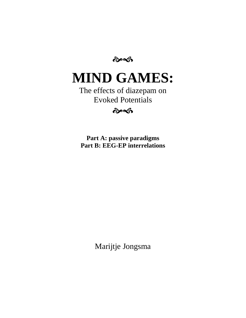**लेक्की** 

# **MIND GAMES:**

The effects of diazepam on Evoked Potentials

 $\hat{\sigma}$ 

**Part A: passive paradigms Part B: EEG-EP interrelations**

Marijtje Jongsma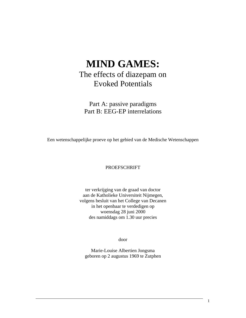## **MIND GAMES:** The effects of diazepam on Evoked Potentials

Part A: passive paradigms Part B: EEG-EP interrelations

Een wetenschappelijke proeve op het gebied van de Medische Wetenschappen

### PROEFSCHRIFT

ter verkrijging van de graad van doctor aan de Katholieke Universiteit Nijmegen, volgens besluit van het College van Decanen in het openbaar te verdedigen op woensdag 28 juni 2000 des namiddags om 1.30 uur precies

door

Marie-Louise Albertien Jongsma geboren op 2 augustus 1969 te Zutphen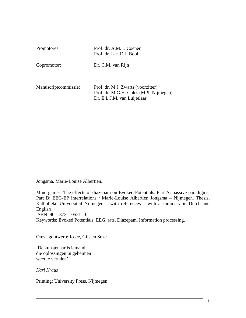| Promotores:          | Prof. dr. A.M.L. Coenen<br>Prof. dr. L.H.D.J. Booij                                                         |
|----------------------|-------------------------------------------------------------------------------------------------------------|
| Copromotor:          | Dr. C.M. van Rijn                                                                                           |
| Manuscriptcommissie: | Prof. dr. M.J. Zwarts (voorzitter)<br>Prof. dr. M.G.H. Coles (MPI, Nijmegen)<br>Dr. E.L.J.M. van Luijtelaar |

Jongsma, Marie-Louise Albertien.

Mind games: The effects of diazepam on Evoked Potentials. Part A: passive paradigms; Part B: EEG-EP interrelations / Marie-Louise Albertien Jongsma – Nijmegen. Thesis, Katholieke Universiteit Nijmegen – with references – with a summary in Dutch and English ISBN: 90 – 373 – 0521 - 0

Keywords: Evoked Potentials, EEG, rats, Diazepam, Information processing.

Omslagontwerp: Josee, Gijs en Suze

'De kunstenaar is iemand, die oplossingen in geheimen weet te vertalen'

*Karl Kraus*

Printing: University Press, Nijmegen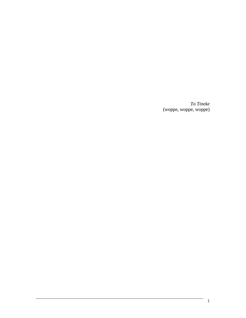*To Tineke* (woppe, woppe, woppe)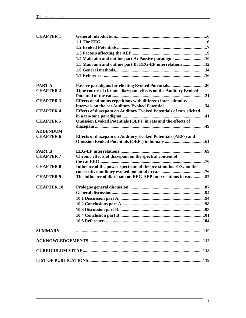| <b>CHAPTER 1</b>  |                                                                     |  |
|-------------------|---------------------------------------------------------------------|--|
|                   |                                                                     |  |
|                   |                                                                     |  |
|                   |                                                                     |  |
|                   | 1.4 Main aim and outline part A: Passive paradigms10                |  |
|                   | 1.5 Main aim and outline part B: EEG-EP interrelations 12           |  |
|                   |                                                                     |  |
|                   |                                                                     |  |
| <b>PART A</b>     |                                                                     |  |
| <b>CHAPTER 2</b>  | Time course of chronic diazepam effects on the Auditory Evoked      |  |
|                   |                                                                     |  |
| <b>CHAPTER 3</b>  | Effects of stimulus repetitions with different inter-stimulus       |  |
|                   |                                                                     |  |
| <b>CHAPTER 4</b>  | Effects of diazepam on Auditory Evoked Potentials of rats elicited  |  |
|                   |                                                                     |  |
| <b>CHAPTER 5</b>  | <b>Omission Evoked Potentials (OEPs) in rats and the effects of</b> |  |
|                   |                                                                     |  |
| <b>ADDENDUM</b>   |                                                                     |  |
| <b>CHAPTER 6</b>  | Effects of diazepam on Auditory Evoked Potentials (AEPs) and        |  |
|                   |                                                                     |  |
| <b>PART B</b>     |                                                                     |  |
| <b>CHAPTER 7</b>  | Chronic effects of diazepam on the spectral content of              |  |
|                   |                                                                     |  |
| <b>CHAPTER 8</b>  | Influence of the power-spectrum of the pre-stimulus EEG on the      |  |
|                   |                                                                     |  |
| <b>CHAPTER 9</b>  | The influence of diazepam on EEG-AEP interrelations in rats82       |  |
| <b>CHAPTER 10</b> |                                                                     |  |
|                   |                                                                     |  |
|                   |                                                                     |  |
|                   |                                                                     |  |
|                   |                                                                     |  |
|                   |                                                                     |  |
|                   |                                                                     |  |
| <b>SUMMARY</b>    |                                                                     |  |
|                   |                                                                     |  |
|                   |                                                                     |  |
|                   |                                                                     |  |
|                   |                                                                     |  |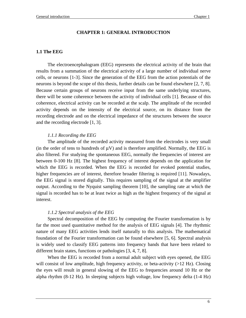### **CHAPTER 1: GENERAL INTRODUCTION**

### **1.1 The EEG**

The electroencephalogram (EEG) represents the electrical activity of the brain that results from a summation of the electrical activity of a large number of individual nerve cells, or neurons [1-3]. Since the generation of the EEG from the action potentials of the neurons is beyond the scope of this thesis, further details can be found elsewhere [2, 7, 8]. Because certain groups of neurons receive input from the same underlying structures, there will be some coherence between the activity of individual cells [1]. Because of this coherence, electrical activity can be recorded at the scalp. The amplitude of the recorded activity depends on the intensity of the electrical source, on its distance from the recording electrode and on the electrical impedance of the structures between the source and the recording electrode [1, 3].

### *1.1.1 Recording the EEG*

The amplitude of the recorded activity measured from the electrodes is very small (in the order of tens to hundreds of  $\mu$ V) and is therefore amplified. Normally, the EEG is also filtered. For studying the spontaneous EEG, normally the frequencies of interest are between 0-100 Hz [8]. The highest frequency of interest depends on the application for which the EEG is recorded. When the EEG is recorded for evoked potential studies, higher frequencies are of interest, therefore broader filtering is required [11]. Nowadays, the EEG signal is stored digitally. This requires sampling of the signal at the amplifier output. According to the Nyquist sampling theorem [10], the sampling rate at which the signal is recorded has to be at least twice as high as the highest frequency of the signal at interest.

### *1.1.2 Spectral analysis of the EEG*

Spectral decomposition of the EEG by computing the Fourier transformation is by far the most used quantitative method for the analysis of EEG signals [4]. The rhythmic nature of many EEG activities lends itself naturally to this analysis. The mathematical foundation of the Fourier transformation can be found elsewhere [5, 6]. Spectral analysis is widely used to classify EEG patterns into frequency bands that have been related to different brain states, functions or pathologies [3, 4, 7, 8].

When the EEG is recorded from a normal adult subject with eyes opened, the EEG will consist of low amplitude, high frequency activity, or beta-activity (>12 Hz). Closing the eyes will result in general slowing of the EEG to frequencies around 10 Hz or the alpha rhythm (8-12 Hz). In sleeping subjects high voltage, low frequency delta (1-4 Hz)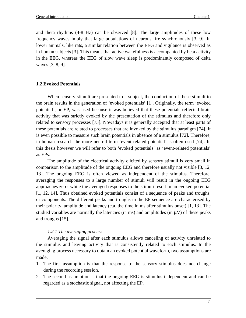and theta rhythms (4-8 Hz) can be observed [8]. The large amplitudes of these low frequency waves imply that large populations of neurons fire synchronously [3, 9]. In lower animals, like rats, a similar relation between the EEG and vigilance is observed as in human subjects [3]. This means that active wakefulness is accompanied by beta activity in the EEG, whereas the EEG of slow wave sleep is predominantly composed of delta waves [3, 8, 9].

### **1.2 Evoked Potentials**

When sensory stimuli are presented to a subject, the conduction of these stimuli to the brain results in the generation of 'evoked potentials' [1]. Originally, the term 'evoked potential', or EP, was used because it was believed that these potentials reflected brain activity that was strictly evoked by the presentation of the stimulus and therefore only related to sensory processes [73]. Nowadays it is generally accepted that at least parts of these potentials are related to processes that are invoked by the stimulus paradigm [74]. It is even possible to measure such brain potentials in absence of a stimulus [72]. Therefore, in human research the more neutral term 'event related potential' is often used [74]. In this thesis however we will refer to both 'evoked potentials' as 'event-related potentials' as EPs.

The amplitude of the electrical activity elicited by sensory stimuli is very small in comparison to the amplitude of the ongoing EEG and therefore usually not visible [3, 12, 13]. The ongoing EEG is often viewed as independent of the stimulus. Therefore, averaging the responses to a large number of stimuli will result in the ongoing EEG approaches zero, while the averaged responses to the stimuli result in an evoked potential [1, 12, 14]. Thus obtained evoked potentials consist of a sequence of peaks and troughs, or components. The different peaks and troughs in the EP sequence are characterised by their polarity, amplitude and latency (e.a. the time in ms after stimulus onset) [1, 13]. The studied variables are normally the latencies (in ms) and amplitudes (in  $\mu$ V) of these peaks and troughs [15].

### *1.2.1 The averaging process*

Averaging the signal after each stimulus allows canceling of activity unrelated to the stimulus and leaving activity that is consistently related to each stimulus. In the averaging process necessary to obtain an evoked potential waveform, two assumptions are made.

- 1. The first assumption is that the response to the sensory stimulus does not change during the recording session.
- 2. The second assumption is that the ongoing EEG is stimulus independent and can be regarded as a stochastic signal, not affecting the EP.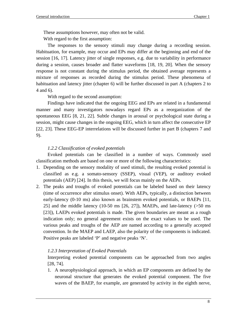These assumptions however, may often not be valid.

With regard to the first assumption:

The responses to the sensory stimuli may change during a recording session. Habituation, for example, may occur and EPs may differ at the beginning and end of the session [16, 17]. Latency jitter of single responses, e.g. due to variability in performance during a session, causes broader and flatter waveforms [18, 19, 20]. When the sensory response is not constant during the stimulus period, the obtained average represents a mixture of responses as recorded during the stimulus period. These phenomena of habituation and latency jitter (chapter 6) will be further discussed in part A (chapters 2 to 4 and 6).

With regard to the second assumption:

Findings have indicated that the ongoing EEG and EPs are related in a fundamental manner and many investigators nowadays regard EPs as a reorganization of the spontaneous EEG [8, 21, 22]. Subtle changes in arousal or psychological state during a session, might cause changes in the ongoing EEG, which in turn affect the consecutive EP [22, 23]. These EEG-EP interrelations will be discussed further in part B (chapters 7 and 9).

### *1.2.2 Classification of evoked potentials*

Evoked potentials can be classified in a number of ways. Commonly used classification methods are based on one or more of the following characteristics:

- 1. Depending on the sensory modality of used stimuli, the resulting evoked potential is classified as e.g. a somato-sensory (SSEP), visual (VEP), or auditory evoked potentials (AEP) [24]. In this thesis, we will focus mainly on the AEPs.
- 2. The peaks and troughs of evoked potentials can be labeled based on their latency (time of occurrence after stimulus onset). With AEPs, typically, a distinction between early-latency (0-10 ms) also known as brainstem evoked potentials, or BAEPs [11, 25] and the middle latency (10-50 ms  $[26, 27]$ ), MAEPs, and late-latency ( $>50$  ms [23]), LAEPs evoked potentials is made. The given boundaries are meant as a rough indication only; no general agreement exists on the exact values to be used. The various peaks and troughs of the AEP are named according to a generally accepted convention. In the MAEP and LAEP, also the polarity of the components is indicated. Positive peaks are labeled 'P' and negative peaks 'N'.

### *1.2.3 Interpretation of Evoked Potentials*

Interpreting evoked potential components can be approached from two angles [28, 74].

1. A neurophysiological approach, in which an EP components are defined by the neuronal structure that generates the evoked potential component. The five waves of the BAEP, for example, are generated by activity in the eighth nerve,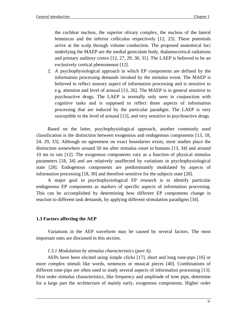the cochlear nucleus, the superior olivary complex, the nucleus of the lateral lemniscus and the inferior colliculus respectively [12, 25]. These potentials arrive at the scalp through volume conduction. The proposed anatomical loci underlying the MAEP are the medial geniculate body, thalamocortical radiations and primary auditory cortex [12, 27, 29, 30, 31]. The LAEP is believed to be an exclusively cortical phenomenon [12].

2. A psychophysiological approach in which EP components are defined by the information processing demands invoked by the stimulus event. The MAEP is believed to reflect sensory aspect of information processing and is sensitive to e.g. attention and level of arousal [13, 26]. The MAEP is in general sensitive to psychoactive drugs. The LAEP is normally only seen in conjunction with cognitive tasks and is supposed to reflect those aspects of information processing that are induced by the particular paradigm. The LAEP is very susceptible to the level of arousal [12], and very sensitive to psychoactive drugs.

Based on the latter, psychophysiological approach, another commonly used classification is the distinction between exogenous and endogenous components [13, 18, 24, 29, 33]. Although no agreement on exact boundaries exists, most studies place the distinction somewhere around 50 ms after stimulus onset in humans [13, 34] and around 10 ms in rats [12]. The exogenous components vary as a function of physical stimulus parameters [18, 34] and are relatively unaffected by variations in psychophysiological state [28]. Endogenous components are predominantly modulated by aspects of information processing [18, 30] and therefore sensitive for the subjects state [28].

A major goal in psychophysiological EP research is to identify particular endogenous EP components as markers of specific aspects of information processing. This can be accomplished by determining how different EP components change in reaction to different task demands, by applying different stimulation paradigms [34].

### **1.3 Factors affecting the AEP**

Variations in the AEP waveform may be caused by several factors. The most important ones are discussed in this section.

### *1.3.1 Modulation by stimulus characteristics (part A).*

AEPs have been elicited using simple clicks [17], short and long tone-pips [16] or more complex stimuli like words, sentences or musical pieces [40]. Combinations of different tone-pips are often used to study several aspects of information processing [13]. First order stimulus characteristics, like frequency and amplitude of tone pips, determine for a large part the architecture of mainly early, exogenous components. Higher order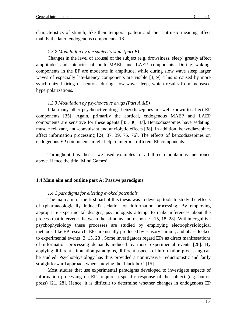characteristics of stimuli, like their temporal pattern and their intrinsic meaning affect mainly the later, endogenous components [18].

### *1.3.2 Modulation by the subject's state (part B).*

Changes in the level of arousal of the subject (e.g. drowsiness, sleep) greatly affect amplitudes and latencies of both MAEP and LAEP components. During waking, components in the EP are moderate in amplitude, while during slow wave sleep larger waves of especially late-latency components are visible [3, 9]. This is caused by more synchronized firing of neurons during slow-wave sleep, which results from increased hyperpolarizations.

### *1.3.3 Modulation by psychoactive drugs (Part A &B)*

Like many other psychoactive drugs benzodiazepines are well known to affect EP components [35]. Again, primarily the cortical, endogenous MAEP and LAEP components are sensitive for these agents [35, 36, 37]. Benzodiazepines have sedating, muscle relaxant, anti-convulsant and anxiolytic effects [38]. In addition, benzodiazepines affect information processing [24, 37, 39, 75, 76]. The effects of benzodiazepines on endogenous EP components might help to interpret different EP components.

Throughout this thesis, we used examples of all three modulations mentioned above. Hence the title 'Mind Games'.

### **1.4 Main aim and outline part A: Passive paradigms**

### *1.4.1 paradigms for eliciting evoked potentials*

The main aim of the first part of this thesis was to develop tools to study the effects of (pharmacologically induced) sedation on information processing. By employing appropriate experimental designs, psychologists attempt to make inferences about the process that intervenes between the stimulus and response. [15, 18, 28]. Within cognitive psychophysiology these processes are studied by employing electrophysiological methods, like EP research. EPs are usually produced by sensory stimuli, and phase locked to experimental events [3, 13, 28]. Some investigators regard EPs as direct manifestations of information processing demands induced by those experimental events [28]. By applying different stimulation paradigms, different aspects of information processing can be studied. Psychophysiology has thus provided a noninvasive, reductionistic and fairly straightforward approach when studying the 'black box' [15].

Most studies that use experimental paradigms developed to investigate aspects of information processing on EPs require a specific response of the subject (e.g. button press) [21, 28]. Hence, it is difficult to determine whether changes in endogenous EP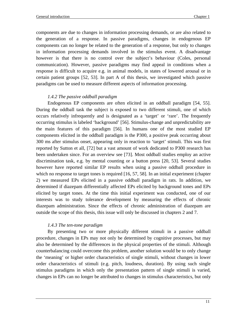components are due to changes in information processing demands, or are also related to the generation of a response. In passive paradigms, changes in endogenous EP components can no longer be related to the generation of a response, but only to changes in information processing demands involved in the stimulus event. A disadvantage however is that there is no control over the subject's behaviour (Coles, personal communication). However, passive paradigms may find appeal in conditions when a response is difficult to acquire e.g. in animal models, in states of lowered arousal or in certain patient groups [52, 53]. In part A of this thesis, we investigated which passive paradigms can be used to measure different aspects of information processing.

### *1.4.2 The passive oddball paradigm*

Endogenous EP components are often elicited in an oddball paradigm [54, 55]. During the oddball task the subject is exposed to two different stimuli, one of which occurs relatively infrequently and is designated as a 'target' or 'rare'. The frequently occurring stimulus is labeled 'background' [56]. Stimulus-change and unpredictability are the main features of this paradigm [56]. In humans one of the most studied EP components elicited in the oddball paradigm is the P300, a positive peak occurring about 300 ms after stimulus onset, appearing only in reaction to 'target' stimuli. This was first reported by Sutton et all, [72] but a vast amount of work dedicated to P300 research has been undertaken since. For an overview see [73]. Most oddball studies employ an active discrimination task, e.g. by mental counting or a button press [20, 53]. Several studies however have reported similar EP results when using a passive oddball procedure in which no response to target tones is required [16, 57, 58]. In an initial experiment (chapter 2) we measured EPs elicited in a passive oddball paradigm in rats. In addition, we determined if diazepam differentially affected EPs elicited by background tones and EPs elicited by target tones. At the time this initial experiment was conducted, one of our interests was to study tolerance development by measuring the effects of chronic diazepam administration. Since the effects of chronic administration of diazepam are outside the scope of this thesis, this issue will only be discussed in chapters 2 and 7.

### *1.4.3 The ten-tone paradigm*

By presenting two or more physically different stimuli in a passive oddball procedure, changes in EPs may not only be determined by cognitive processes, but may also be determined by the differences in the physical properties of the stimuli. Although counterbalancing could overcome this problem, another solution would be to only change the 'meaning' or higher order characteristics of single stimuli, without changes in lower order characteristics of stimuli (e.g. pitch, loudness, duration). By using such single stimulus paradigms in which only the presentation pattern of single stimuli is varied, changes in EPs can no longer be attributed to changes in stimulus characteristics, but only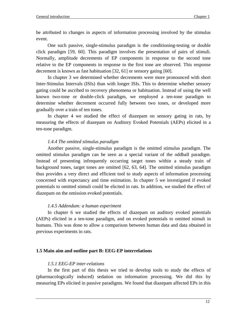be attributed to changes in aspects of information processing involved by the stimulus event.

One such passive, single-stimulus paradigm is the conditioning-testing or double click paradigm [59, 60]. This paradigm involves the presentation of pairs of stimuli. Normally, amplitude decrements of EP components in response to the second tone relative to the EP components in response to the first tone are observed. This response decrement is known as fast habituation [32, 61] or sensory gating [60].

In chapter 3 we determined whether decrements were more pronounced with short Inter-Stimulus Intervals (ISIs) than with longer ISIs. This to determine whether sensory gating could be ascribed to recovery phenomena or habituation. Instead of using the well known two-tone or double-click paradigm, we employed a ten-tone paradigm to determine whether decrement occurred fully between two tones, or developed more gradually over a train of ten tones.

In chapter 4 we studied the effect of diazepam on sensory gating in rats, by measuring the effects of diazepam on Auditory Evoked Potentials (AEPs) elicited in a ten-tone paradigm.

### *1.4.4 The omitted stimulus paradigm*

Another passive, single-stimulus paradigm is the omitted stimulus paradigm. The omitted stimulus paradigm can be seen as a special variant of the oddball paradigm. Instead of presenting infrequently occurring target tones within a steady train of background tones, target tones are omitted [62, 63, 64]. The omitted stimulus paradigm thus provides a very direct and efficient tool to study aspects of information processing concerned with expectancy and time estimation. In chapter 5 we investigated if evoked potentials to omitted stimuli could be elicited in rats. In addition, we studied the effect of diazepam on the omission evoked potentials.

### *1.4.5 Addendum: a human experiment*

In chapter 6 we studied the effects of diazepam on auditory evoked potentials (AEPs) elicited in a ten-tone paradigm, and on evoked potentials to omitted stimuli in humans. This was done to allow a comparison between human data and data obtained in previous experiments in rats.

### **1.5 Main aim and outline part B: EEG-EP interrelations**

### *1.5.1 EEG-EP inter-relations*

In the first part of this thesis we tried to develop tools to study the effects of (pharmacologically induced) sedation on information processing. We did this by measuring EPs elicited in passive paradigms. We found that diazepam affected EPs in this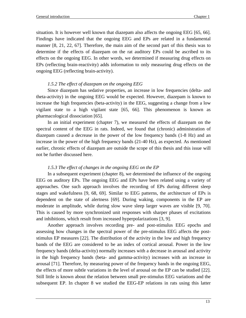situation. It is however well known that diazepam also affects the ongoing EEG [65, 66]. Findings have indicated that the ongoing EEG and EPs are related in a fundamental manner [8, 21, 22, 67]. Therefore, the main aim of the second part of this thesis was to determine if the effects of diazepam on the rat auditory EPs could be ascribed to its effects on the ongoing EEG. In other words, we determined if measuring drug effects on EPs (reflecting brain-reactivity) adds information to only measuring drug effects on the ongoing EEG (reflecting brain-activity).

### *1.5.2 The effect of diazepam on the ongoing EEG*

Since diazepam has sedative properties, an increase in low frequencies (delta- and theta-activity) in the ongoing EEG would be expected. However, diazepam is known to increase the high frequencies (beta-activity) in the EEG, suggesting a change from a low vigilant state to a high vigilant state [65, 66]. This phenomenon is known as pharmacological dissociation [65].

In an initial experiment (chapter 7), we measured the effects of diazepam on the spectral content of the EEG in rats. Indeed, we found that (chronic) administration of diazepam caused a decrease in the power of the low frequency bands (1-8 Hz) and an increase in the power of the high frequency bands (21-40 Hz), as expected. As mentioned earlier, chronic effects of diazepam are outside the scope of this thesis and this issue will not be further discussed here.

### *1.5.3 The effect of changes in the ongoing EEG on the EP*

In a subsequent experiment (chapter 8), we determined the influence of the ongoing EEG on auditory EPs. The ongoing EEG and EPs have been related using a variety of approaches. One such approach involves the recording of EPs during different sleep stages and wakefulness [9, 68, 69]. Similar to EEG patterns, the architecture of EPs is dependent on the state of alertness [69]. During waking, components in the EP are moderate in amplitude, while during slow wave sleep larger waves are visible [9, 70]. This is caused by more synchronized unit responses with sharper phases of excitations and inhibitions, which result from increased hyperpolarizations [3, 9].

Another approach involves recording pre- and post-stimulus EEG epochs and assessing how changes in the spectral power of the pre-stimulus EEG affects the poststimulus EP measures [22]. The distribution of the activity in the low and high frequency bands of the EEG are considered to be an index of cortical arousal. Power in the low frequency bands (delta-activity) normally increases with a decrease in arousal and activity in the high frequency bands (beta- and gamma-activity) increases with an increase in arousal [71]. Therefore, by measuring power of the frequency bands in the ongoing EEG, the effects of more subtle variations in the level of arousal on the EP can be studied [22]. Still little is known about the relation between small pre-stimulus EEG variations and the subsequent EP. In chapter 8 we studied the EEG-EP relations in rats using this latter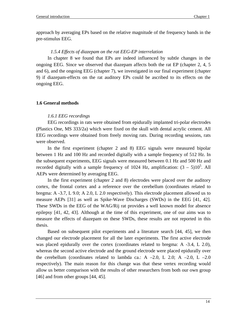approach by averaging EPs based on the relative magnitude of the frequency bands in the pre-stimulus EEG.

### *1.5.4 Effects of diazepam on the rat EEG-EP interrelation*

In chapter 8 we found that EPs are indeed influenced by subtle changes in the ongoing EEG. Since we observed that diazepam affects both the rat EP (chapter 2, 4, 5 and 6), and the ongoing EEG (chapter 7), we investigated in our final experiment (chapter 9) if diazepam-effects on the rat auditory EPs could be ascribed to its effects on the ongoing EEG.

### **1.6 General methods**

### *1.6.1 EEG recordings*

EEG recordings in rats were obtained from epidurally implanted tri-polar electrodes (Plastics One, MS 333/2a) which were fixed on the skull with dental acrylic cement. All EEG recordings were obtained from freely moving rats. During recording sessions, rats were observed.

In the first experiment (chapter 2 and 8) EEG signals were measured bipolar between 1 Hz and 100 Hz and recorded digitally with a sample frequency of 512 Hz. In the subsequent experiments, EEG signals were measured between 0.1 Hz and 500 Hz and recorded digitally with a sample frequency of 1024 Hz, amplification:  $(3 - 5)10<sup>5</sup>$ . All AEPs were determined by averaging EEG.

In the first experiment (chapter 2 and 8) electrodes were placed over the auditory cortex, the frontal cortex and a reference over the cerebellum (coordinates related to bregma: A -3.7, L 9.0; A 2.0, L 2.0 respectively). This electrode placement allowed us to measure AEPs [31] as well as Spike-Wave Discharges (SWDs) in the EEG [41, 42]. These SWDs in the EEG of the WAG/Rij rat provides a well known model for absence epilepsy [41, 42, 43]. Although at the time of this experiment, one of our aims was to measure the effects of diazepam on these SWDs, these results are not reported in this thesis.

Based on subsequent pilot experiments and a literature search [44, 45], we then changed our electrode placement for all the later experiments. The first active electrode was placed epidurally over the cortex (coordinates related to bregma: A -3.4, L 2.0), whereas the second active electrode and the ground electrode were placed epidurally over the cerebellum (coordinates related to lambda ca.: A  $-2.0$ , L  $2.0$ ; A  $-2.0$ , L  $-2.0$ respectively). The main reason for this change was that these vertex recording would allow us better comparison with the results of other researchers from both our own group [46] and from other groups [44, 45].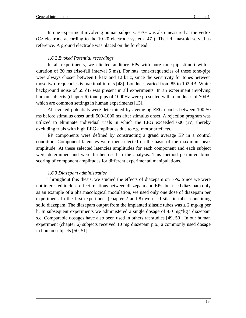In one experiment involving human subjects, EEG was also measured at the vertex (Cz electrode according to the 10-20 electrode system [47]). The left mastoid served as reference. A ground electrode was placed on the forehead.

### *1.6.2 Evoked Potential recordings*

In all experiments, we elicited auditory EPs with pure tone-pip stimuli with a duration of 20 ms (rise-fall interval 5 ms). For rats, tone-frequencies of these tone-pips were always chosen between 8 kHz and 12 kHz, since the sensitivity for tones between those two frequencies is maximal in rats [48]. Loudness varied from 85 to 102 dB. White background noise of 65 dB was present in all experiments. In an experiment involving human subjects (chapter 6) tone-pips of 1000Hz were presented with a loudness of 70dB, which are common settings in human experiments [13].

All evoked potentials were determined by averaging EEG epochs between 100-50 ms before stimulus onset until 500-1000 ms after stimulus onset. A rejection program was utilized to eliminate individual trials in which the EEG exceeded  $600 \mu V$ , thereby excluding trials with high EEG amplitudes due to e.g. motor artefacts.

EP components were defined by constructing a grand average EP in a control condition. Component latencies were then selected on the basis of the maximum peak amplitude. At these selected latencies amplitudes for each component and each subject were determined and were further used in the analysis. This method permitted blind scoring of component amplitudes for different experimental manipulations.

### *1.6.3 Diazepam administration*

Throughout this thesis, we studied the effects of diazepam on EPs. Since we were not interested in dose-effect relations between diazepam and EPs, but used diazepam only as an example of a pharmacological modulation, we used only one dose of diazepam per experiment. In the first experiment (chapter 2 and 8) we used silastic tubes containing solid diazepam. The diazepam output from the implanted silastic tubes was  $\pm 2$  mg/kg per h. In subsequent experiments we administered a single dosage of 4.0  $mg*kg^{-1}$  diazepam s.c. Comparable dosages have also been used in others rat studies [49, 50]. In our human experiment (chapter 6) subjects received 10 mg diazepam p.o., a commonly used dosage in human subjects [50, 51].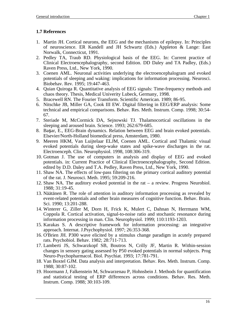### **1.7 References**

- 1. Martin JH. Cortical neurons, the EEG and the mechanisms of epilepsy. In: Principles of neuroscience. ER Kandell and JH Schwartz (Eds.) Appleton & Lange: East Norwalk, Connecticut, 1991.
- 2. Pedley TA, Traub RD. Physiological basis of the EEG. In: Current practice of Clinical Electroencephalography, second Edition. DD Daley and TA Padley, (Eds.) Raven Press, Ltd., New York, 1990.
- 3. Coenen AML. Neuronal activities underlying the electroencephalogram and evoked potentials of sleeping and waking: implications for information processing. Neurosci. Biobehav. Rev. 1995; 19:447-463.
- 4. Quian Quiroga R. Quantitative analysis of EEG signals: Time-frequency methods and chaos theory. Thesis, Medical Univerity Lubeck, Germany, 1998.
- 5. Bracewell RN. The Fourier Transform. Scientific American. 1989; 86-95.
- 6. Nitschke JB, Miller GA, Cook III EW. Digital filtering in EEG/ERP analysis: Some technical and empirical comparisons. Behav. Res. Meth. Instrum. Comp. 1998; 30:54- 67.
- 7. Steriade M, McCormick DA, Sejnowski TJ. Thalamocortical oscillations in the sleeping and aroused brain. Science. 1993; 262:679-685.
- 8. Başar, E., EEG-Brain dynamics. Relation between EEG and brain evoked potentials. Elsevier/North-Holland biomedical press, Amsterdam, 1980.
- 9. Meeren HKM, Van Luijtelaar ELJM, Coenen AML. Cortical and Thalamic visual evoked potentials during sleep-wake states and spike-wave discharges in the rat. Electroenceph. Clin. Neurophysiol. 1998, 108:306-319.
- 10. Gotman J. The use of computers in analysis and display of EEG and evoked potentials. in: Current Practice of Clinical Electroencephalography, Second Edition. edited by D.D. Daley and T.A. Pedley, Raven Press, Ltd., New York, 1990.
- 11. Shaw NA. The effects of low-pass filtering on the primary cortical auditory potential of the rat. J. Neurosci. Meth. 1995; 59:209-216.
- 12. Shaw NA. The auditory evoked potential in the rat a review. Progress Neurobiol. 1988; 31:19-45.
- 13. Näätänen R. The role of attention in auditory information processing as revealed by event-related potentials and other brain measures of cognitive function. Behav. Brain. Sci. 1990; 13:201-288.
- 14. Winterer G, Ziller M, Dorn H, Frick K, Mulert C, Dahnan N, Herrmann WM, Coppola R. Cortical activation, signal-to-noise ratio and stochastic resonance during information processing in man. Clin. Neurophysiol. 1999; 110:1193-1203.
- 15. Karakas S. A descriptive framework for information processing: an integrative approach. Internat. J.Psychophysiol. 1997; 26:353-368.
- 16. O'Brien JH. P300 wave elicited by a stimulus change paradigm in acutely prepared rats. Psychobiol. Behav. 1982; 28:711-713.
- 17. Lamberti JS, Schwarzkopf SB, Boutros N, Crilly JF, Martin R. Within-session changes in sensory gating assessed by P50 evoked potentials in normal subjects. Prog Neuro-Psychopharmacol. Biol. Psychiat. 1993; 17:781-791.
- 18. Van Boxtel GJM. Data analysis and interpretation. Behav. Res. Meth. Instrum. Comp. 1988; 30:87-102.
- 19. Hoormann J, Falkenstein M, Schwarzenau P, Hohnsbein J. Methods for quantification and statistical testing of ERP differences across conditions. Behav. Res. Meth. Instrum. Comp. 1988; 30:103-109.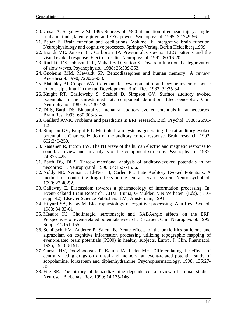- 20. Unsal A, Segalowitz SJ. 1995 Sources of P300 attenuation after head injury: singletrial amplitude, latency-jitter, and EEG power. Psychophysiol. 1995; 32:249-56.
- 21. Baar E. Brain function and oscillations. Volume II: Intergrative brain function. Neurophysiology and cognitive processes. Springer-Verlag, Berlin Heidelberg,1999.
- 22. Brandt ME, Jansen BH, Carbonari JP. Pre-stimulus spectral EEG patterns and the visual evoked response. Electroen. Clin. Neurophysiol. 1991; 80:16-20.
- 23. Ruchkin DS, Johnson R Jr, Mahaffey D, Sutton S. Toward a functional categorization of slow waves. Psychophysiol. 1988; 25:339-353.
- 24. Gnoheim MM, Mewaldt SP. Benzodiazepines and human memory: A review. Anesthesiol. 1990; 72:926-938.
- 25. Blatchley BJ, Cooper WA, Coleman JR. Development of auditory brainstem response to tone-pip stimuli in the rat. Development. Brain Res. 1987; 32:75-84.
- 26. Knight RT, Brailowsky S, Scabibi D, Simpson GV. Surface auditory evoked potentials in the unrestrained rat: component definition. Electroencephal. Clin. Neurophysiol. 1985; 61:430-439.
- 27. Di S, Barth DS. Binaural vs. monaural auditory evoked potentials in rat neocortex. Brain Res. 1993; 630:303-314.
- 28. Gaillard AWK. Problems and paradigms in ERP research. Biol. Psychol. 1988; 26:91- 109.
- 29. Simpson GV, Knight RT. Multiple brain systems generating the rat auditory evoked potential. I. Characterization of the auditory cortex response. Brain research. 1993; 602:240-250.
- 30. Näätänen R, Picton TW. The N1 wave of the human electric and magnetic response to sound: a review and an analysis of the component structure. Psychophysiol. 1987; 24:375-425.
- 31. Barth DS, Di S. Three-dimensional analysis of auditory-evoked potentials in rat neocortex. J. Neurophysiol. 1990; 64:1527-1536.
- 32. Noldy NE, Neiman J, El-Nesr B, Carlen PL. Late Auditory Evoked Potentials: A method for monitoring drug effects on the central nervous system. Neuropsychobiol. 1990; 23:48-52.
- 33. Callaway E. Discussion: towards a pharmacology of information processing. In: Event-Related Brain Research. CHM Brunia, G Mulder, MN Verbaten, (Eds). (EEG suppl 42). Elsevier Science Publishers B.V., Amsterdam, 1991.
- 34. Hilyard SA, Kutas M. Electrophysiology of cognitive processing. Ann Rev Psychol. 1983; 34:33-61
- 35. Meador KJ. Cholinergic, serotonergic and GABAergic effects on the ERP. Perspectives of event-related potentials research. Electroen. Clin. Neurophysiol. 1995; Suppl. 44:151-155.
- 36. Semlitsch HV, Anderer P, Saletu B. Acute effects of the anxiolitics suriclone and alprazolam on cognitive information processing utilizing topographic mapping of event-related brain potentials (P300) in healthy subjects. Europ. J. Clin. Pharmacol. 1995; 49:183-191.
- 37. Curran HV, Pooviboonsuk P, Kalton JA, Lader MH. Differentiating the effects of centrally acting drugs on arousal and memory: an event-related potential study of scopolamine, lorazepam and diphenhydramine. Psychopharmacology. 1998; 135:27- 36.
- 38. File SE. The history of benzodiazepine dependence: a review of animal studies. Neurosci. Biobehav. Rev. 1990; 14:135-146.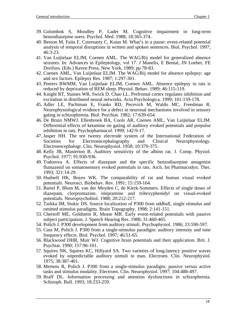- 39. Golombok S, Moodley P, Lader M. Cognitive impairment in long-term benzodiazepine users. Psychol. Med. 1988; 18:365-374.
- 40. Besson M, Faita F, Czternasty C, Kutas M. What's in a pause: event-related potential analysis of temporal disruptions in written and spoken sentences. Biol. Psychol. 1997; 46:3-23.
- 41. Van Luijtelaar ELJM, Coenen AML. The WAG/Rij model for generalized absence seizures. In: Advances in Epileptology, vol 17. J Manelis, E Bental, JN Loeber, FE Dreifuss. (Eds.) Raven Press, New York, 1989; pp 78-83.
- 42. Coenen AML, Van Luijtelaar ELJM. The WAG/Rij model for absence epilepsy: age and sex factors. Epilepsy Res. 1987; 1:297-301.
- 43. Peeters BWMM, Van Luijtelaar ELJM, Coenen AML. Absence epilepsy in rats is reduced by deprivation of REM sleep. Physiol. Behav. 1989; 46:115-119.
- 44. Knight RT, Staines WR, Swick D, Chao LL. Prefrontal cortex regulates inhibition and excitation in distributed neural networks. Acta Psychologica. 1999; 101:159-178.
- 45. Adler LE, Pachtman E, Franks RD, Pecevich M, Waldo MC, Freedman R. Neurophysiological evidence for a defect in neuronal mechanisms involved in sensory gating in schizophrenia. Biol. Psychiat. 1982; 17:639-654.
- 46. De Bruin NMWJ, Ellenbroek BA, Cools AR, Coenen AML, Van Luijtelaar ELJM. Differential effects of ketamine on gating of auditory evoked potentials and prepulse inhibition in rats. Psychopharmacol. 1999; 142:9-17.
- 47. Jasper HH. The ten twenty electrode system of the International Federation of Societies for Electroencephalography and Clinical Neurophysiology. Electroencephalogr. Clin. Neurophysiol. 1958; 10:370-375.
- 48. Kelly JB, Masterton B. Auditory sensitivity of the albino rat. J. Comp. Physiol. Psychol. 1977; 91:930-936.
- 49. Todorova A. Effects of diazepam and the specific benzodiazepine antagonist flumazenil on somatosensory evoked potentials in rats. Arch. Int Pharmacodyn. Ther. 1993; 321:14-29.
- 50. Hudnell HK, Boyes WK. The comparability of rat and human visual evoked potentials. Neurosci. Biobehav. Rev. 1991; 15:159-164.
- 51. Bartel P, Blom M, van der Meyden C, de Klerk-Sommers. Effects of single doses of diazepam, clorpromazine, imipramine and trihexyphenidyl on visual-evoked potentials. Neuropsychobiol. 1988; 20:212-217.
- 52. Tarkka IM, Stokic DS. Source localization of P300 from oddball, single stimulus and omitted stimulus paradigms. Brain Topography. 1998; 2:141-151.
- 53. Chertoff ME, Goldstein R, Mease MR. Early event-related potentials with passive subject participation. J. Speech Hearing Res. 1988; 31:460-465.
- 54. Polich J. P300 development from auditory stimuli. Psychophysiol. 1986; 23:590-597.
- 55. Cass M, Polich J. P300 from a single-stimulus paradigm: auditory intensity and tone frequency effects. Biol. Psychol. 1997; 46:51-65.
- 56. Blackwood DHR, Muir WJ. Cognitive brain potentials and their application. Brit. J. Psychiat. 1990; 157:96-101.
- 57. Squires NK, Squires KC, Hillyard SA. Two varieties of long-latency positive waves evoked by unpredictable auditory stimuli in man. Electroen. Clin. Neurophysiol. 1975; 38:387-401.
- 58. Mertens R, Polich J. P300 from a single-stimulus paradigm: passive versus active tasks and stimulus modality. Electroen. Clin. Neurophysiol. 1997; 104:488-497.
- 59. Braff DL. Information processing and attention dysfunctions in schizophrenia. Schizoph. Bull. 1993; 18:233-259.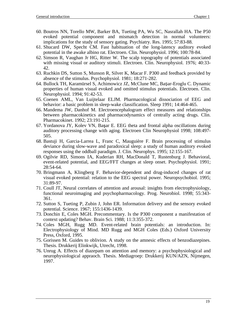- 60. Boutros NN, Torello MW, Barker BA, Tueting PA, Wu SC, Nasrallah HA. The P50 evoked potential component and mismatch detection in normal volunteers: implications for the study of sensory gating. Psychiatry. Res. 1995; 57:83-88.
- 61. Shucard DW, Specht CM. Fast habituation of the long-latency auditory evoked potential in the awake albino rat. Electroen. Clin. Neurophysiol. 1996; 100:78-84.
- 62. Simson R, Vaughan Jr HG, Ritter W. The scalp topography of potentials associated with missing visual or auditory stimuli. Electroen. Clin. Neurophysiol. 1976; 40:33- 42.
- 63. Ruchkin DS, Sutton S, Munson R, Silver K, Macar F. P300 and feedback provided by absence of the stimulus. Psychophysiol. 1981; 18:271-282.
- 64. Bullock TH, Karamürsel S, Achimowicz JZ, McClune MC, Başar-Eroglu C. Dynamic properties of human visual evoked and omitted stimulus potentials. Electroen. Clin. Neurophysiol. 1994; 91:42-53.
- 65. Coenen AML, Van Luijtelaar ELJM. Pharmacological dissociation of EEG and behavior: a basic problem in sleep-wake classification. Sleep 1991; 14:464-465.
- 66. Mandema JW, Danhof M. Electroencephalogram effect measures and relationships between pharmacokinetics and pharmacodynamics of centrally acting drugs. Clin. Pharmacokinet. 1992; 23:191-215.
- 67. Yordanova JY, Kolev VN, Baar E. EEG theta and frontal alpha oscillations during auditory processing change with aging. Electroen Clin Neurophysiol 1998; 108:497- 505.
- 68. Bastuji H, Garcia-Larrea L, Franc C, Mauguière F. Brain processing of stimulus deviance during slow-wave and paradoxical sleep: a study of human auditory evoked responses using the oddball paradigm. J. Clin. Neurophys. 1995; 12:155-167.
- 69. Ogilvie RD, Simons IA, Kuderian RH, MacDonald T, Rustenburg J. Behavioral, event-related potential, and EEG/FFT changes at sleep onset. Psychophysiol. 1991; 28:54-64.
- 70. Bringmann A, Klingberg F. Behavior-dependent and drug-induced changes of rat visual evoked potential: relation to the EEG spectral power. Neuropsychobiol. 1995; 31:89-97.
- 71. Coull JT, Neural correlates of attention and arousal: insights from electrophysiology, functional neuroimaging and psychopharmacology. Prog. Neurobiol. 1998; 55:343- 361.
- 72. Sutton S, Tueting P, Zubin J, John ER. Information delivery and the sensory evoked potential. Science. 1967; 155:1436-1439.
- 73. Donchin E, Coles MGH. Precommentary. Is the P300 component a manifestation of context updating? Behav. Brain Sci. 1988; 11:3:355-372.
- 74. Coles MGH, Rugg MD. Event-related brain potentials: an introduction. In: Electrophysiology of Mind. MD Rugg and MGH Coles (Eds.) Oxford University Press, Oxford, 1995.
- 75. Gorissen M. Guides to oblivion. A study on the amnesic effects of benzodiazepines. Thesis. Drukkerij Elinkwijk, Utrecht, 1998.
- 76. Unrug A. Effects of diazepam on attention and memory: a psychophysiological and neurophysiological appraoch. Thesis. Mediagroep: Drukkerij KUN/AZN, Nijmegen, 1997.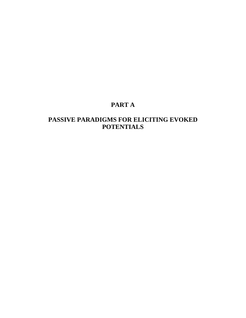### **PART A**

### **PASSIVE PARADIGMS FOR ELICITING EVOKED POTENTIALS**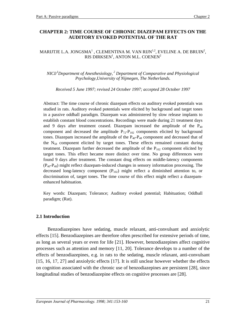### **CHAPTER 2: TIME COURSE OF CHRONIC DIAZEPAM EFFECTS ON THE AUDITORY EVOKED POTENTIAL OF THE RAT**

### MARIJTJE L.A. JONGSMA $^{\rm l}$  , CLEMENTINA M. VAN RIJN $^{\rm l,2}$ , EVELINE A. DE BRUIN $^{\rm 2}$ , RIS DIRKSEN $^{\rm l}$ , ANTON M.L. COENEN $^{\rm 2}$

*NICI/<sup>1</sup> Department of Anesthesiology, 2 Department of Comparative and Physiological Psychology,University of Nijmegen, The Netherlands.*

*Received 5 June 1997; revised 24 October 1997; accepted 28 October 1997*

Abstract: The time course of chronic diazepam effects on auditory evoked potentials was studied in rats. Auditory evoked potentials were elicited by background and target tones in a passive oddball paradigm. Diazepam was administered by slow release implants to establish constant blood concentrations. Recordings were made during 21 treatment days and 9 days after treatment ceased. Diazepam increased the amplitude of the  $P_{40}$ component and decreased the amplitude  $P_{72}-P_{102}$  components elicited by background tones. Diazepam increased the amplitude of the  $P_{40}-P_{48}$  component and decreased that of the N58 component elicited by target tones. These effects remained constant during treatment. Diazepam further decreased the amplitude of the  $P_{102}$  component elicited by target tones. This effect became more distinct over time. No group differences were found 9 days after treatment. The constant drug effects on middle-latency components (P40-P48) might reflect diazepam-induced changes in sensory information processing. The decreased long-latency component  $(P_{102})$  might reflect a diminished attention to, or discrimination of, target tones. The time course of this effect might reflect a diazepamenhanced habituation.

Key words: Diazepam; Tolerance; Auditory evoked potential; Habituation; Oddball paradigm; (Rat).

### **2.1 Introduction**

Benzodiazepines have sedating, muscle relaxant, anti-convulsant and anxiolytic effects [15]. Benzodiazepines are therefore often prescribed for extensive periods of time, as long as several years or even for life [21]. However, benzodiazepines affect cognitive processes such as attention and memory [11, 20]. Tolerance develops to a number of the effects of benzodiazepines, e.g. in rats to the sedating, muscle relaxant, anti-convulsant [15, 16, 17, 27] and anxiolytic effects [17]. It is still unclear however whether the effects on cognition associated with the chronic use of benzodiazepines are persistent [28], since longitudinal studies of benzodiazepine effects on cognitive processes are [28].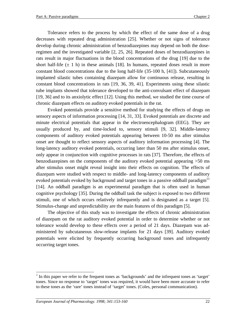Tolerance refers to the process by which the effect of the same dose of a drug decreases with repeated drug administration [25]. Whether or not signs of tolerance develop during chronic administration of benzodiazepines may depend on both the doseregimen and the investigated variable [2, 25, 26]. Repeated doses of benzodiazepines in rats result in major fluctuations in the blood concentrations of the drug [19] due to the short half-life  $(\pm 1 \text{ h})$  in these animals [18]. In humans, repeated doses result in more constant blood concentrations due to the long half-life (35-100 h, [41]). Subcutaneously implanted silastic tubes containing diazepam allow for continuous release, resulting in constant blood concentrations in rats [19, 36, 39, 41]. Experiments using these silastic tube implants showed that tolerance developed to the anti-convulsant effect of diazepam [19, 36] and to its anxiolytic effect [12]. Using this method, we studied the time course of chronic diazepam effects on auditory evoked potentials in the rat.

Evoked potentials provide a sensitive method for studying the effects of drugs on sensory aspects of information processing [14, 31, 33]. Evoked potentials are discrete and minute electrical potentials that appear in the electroencephalogram (EEG). They are usually produced by, and time-locked to, sensory stimuli [9, 32]. Middle-latency components of auditory evoked potentials appearing between 10-50 ms after stimulus onset are thought to reflect sensory aspects of auditory information processing [4]. The long-latency auditory evoked potentials, occurring later than 50 ms after stimulus onset, only appear in conjunction with cognitive processes in rats [37]. Therefore, the effects of benzodiazepines on the components of the auditory evoked potential appearing >50 ms after stimulus onset might reveal insight into their effects on cognition. The effects of diazepam were studied with respect to middle- and long-latency components of auditory evoked potentials evoked by background and target tones in a passive oddball paradigm $11$ [14]. An oddball paradigm is an experimental paradigm that is often used in human cognitive psychology [35]. During the oddball task the subject is exposed to two different stimuli, one of which occurs relatively infrequently and is designated as a target [5]. Stimulus-change and unpredictability are the main features of this paradigm [5].

The objective of this study was to investigate the effects of chronic administration of diazepam on the rat auditory evoked potential in order to determine whether or not tolerance would develop to these effects over a period of 21 days. Diazepam was administered by subcutaneous slow-release implants for 21 days [39]. Auditory evoked potentials were elicited by frequently occurring background tones and infrequently occurring target tones.

 $\overline{a}$ 

<sup>&</sup>lt;sup>1</sup> In this paper we refer to the frequent tones as 'backgrounds' and the infrequent tones as 'target' tones. Since no response to 'target' tones was required, it would have been more accurate to refer to these tones as the 'rare' tones instead of 'target' tones. (Coles, personal communication).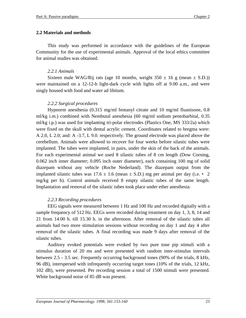### **2.2 Materials and methods**

This study was performed in accordance with the guidelines of the European Community for the use of experimental animals. Approval of the local ethics committee for animal studies was obtained.

### *2.2.1 Animals*

Sixteen male WAG/Rij rats (age 10 months, weight  $350 \pm 16$  g (mean  $\pm$  S.D.)) were maintained on a 12-12-h light-dark cycle with lights off at 9.00 a.m., and were singly housed with food and water ad libitum.

### *2.2.2 Surgical procedures*

Hypnorm anesthesia (0.315 mg/ml fentanyl citrate and 10 mg/ml fluanisone, 0.8 ml/kg i.m.) combined with Nembutal anesthesia (60 mg/ml sodium pentobarbital, 0.35 ml/kg i.p.) was used for implanting tri-polar electrodes (Plastics One, MS 333/2a) which were fixed on the skull with dental acrylic cement. Coordinates related to bregma were: A 2.0, L 2.0; and: A -3.7, L 9.0. respectively. The ground electrode was placed above the cerebellum. Animals were allowed to recover for four weeks before silastic tubes were implanted. The tubes were implanted, in pairs, under the skin of the back of the animals. For each experimental animal we used 8 silastic tubes of 8 cm length (Dow Corning, 0.062 inch inner diameter; 0.095 inch outer diameter), each containing 100 mg of solid diazepam without any vehicle (Roche Nederland). The diazepam output from the implanted silastic tubes was  $17.6 \pm 1.6$  (mean  $\pm$  S.D.) mg per animal per day (i.e. • 2 mg/kg per h). Control animals received 8 empty silastic tubes of the same length. Implantation and removal of the silastic tubes took place under ether anesthesia.

### *2.2.3 Recording procedures*

EEG signals were measured between 1 Hz and 100 Hz and recorded digitally with a sample frequency of 512 Hz. EEGs were recorded during treatment on day 1, 3, 8, 14 and 21 from 14.00 h. till 15.30 h. in the afternoon. After removal of the silastic tubes all animals had two more stimulation sessions without recording on day 1 and day 4 after removal of the silastic tubes. A final recording was made 9 days after removal of the silastic tubes.

Auditory evoked potentials were evoked by two pure tone pip stimuli with a stimulus duration of 20 ms and were presented with random inter-stimulus intervals between 2.5 - 3.5 sec. Frequently occurring background tones (90% of the trials, 8 kHz, 96 dB), interspersed with infrequently occurring target tones (10% of the trials, 12 kHz, 102 dB), were presented. Per recording session a total of 1500 stimuli were presented. White background noise of 85 dB was present.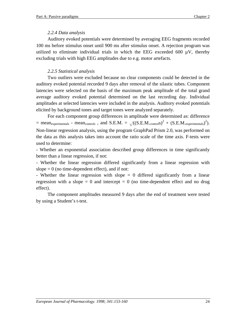### *2.2.4 Data analysis*

Auditory evoked potentials were determined by averaging EEG fragments recorded 100 ms before stimulus onset until 900 ms after stimulus onset. A rejection program was utilized to eliminate individual trials in which the EEG exceeded 600  $\mu$ V, thereby excluding trials with high EEG amplitudes due to e.g. motor artefacts.

### *2.2.5 Statistical analysis*

Two outliers were excluded because no clear components could be detected in the auditory evoked potential recorded 9 days after removal of the silastic tubes. Component latencies were selected on the basis of the maximum peak amplitude of the total grand average auditory evoked potential determined on the last recording day. Individual amplitudes at selected latencies were included in the analysis. Auditory evoked potentials elicited by background tones and target tones were analyzed separately.

For each component group differences in amplitude were determined as: difference = mean<sub>experimentals</sub> - mean<sub>controls</sub>, and S.E.M. =  $\sqrt{(S.E.M._{\text{control}}S})^2 + (S.E.M._{\text{experimental}})^2}$ . Non-linear regression analysis, using the program GraphPad Prism 2.0, was performed on the data as this analysis takes into account the ratio scale of the time axis. F-tests were used to determine:

- Whether an exponential association described group differences in time significantly better than a linear regression, if not:

- Whether the linear regression differed significantly from a linear regression with slope  $= 0$  (no time-dependent effect), and if not:

- Whether the linear regression with slope  $= 0$  differed significantly from a linear regression with a slope  $= 0$  and intercept  $= 0$  (no time-dependent effect and no drug effect).

The component amplitudes measured 9 days after the end of treatment were tested by using a Student's t-test.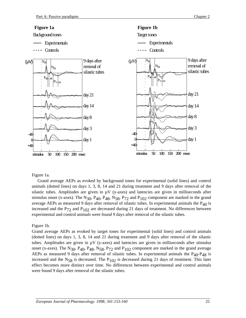

#### Figure 1a.

animals (dotted lines) on days 1, 3, 8, 14 and 21 during treatment and 9 days after removal of the Grand average AEPs as evoked by background tones for experimental (solid lines) and control silastic tubes. Amplitudes are given in  $\mu$ V (y-axes) and latencies are given in milliseconds after stimulus onset (x-axes). The N<sub>30</sub>, P<sub>40</sub>, P<sub>48</sub>, N<sub>58</sub>, P<sub>72</sub> and P<sub>102</sub> component are marked in the grand average AEPs as measured 9 days after removal of silastic tubes. In experimental animals the  $P_{40}$  is increased and the  $P_{72}$  and  $P_{102}$  are decreased during 21 days of treatment. No differences between experimental and control animals were found 9 days after removal of the silastic tubes.

#### Figure 1b.

Grand average AEPs as evoked by target tones for experimental (solid lines) and control animals (dotted lines) on days 1, 3, 8, 14 and 21 during treatment and 9 days after removal of the silastic tubes. Amplitudes are given in  $\mu$ V (y-axes) and latencies are given in milliseconds after stimulus onset (x-axes). The N<sub>30</sub>, P<sub>40</sub>, P<sub>48</sub>, N<sub>58</sub>, P<sub>72</sub> and P<sub>102</sub> component are marked in the grand average AEPs as measured 9 days after removal of silastic tubes. In experimental animals the  $P_{40}P_{48}$  is increased and the  $N_{58}$  is decreased. The  $P_{102}$  is decreased during 21 days of treatment. This later effect becomes more distinct over time. No differences between experimental and control animals were found 9 days after removal of the silastic tubes.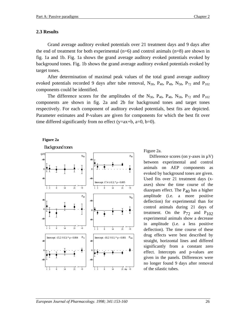### **2.3 Results**

Grand average auditory evoked potentials over 21 treatment days and 9 days after the end of treatment for both experimental  $(n=6)$  and control animals  $(n=8)$  are shown in fig. 1a and 1b. Fig. 1a shows the grand average auditory evoked potentials evoked by background tones. Fig. 1b shows the grand average auditory evoked potentials evoked by target tones.

After determination of maximal peak values of the total grand average auditory evoked potentials recorded 9 days after tube removal,  $N_{30}$ ,  $P_{40}$ ,  $P_{48}$ ,  $N_{58}$ ,  $P_{72}$  and  $P_{102}$ components could be identified.

The difference scores for the amplitudes of the  $N_{30}$ ,  $P_{40}$ ,  $P_{48}$ ,  $N_{58}$ ,  $P_{72}$  and  $P_{102}$ components are shown in fig. 2a and 2b for background tones and target tones respectively. For each component of auditory evoked potentials, best fits are depicted. Parameter estimates and P-values are given for components for which the best fit over time differed significantly from no effect (y= $ax+b$ ,  $a=0$ ,  $b=0$ ).

### **Figure 2a**



Difference scores (on y-axes in  $\mu$ V) between experimental and control animals on AEP components as evoked by background tones are given. Used fits over 21 treatment days (xaxes) show the time course of the diazepam effect. The  $P_{40}$  has a higher amplitude (i.e. a more positive deflection) for experimental than for control animals during 21 days of treatment. On the  $P_{72}$  and  $P_{102}$ experimental animals show a decrease in amplitude (i.e. a less positive deflection). The time course of these drug effects were best described by straight, horizontal lines and differed significantly from a constant zero effect. Intercepts and p-values are given in the panels. Differences were no longer found 9 days after removal of the silastic tubes.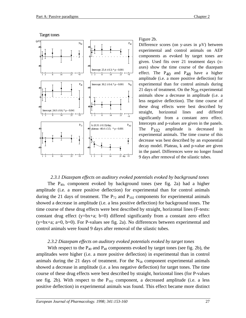



Figure 2b.

Difference scores (on y-axes in  $\mu$ V) between experimental and control animals on AEP components as evoked by target tones are given. Used fits over 21 treatment days (xaxes) show the time course of the diazepam effect. The  $P_{40}$  and  $P_{48}$  have a higher amplitude (i.e. a more positive deflection) for experimental than for control animals during 21 days of treatment. On the  $N_{58}$  experimental animals show a decrease in amplitude (i.e. a less negative deflection). The time course of these drug effects were best described by straight, horizontal lines and differed significantly from a constant zero effect. Intercepts and p-values are given in the panels. The  $P_{102}$  amplitude is decreased in experimental animals. The time course of this decrease was best described by an exponential decay model. Plateau, k and p-value are given in the panel. Differences were no longer found 9 days after removal of the silastic tubes.

### *2.3.1 Diazepam effects on auditory evoked potentials evoked by background tones* The  $P_{40}$ , component evoked by background tones (see fig. 2a) had a higher amplitude (i.e. a more positive deflection) for experimental than for control animals during the 21 days of treatment. The  $P_{72}$  and  $P_{102}$  components for experimental animals showed a decrease in amplitude (i.e. a less positive deflection) for background tones. The time course of these drug effects were best described by straight, horizontal lines (F-tests:

constant drug effect  $(y=bx+a; b=0)$  differed significantly from a constant zero effect (y=bx+a; a=0, b=0). For P-values see fig. 2a). No differences between experimental and control animals were found 9 days after removal of the silastic tubes.

### *2.3.2 Diazepam effects on auditory evoked potentials evoked by target tones*

With respect to the  $P_{40}$  and  $P_{48}$  components evoked by target tones (see fig. 2b), the amplitudes were higher (i.e. a more positive deflection) in experimental than in control animals during the 21 days of treatment. For the  $N_{58}$  component experimental animals showed a decrease in amplitude (i.e. a less negative deflection) for target tones. The time course of these drug effects were best described by straight, horizontal lines (for P-values see fig. 2b). With respect to the  $P_{102}$  component, a decreased amplitude (i.e. a less positive deflection) in experimental animals was found. This effect became more distinct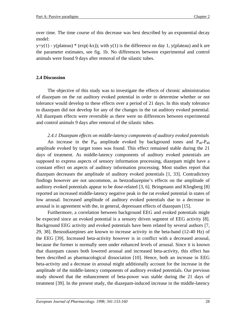over time. The time course of this decrease was best described by an exponential decay model:

 $y=y(1)$  - y(plateau) \* (exp(-kx)); with y(1) is the difference on day 1, y(plateau) and k are the parameter estimates, see fig. 1b. No differences between experimental and control animals were found 9 days after removal of the silastic tubes.

### **2.4 Discussion**

The objective of this study was to investigate the effects of chronic administration of diazepam on the rat auditory evoked potential in order to determine whether or not tolerance would develop to these effects over a period of 21 days. In this study tolerance to diazepam did not develop for any of the changes in the rat auditory evoked potential. All diazepam effects were reversible as there were no differences between experimental and control animals 9 days after removal of the silastic tubes.

*2.4.1 Diazepam effects on middle-latency components of auditory evoked potentials* An increase in the  $P_{40}$  amplitude evoked by background tones and  $P_{40} - P_{48}$ amplitude evoked by target tones was found. This effect remained stable during the 21 days of treatment. As middle-latency components of auditory evoked potentials are supposed to express aspects of sensory information processing, diazepam might have a constant effect on aspects of auditory information processing. Most studies report that diazepam decreases the amplitude of auditory evoked potentials [1, 33]. Contradictory findings however are not uncommon, as benzodiazepine's effects on the amplitude of auditory evoked potentials appear to be dose-related [3, 6]. Bringmann and Klingberg [8] reported an increased middle-latency negative peak in the rat evoked potential in states of low arousal. Increased amplitude of auditory evoked potentials due to a decrease in arousal is in agreement with the, in general, depressant effects of diazepam [15].

Furthermore, a correlation between background EEG and evoked potentials might be expected since an evoked potential is a sensory driven segment of EEG activity [8]. Background EEG activity and evoked potentials have been related by several authors [7, 29, 38]. Benzodiazepines are known to increase activity in the beta-band (12-40 Hz) of the EEG [39]. Increased beta-activity however is in conflict with a decreased arousal, because the former is normally seen under enhanced levels of arousal. Since it is known that diazepam causes both lowered arousal and increased beta-activity, this effect has been described as pharmacological dissociation [10]. Hence, both an increase in EEG beta-activity and a decrease in arousal might additionally account for the increase in the amplitude of the middle-latency components of auditory evoked potentials. Our previous study showed that the enhancement of beta-power was stable during the 21 days of treatment [39]. In the present study, the diazepam-induced increase in the middle-latency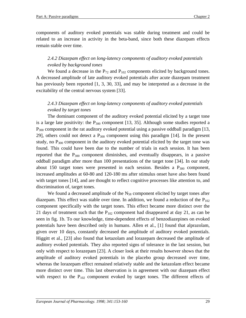components of auditory evoked potentials was stable during treatment and could be related to an increase in activity in the beta-band, since both these diazepam effects remain stable over time.

### *2.4.2 Diazepam effect on long-latency components of auditory evoked potentials evoked by background tones*

We found a decrease in the  $P_{72}$  and  $P_{102}$  components elicited by background tones. A decreased amplitude of late auditory evoked potentials after acute diazepam treatment has previously been reported [1, 3, 30, 33], and may be interpreted as a decrease in the excitability of the central nervous system [33].

### *2.4.3 Diazepam effect on long-latency components of auditory evoked potentials evoked by target tones*

The dominant component of the auditory evoked potential elicited by a target tone is a large late positivity: the  $P_{300}$  component [13, 35]. Although some studies reported a  $P_{300}$  component in the rat auditory evoked potential using a passive oddball paradigm [13, 29], others could not detect a  $P_{300}$  component using this paradigm [14]. In the present study, no  $P_{300}$  component in the auditory evoked potential elicited by the target tone was found. This could have been due to the number of trials in each session. It has been reported that the  $P_{300}$  component diminishes, and eventually disappears, in a passive oddball paradigm after more than 100 presentations of the target tone [34]. In our study about 150 target tones were presented in each session. Besides a  $P_{300}$  component, increased amplitudes at 60-80 and 120-180 ms after stimulus onset have also been found with target tones [14], and are thought to reflect cognitive processes like attention to, and discrimination of, target tones.

We found a decreased amplitude of the  $N_{58}$  component elicited by target tones after diazepam. This effect was stable over time. In addition, we found a reduction of the  $P_{102}$ component specifically with the target tones. This effect became more distinct over the 21 days of treatment such that the  $P_{102}$  component had disappeared at day 21, as can be seen in fig. 1b. To our knowledge, time-dependent effects of benzodiazepines on evoked potentials have been described only in humans. Allen et al., [1] found that alprazolam, given over 10 days, constantly decreased the amplitude of auditory evoked potentials. Higgitt et al., [23] also found that ketazolam and lorazepam decreased the amplitude of auditory evoked potentials. They also reported signs of tolerance in the last session, but only with respect to lorazepam [23]. A closer look at their results however shows that the amplitude of auditory evoked potentials in the placebo group decreased over time, whereas the lorazepam effect remained relatively stable and the ketazolam effect became more distinct over time. This last observation is in agreement with our diazepam effect with respect to the  $P_{102}$  component evoked by target tones. The different effects of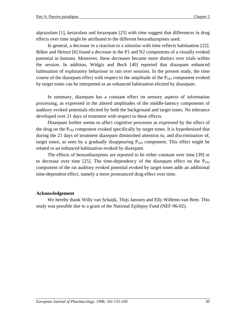alprazolam [1], ketazolam and lorazepam [23] with time suggest that differences in drug effects over time might be attributed to the different benzodiazepines used.

In general, a decrease in a reaction to a stimulus with time reflects habituation [22]. Böker and Heinze [6] found a decrease in the P1 and N2 components of a visually evoked potential in humans. Moreover, these decreases became more distinct over trials within the session. In addition, Widgiz and Beck [40] reported that diazepam enhanced habituation of exploratory behaviour in rats over sessions. In the present study, the time course of the diazepam effect with respect to the amplitude of the  $P_{102}$  component evoked by target tones can be interpreted as an enhanced habituation elicited by diazepam.

In summary, diazepam has a constant effect on sensory aspects of information processing, as expressed in the altered amplitudes of the middle-latency components of auditory evoked potentials elicited by both the background and target tones. No tolerance developed over 21 days of treatment with respect to these effects.

Diazepam further seems to affect cognitive processes as expressed by the effect of the drug on the  $P_{102}$  component evoked specifically by target tones. It is hypothesized that during the 21 days of treatment diazepam diminished attention to, and discrimination of, target tones, as seen by a gradually disappearing  $P_{102}$  component. This effect might be related to an enhanced habituation evoked by diazepam.

The effects of benzodiazepines are reported to be either constant over time [39] or to decrease over time [25]. The time-dependency of the diazepam effect on the  $P_{102}$ component of the rat auditory evoked potential evoked by target tones adds an additional time-dependent effect, namely a more pronounced drug effect over time.

### **Acknowledgement**

We hereby thank Willy van Schaijk, Thijs Janssen and Elly Willems-van Bree. This study was possible due to a grant of the National Epilepsy Fund (NEF-96-02).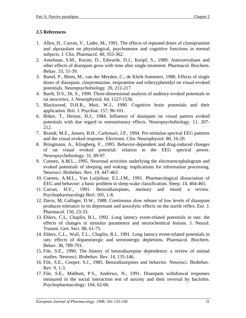### **2.5 References**

- 1. Allen, H., Curran, V., Lader, M., 1991. The effects of repeated doses of clomipramine and alprazolam on physiological, psychomotor and cognitive functions in normal subjects. J. Clin. Pharmacol. 40, 355-362.
- 2. Antelman, S.M., Kocan, D., Edwards, D.J., Knopf, S., 1989. Anticonvulsant and other effects of diazepam grow with time after single treatment. Pharmacol. Biochem. Behav. 33, 31-39.
- 3. Bartel, P., Blom, M., van der Meyden, C., de Klerk-Sommers, 1988. Effects of single doses of diazepam, clorpromazine, imipramine and trihexyphenidyl on visual-evoked potentials. Neuropsychobiology. 20, 212-217.
- 4. Barth, D.S., Di, S., 1990. Three-dimensional analysis of auditory-evoked potentials in rat neocortex. J. Neurophysiol. 64, 1527-1536.
- 5. Blackwood, D.H.R., Muir, W.J., 1990. Cognitive brain potentials and their application. Brit. J. Psychiat. 157, 96-101.
- 6. Böker, T., Heinze, H.J., 1984. Influence of diazepam on visual pattern evoked potentials with due regard to nonstationary effects. Neuropsychobiology. 11, 207- 212.
- 7. Brandt, M.E., Jansen, B.H., Carbonari, J.P., 1994. Pre-stimulus spectral EEG patterns and the visual evoked response. Electroen. Clin. Neurophysiol. 80, 16-20.
- 8. Bringmann, A., Klingberg, F., 1995. Behavior-dependent and drug-induced changes of rat visual evoked potential: relation to the EEG spectral power. Neuropsychobiology. 31, 89-97.
- 9. Coenen, A.M.L., 1995. Neuronal activities underlying the electroencephalogram and evoked potentials of sleeping and waking: implications for information processing. Neurosci. Biobehav. Rev. 19, 447-463.
- 10. Coenen, A.M.L., Van Luijtelaar, E.L.J.M., 1991. Pharmacological dissociation of EEG and behavior: a basic problem in sleep-wake classification. Sleep. 14, 464-465.
- 11. Curran, H.V., 1991. Benzodiazepines, memory and mood: a review. Psychopharmacology Berl. 105, 1-8.
- 12. Davis, M, Gallager, D.W., 1988. Continuous slow release of low levels of diazepam produces tolerance to its depressant and anxiolytic effects on the startle reflex. Eur. J. Pharmacol. 150, 23-33.
- 13. Ehlers, C.L, Chaplin, R.I., 1992. Long latency event-related potentials in rats: the effects of changes in stimulus parameters and neurochemical lesions. J. Neural. Transm. Gen. Sect. 88, 61-75.
- 14. Ehlers, C.L., Wall, T.L., Chaplin, R.I., 1991. Long latency event-related potentials in rats: effects of dopaminergic and serotonergic depletions. Pharmacol. Biochem. Behav. 38, 789-793.
- 15. File, S.E., 1990. The history of benzodiazepine dependence: a review of animal studies. Neurosci. Biobehav. Rev. 14, 135-146.
- 16. File, S.E., Cooper, S.J., 1985. Benzodiazepines and behavior. Neurosci. Biobehav. Rev. 9, 1-3.
- 17. File, S.E., Mabbutt, P.S., Andrews, N., 1991. Diazepam withdrawal responses measured in the social interaction test of anxiety and their reversal by baclofen. Psychopharmacology. 104, 62-66.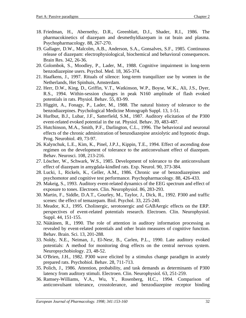- 18. Friedman, H., Abernethy, D.R., Greenblatt, D.J., Shader, R.I., 1986. The pharmacokinetics of diazepam and desmethyldiazepam in rat brain and plasma. Psychopharmacology. 88, 267-270.
- 19. Gallager, D.W., Malcolm, A.B., Anderson, S.A., Gonsalves, S.F., 1985. Continuous release of diazepam: electrophysiological, biochemical and behavioral consequences. Brain Res. 342, 26-36.
- 20. Golombok, S., Moodley, P., Lader, M., 1988. Cognitive impairment in long-term benzodiazepine users. Psychol. Med. 18, 365-374.
- 21. Haafkens, J., 1997. Rituals of silence: long-term tranquilizer use by women in the Netherlands, Het Spinhuis, Amsterdam.
- 22. Herr, D.W., King, D., Griffin, V.T., Watkinson, W.P., Boyse, W.K., Ali, J.S., Dyer, R.S., 1994. Within-session changes in peak N160 amplitude of flash evoked potentials in rats. Physiol. Behav. 55, 83-99.
- 23. Higgitt, A., Fonagy, P., Lader, M., 1988. The natural history of tolerance to the benzodiazepines. Psychological Medicine Monograph Suppl. 13, 1-51.
- 24. Hurlbut, B.J., Lubar, J.F., Satterfield, S.M., 1987. Auditory elicitation of the P300 event-related evoked potential in the rat. Physiol. Behav. 39, 483-487.
- 25. Hutchinson, M.A., Smith, P.F., Darlington, C.L., 1996. The behavioral and neuronal effects of the chronic administration of benzodiazepine anxiolytic and hypnotic drugs. Prog. Neurobiol. 49, 73-97.
- 26. Kalynchuk, L.E., Kim, K., Pinel, J.P.J., Kippin, T.E., 1994. Effect of ascending dose regimen on the development of tolerance to the anticonvulsant effect of diazepam. Behav. Neurosci. 108, 213-216.
- 27. Löscher, W., Schwark, W.S., 1985. Development of tolerance to the anticonvulsant effect of diazepam in amygdala-kindled rats. Exp. Neurol. 90, 373-384.
- 28. Lucki, I., Rickels, K., Geller, A.M., 1986. Chronic use of benzodiazepines and psychomotor and cognitive test performance. Psychopharmacology. 88, 426-433.
- 29. Makeig, S., 1993. Auditory event-related dynamics of the EEG spectrum and effect of exposure to tones. Electroen. Clin. Neurophysiol. 86, 283-293.
- 30. Martin, F., Siddle, D.A.T., Gourley, M., Taylor, J., Dick, R., 1992. P300 and traffic scenes: the effect of temazepam. Biol. Psychol. 33, 225-240.
- 31. Meador, K.J., 1995. Cholinergic, serotonergic and GABAergic effects on the ERP. perspectives of event-related potentials research. Electroen. Clin. Neurophysiol. Suppl. 44, 151-155.
- 32. Näätänen, R., 1990. The role of attention in auditory information processing as revealed by event-related potentials and other brain measures of cognitive function. Behav. Brain. Sci. 13, 201-288.
- 33. Noldy, N.E., Neiman, J., El-Nesr, B., Carlen, P.L., 1990. Late auditory evoked potentials: A method for monitoring drug effects on the central nervous system. Neuropsychobiology. 23, 48-52.
- 34. O'Brien, J.H., 1982. P300 wave elicited by a stimulus change paradigm in acutely prepared rats. Psychobiol. Behav. 28, 711-713.
- 35. Polich, J., 1986. Attention, probability, and task demands as determinants of P300 latency from auditory stimuli. Electroen. Clin. Neurophysiol. 63, 251-259.
- 36. Ramsey-Williams, V.A., Wu, Y., Rosenberg, H.C., 1994. Comparison of anticonvulsant tolerance, crosstolerance, and benzodiazepine receptor binding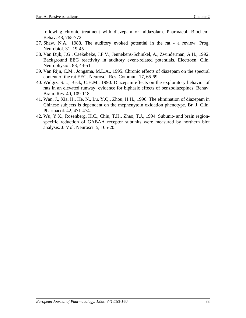following chronic treatment with diazepam or midazolam. Pharmacol. Biochem. Behav. 48, 765-772.

- 37. Shaw, N.A., 1988. The auditory evoked potential in the rat a review. Prog. Neurobiol. 31, 19-45
- 38. Van Dijk, J.G., Caekebeke, J.F.V., Jennekens-Schinkel, A., Zwinderman, A.H., 1992. Background EEG reactivity in auditory event-related potentials. Electroen. Clin. Neurophysiol. 83, 44-51.
- 39. Van Rijn, C.M., Jongsma, M.L.A., 1995. Chronic effects of diazepam on the spectral content of the rat EEG. Neurosci. Res. Commun. 17, 65-69.
- 40. Widgiz, S.L., Beck, C.H.M., 1990. Diazepam effects on the exploratory behavior of rats in an elevated runway: evidence for biphasic effects of benzodiazepines. Behav. Brain. Res. 40, 109-118.
- 41. Wan, J., Xia, H., He, N., Lu, Y.Q., Zhou, H.H., 1996. The elimination of diazepam in Chinese subjects is dependent on the mephenytoin oxidation phenotype. Br. J. Clin. Pharmacol. 42, 471-474.
- 42. Wu, Y.X., Rosenberg, H.C., Chiu, T.H., Zhao, T.J., 1994. Subunit- and brain regionspecific reduction of GABAA receptor subunits were measured by northern blot analysis. J. Mol. Neurosci. 5, 105-20.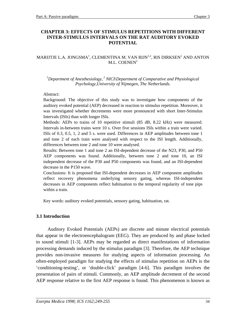### **CHAPTER 3: EFFECTS OF STIMULUS REPETITIONS WITH DIFFERENT INTER-STIMULUS INTERVALS ON THE RAT AUDITORY EVOKED POTENTIAL**

### MARIJTJE L.A. JONGSMA $^{\rm l}$ , CLEMENTINA M. VAN RIJN $^{\rm l,2}$ , RIS DIRKSEN $^{\rm l}$  AND ANTON M.L. COENEN<sup>2</sup>

<sup>1</sup>Department of Anesthesiology,<sup>2</sup> NICI\Department of Comparative and Physiological *Psychology,University of Nijmegen, The Netherlands.*

### Abstract:

Background: The objective of this study was to investigate how components of the auditory evoked potential (AEP) decreased in reaction to stimulus repetition. Moreover, it was investigated whether decrements were more pronounced with short Inter-Stimulus Intervals (ISIs) than with longer ISIs.

Methods: AEPs to trains of 10 repetitive stimuli (85 dB, 8.22 kHz) were measured. Intervals in-between trains were 10 s. Over five sessions ISIs within a train were varied. ISIs of 0.3, 0.5, 1, 2 and 5 s. were used. Differences in AEP amplitudes between tone 1 and tone 2 of each train were analysed with respect to the ISI length. Additionally, differences between tone 2 and tone 10 were analysed.

Results: Between tone 1 and tone 2 an ISI-dependent decrease of the N23, P30, and P50 AEP components was found. Additionally, between tone 2 and tone 10, an ISI independent decrease of the P30 and P50 components was found, and an ISI-dependent decrease in the P150 wave.

Conclusions: It is proposed that ISI-dependent decreases in AEP component amplitudes reflect recovery phenomena underlying sensory gating, whereas ISI-independent decreases in AEP components reflect habituation to the temporal regularity of tone pips within a train.

Key words: auditory evoked potentials, sensory gating, habituation, rat.

### **3.1 Introduction**

Auditory Evoked Potentials (AEPs) are discrete and minute electrical potentials that appear in the electroencephalogram (EEG). They are produced by and phase locked to sound stimuli [1-3]. AEPs may be regarded as direct manifestations of information processing demands induced by the stimulus paradigm [3]. Therefore, the AEP technique provides non-invasive measures for studying aspects of information processing. An often-employed paradigm for studying the effects of stimulus repetition on AEPs is the 'conditioning-testing', or 'double-click' paradigm [4-6]. This paradigm involves the presentation of pairs of stimuli. Commonly, an AEP amplitude decrement of the second AEP response relative to the first AEP response is found. This phenomenon is known as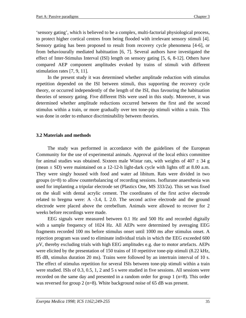'sensory gating', which is believed to be a complex, multi-factorial physiological process, to protect higher cortical centres from being flooded with irrelevant sensory stimuli [4]. Sensory gating has been proposed to result from recovery cycle phenomena [4-6], or from behaviourally mediated habituation [6, 7]. Several authors have investigated the effect of Inter-Stimulus Interval (ISI) length on sensory gating [5, 6, 8-12]. Others have compared AEP component amplitudes evoked by trains of stimuli with different stimulation rates [7, 9, 11].

In the present study it was determined whether amplitude reduction with stimulus repetition depended on the ISI between stimuli, thus supporting the recovery cycle theory, or occurred independently of the length of the ISI, thus favouring the habituation theories of sensory gating. Five different ISIs were used in this study. Moreover, it was determined whether amplitude reductions occurred between the first and the second stimulus within a train, or more gradually over ten tone-pip stimuli within a train. This was done in order to enhance discriminability between theories.

### **3.2 Materials and methods**

The study was performed in accordance with the guidelines of the European Community for the use of experimental animals. Approval of the local ethics committee for animal studies was obtained. Sixteen male Wistar rats, with weights of  $407 \pm 34$  g (mean  $\pm$  SD) were maintained on a 12-12-h light-dark cycle with lights off at 8.00 a.m. They were singly housed with food and water ad libitum. Rats were divided in two groups (n=8) to allow counterbalancing of recording sessions. Isoflurane anaesthesia was used for implanting a tripolar electrode set (Plastics One, MS 333/2a). This set was fixed on the skull with dental acrylic cement. The coordinates of the first active electrode related to bregma were: A -3.4, L 2.0. The second active electrode and the ground electrode were placed above the cerebellum. Animals were allowed to recover for 2 weeks before recordings were made.

EEG signals were measured between 0.1 Hz and 500 Hz and recorded digitally with a sample frequency of 1024 Hz. All AEPs were determined by averaging EEG fragments recorded 100 ms before stimulus onset until 1000 ms after stimulus onset. A rejection program was used to eliminate individual trials in which the EEG exceeded 600  $\mu$ V, thereby excluding trials with high EEG amplitudes e.g. due to motor artefacts. AEPs were elicited by the presentation of 150 trains of 10 repetitive tone-pip stimuli (8.22 kHz, 85 dB, stimulus duration 20 ms). Trains were followed by an intertrain interval of 10 s. The effect of stimulus repetition for several ISIs between tone-pip stimuli within a train were studied. ISIs of 0.3, 0.5, 1, 2 and 5 s were studied in five sessions. All sessions were recorded on the same day and presented in a random order for group 1 (n=8). This order was reversed for group 2 (n=8). White background noise of 65 dB was present.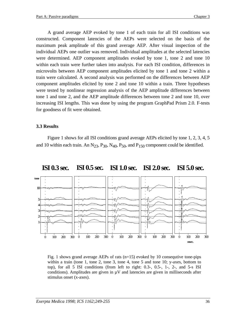A grand average AEP evoked by tone 1 of each train for all ISI conditions was constructed. Component latencies of the AEPs were selected on the basis of the maximum peak amplitude of this grand average AEP. After visual inspection of the individual AEPs one outlier was removed. Individual amplitudes at the selected latencies were determined. AEP component amplitudes evoked by tone 1, tone 2 and tone 10 within each train were further taken into analysis. For each ISI condition, differences in microvolts between AEP component amplitudes elicited by tone 1 and tone 2 within a train were calculated. A second analysis was performed on the differences between AEP component amplitudes elicited by tone 2 and tone 10 within a train. Three hypotheses were tested by nonlinear regression analysis of the AEP amplitude differences between tone 1 and tone 2, and the AEP amplitude differences between tone 2 and tone 10, over increasing ISI lengths. This was done by using the program GraphPad Prism 2.0. F-tests for goodness of fit were obtained.

### **3.3 Results**

Figure 1 shows for all ISI conditions grand average AEPs elicited by tone 1, 2, 3, 4, 5 and 10 within each train. An  $N_{23}$ ,  $P_{30}$ ,  $N_{40}$ ,  $P_{50}$ , and  $P_{150}$  component could be identified.



#### **ISI 0.3 sec. ISI 0.5 sec. ISI 1.0 sec. ISI 2.0 sec. ISI 5.0 sec.**

Fig. 1 shows grand average AEPs of rats  $(n=15)$  evoked by 10 consequtive tone-pips within a train (tone 1, tone 2, tone 3, tone 4, tone 5 and tone 10; y-axes, bottom to top), for all 5 ISI conditions (from left to right:  $0.3-$ ,  $0.5-$ ,  $1-$ ,  $2-$ , and  $5-$ s ISI conditions). Amplitudes are given in  $\mu$ V and latencies are given in milliseconds after stimulus onset (x-axes).

**msec.**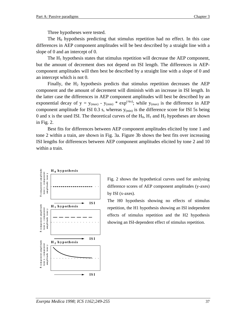Three hypotheses were tested.

The  $H_0$  hypothesis predicting that stimulus repetition had no effect. In this case differences in AEP component amplitudes will be best described by a straight line with a slope of 0 and an intercept of 0.

The  $H_1$  hypothesis states that stimulus repetition will decrease the AEP component, but the amount of decrement does not depend on ISI length. The differences in AEPcomponent amplitudes will then best be described by a straight line with a slope of 0 and an intercept which is not 0.

Finally, the  $H_2$  hypothesis predicts that stimulus repetition decreases the AEP component and the amount of decrement will diminish with an increase in ISI length. In the latter case the differences in AEP component amplitudes will best be described by an exponential decay of  $y = y_{(max)} - y_{(min)} * exp^{(-kx)}$ ; while  $y_{(max)}$  is the difference in AEP component amplitude for ISI 0.3 s, whereas  $y_{(min)}$  is the difference score for ISI 5s being 0 and x is the used ISI. The theoretical curves of the  $H_0$ ,  $H_1$  and  $H_2$  hypotheses are shown in Fig. 2.

Best fits for differences between AEP component amplitudes elicited by tone 1 and tone 2 within a train, are shown in Fig. 3a. Figure 3b shows the best fits over increasing ISI lengths for differences between AEP component amplitudes elicited by tone 2 and 10 within a train.



Fig. 2 shows the hypothetical curves used for anslysing difference scores of AEP component amplitudes (y-axes) by ISI (x-axes).

The H0 hypothesis showing no effects of stimulus repetition, the H1 hypothesis showing an ISI independent effects of stimulus repetition and the H2 hypothesis showing an ISI-dependent effect of stimulus repetition.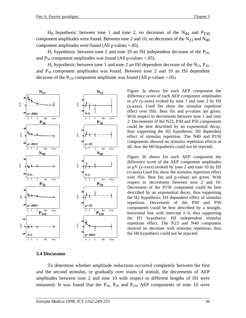$H_1$  hypothesis: between tone 2 and tone 10 an ISI independent decrease of the  $P_{30}$ , and  $P_{50}$  component amplitudes was found (All p-values <.05).

 $H_2$  hypothesis: between tone 1 and tone 2 an ISI dependent decrease of the  $N_{23}$ ,  $P_{30}$ , and  $P_{50}$  component amplitudes was found. Between tone 2 and 10 an ISI dependent decrease of the  $P_{150}$  component amplitude was found (All p-values <.05).



Figure 3a shows for each AEP component the  $\lim_{k \to \infty}$  (x-axes). Used fits show the stimulus repetition effect over ISIs. Best fits and p-values are given. With respect to decrements between tone 1 and tone 2: Decrements of the N23, P30 and P50 components could be best described by an exponential decay, thus supporting the H2 hypothesis: ISI dependent effect of stimulus repetition. The N40 and P150 components showed no stimulus repetition effects at all, thus the H0 hypothesis could not be rejected. difference score of each AEP component amplitudes in  $\mu$ V (y-axes) evoked by tone 1 and tone 2 by ISI

Figure 3b shows for each AEP component the difference score of the AEP component amplitudes in  $\mu$ V (y-axes) evoked by tone 2 and tone 10 by ISI  $(x-\text{axes})$ . Used fits show the stimulus repetition effect over ISIs. Best fits and p-values are given. With respect to decrements between tone 2 and 10: Decrement of the P150 component could be best described by an exponential decay, thus supporting the H2 hypothesis: ISI dependent effect of stimulus repetition. Decrement of the P30 and P50 components could be best described by a straight, horizontal line with intercept  $\neq 0$ , thus supporting the UII line with intercept  $\neq 0$ , thus supporting me 111 hypothesis. IST independent stimulus<br>repetition effect. The N23 and N40 component showed no decrease with stimulus repetition, thus showed no decrease with sumates repeated  $\mathbf{I}$ the H1 hypothesis: ISI independent stimulus the H0 hypothesis could not be rejected.

#### **3.4 Discussion**

To determine whether amplitude reductions occurred completely between the first and the second stimulus, or gradually over trains of stimuli, the decrements of AEP amplitudes between tone 2 and tone 10 with respect to different lengths of ISI were measured. It was found that the  $P_{30}$ ,  $P_{50}$  and  $P_{150}$  AEP components of tone 10 were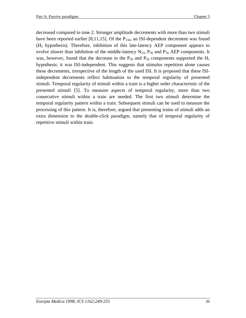decreased compared to tone 2. Stronger amplitude decrements with more than two stimuli have been reported earlier [8,11,15]. Of the  $P_{150}$ , an ISI-dependent decrement was found  $(H<sub>2</sub>$  hypothesis). Therefore, inhibition of this late-latency AEP component appears to evolve slower than inhibition of the middle-latency  $N_{23}$ ,  $P_{30}$  and  $P_{50}$  AEP components. It was, however, found that the decrease in the  $P_{30}$  and  $P_{50}$  components supported the  $H_1$ hypothesis: it was ISI-independent. This suggests that stimulus repetition alone causes these decrements, irrespective of the length of the used ISI. It is proposed that these ISIindependent decrements reflect habituation to the temporal regularity of presented stimuli. Temporal regularity of stimuli within a train is a higher order characteristic of the presented stimuli [5]. To measure aspects of temporal regularity, more than two consecutive stimuli within a train are needed. The first two stimuli determine the temporal regularity pattern within a train. Subsequent stimuli can be used to measure the processing of this pattern. It is, therefore, argued that presenting trains of stimuli adds an extra dimension to the double-click paradigm, namely that of temporal regularity of repetitive stimuli within train.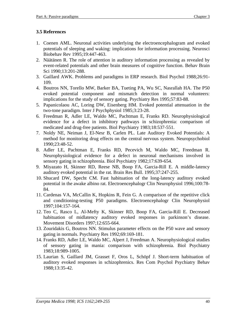### **3.5 References**

- 1. Coenen AML. Neuronal activities underlying the electroencephalogram and evoked potentials of sleeping and waking: implications for information processing. Neurosci Biobehav Rev 1995;19:447-463.
- 2. Näätänen R. The role of attention in auditory information processing as revealed by event-related potentials and other brain measures of cognitive function. Behav Brain Sci 1990;13:201-288.
- 3. Gaillard AWK. Problems and paradigms in ERP research. Biol Psychol 1988;26:91- 109.
- 4. Boutros NN, Torello MW, Barker BA, Tueting PA, Wu SC, Nasrallah HA. The P50 evoked potential component and mismatch detection in normal volunteers: implications for the study of sensory gating. Psychiatry Res 1995;57:83-88.
- 5. Papanicolaou AC, Loring DW, Eisenberg HM. Evoked potential attenuation in the two-tone paradigm. Inter J Psychphysiol 1985;3:23-28.
- 6. Freedman R, Adler LE, Waldo MC, Pachtman E, Franks RD. Neurophysiological evidence for a defect in inhibitory pathways in schizophrenia: comparison of medicated and drug-free patients. Biol Psychiatry 1983;18:537-551.
- 7. Noldy NE, Neiman J, El-Nesr B, Carlen PL. Late Auditory Evoked Potentials: A method for monitoring drug effects on the central nervous system. Neuropsychobiol 1990;23:48-52.
- 8. Adler LE, Pachtman E, Franks RD, Pecevich M, Waldo MC, Freedman R. Neurophysiological evidence for a defect in neuronal mechanisms involved in sensory gating in schizophrenia. Biol Psychiatry 1982;17:639-654.
- 9. Miyazato H, Skinner RD, Reese NB, Boop FA, Garcia-Rill E. A middle-latency auditory evoked potential in the rat. Brain Res Bull. 1995;37:247-255.
- 10. Shucard DW, Specht CM. Fast habituation of the long-latency auditory evoked potential in the awake albino rat. Electroencephalogr Clin Neurophysiol 1996;100:78- 84.
- 11. Cardenas VA, McCallin K, Hopkins R, Fein G. A comparison of the repetitive click and conditioning-testing P50 paradigms. Electroencephalogr Clin Neurophysiol 1997;104:157-164.
- 12. Teo C, Rasco L, Al-Mefty K, Skinner RD, Boop FA, Garcia-Rill E. Decreased habituation of midlatency auditory evoked responses in parkinson's disease. Movement Disorders 1997;12:655-664.
- 13. Zouridakis G, Boutros NN. Stimulus parameter effects on the P50 wave and sensory gating in normals. Psychiatry Res 1992;69:169-181.
- 14. Franks RD, Adler LE, Waldo MC, Alpert J, Freedman A. Neurophysiological studies of sensory gating in mania: comparison with schizophrenia. Biol Psychiatry 1983;18:989-1005.
- 15. Laurian S, Gaillard JM, Grasset F, Oros L, Schöpf J. Short-term habituation of auditory evoked responses in schizophrenics. Res Com Psychol Psychiatry Behav 1988;13:35-42.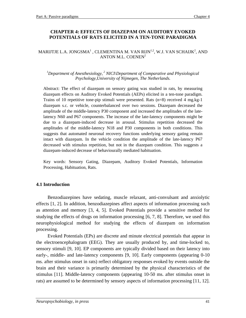### **CHAPTER 4: EFFECTS OF DIAZEPAM ON AUDITORY EVOKED POTENTIALS OF RATS ELICITED IN A TEN-TONE PARADIGMA**

#### MARIJTJE L.A. JONGSMA $^{\rm l}$  , CLEMENTINA M. VAN RIJN $^{\rm l,2}$ , W.J. VAN SCHAIJK $^{\rm 2}$ , AND ANTON M.L. COENEN<sup>2</sup>

#### <sup>1</sup>Department of Anesthesiology,<sup>2</sup> NICI\Department of Comparative and Physiological *Psychology,University of Nijmegen, The Netherlands.*

Abstract: The effect of diazepam on sensory gating was studied in rats, by measuring diazepam effects on Auditory Evoked Potentials (AEPs) elicited in a ten-tone paradigm. Trains of 10 repetitive tone-pip stimuli were presented. Rats  $(n=8)$  received 4 mg.kg-1 diazepam s.c. or vehicle, counterbalanced over two sessions. Diazepam decreased the amplitude of the middle-latency P30 component and increased the amplitudes of the latelatency N60 and P67 components. The increase of the late-latency components might be due to a diazepam-induced decrease in arousal. Stimulus repetition decreased the amplitudes of the middle-latency N18 and P30 components in both conditions. This suggests that automated neuronal recovery functions underlying sensory gating remain intact with diazepam. In the vehicle condition the amplitude of the late-latency P67 decreased with stimulus repetition, but not in the diazepam condition. This suggests a diazepam-induced decrease of behaviourally mediated habituation.

Key words: Sensory Gating, Diazepam, Auditory Evoked Potentials, Information Processing, Habituation, Rats.

### **4.1 Introduction**

Benzodiazepines have sedating, muscle relaxant, anti-convulsant and anxiolytic effects [1, 2]. In addition, benzodiazepines affect aspects of information processing such as attention and memory [3, 4, 5]. Evoked Potentials provide a sensitive method for studying the effects of drugs on information processing [6, 7, 8]. Therefore, we used this neurophysiological method for studying the effects of diazepam on information processing.

Evoked Potentials (EPs) are discrete and minute electrical potentials that appear in the electroencephalogram (EEG). They are usually produced by, and time-locked to, sensory stimuli [9, 10]. EP components are typically divided based on their latency into early-, middle- and late-latency components [9, 10]. Early components (appearing 0-10 ms. after stimulus onset in rats) reflect obligatory responses evoked by events outside the brain and their variance is primarily determined by the physical characteristics of the stimulus [11]. Middle-latency components (appearing 10-50 ms. after stimulus onset in rats) are assumed to be determined by sensory aspects of information processing [11, 12].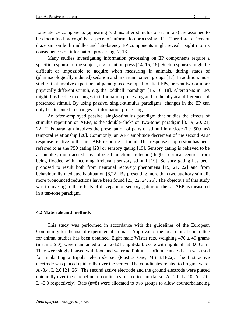Late-latency components (appearing >50 ms. after stimulus onset in rats) are assumed to be determined by cognitive aspects of information processing [11]. Therefore, effects of diazepam on both middle- and late-latency EP components might reveal insight into its consequences on information processing [7, 13].

Many studies investigating information processing on EP components require a specific response of the subject, e.g. a button press [14, 15, 16]. Such responses might be difficult or impossible to acquire when measuring in animals, during states of (pharmacologically induced) sedation and in certain patient groups [17]. In addition, most studies that involve experimental paradigms developed to elicit EPs, present two or more physically different stimuli, e.g. the 'oddball' paradigm [15, 16, 18]. Alterations in EPs might thus be due to changes in information processing and to the physical differences of presented stimuli. By using passive, single-stimulus paradigms, changes in the EP can only be attributed to changes in information processing.

An often-employed passive, single-stimulus paradigm that studies the effects of stimulus repetition on AEPs, is the 'double-click' or 'two-tone' paradigm [8, 19, 20, 21, 22]. This paradigm involves the presentation of pairs of stimuli in a close (i.e. 500 ms) temporal relationship [20]. Commonly, an AEP amplitude decrement of the second AEP response relative to the first AEP response is found. This response suppression has been referred to as the P50 gating [23] or sensory gating [19]. Sensory gating is believed to be a complex, multifaceted physiological function protecting higher cortical centres from being flooded with incoming irrelevant sensory stimuli [19]. Sensory gating has been proposed to result both from neuronal recovery phenomena [19, 21, 22] and from behaviourally mediated habituation [8,22]. By presenting more than two auditory stimuli, more pronounced reductions have been found [21, 22, 24, 25]. The objective of this study was to investigate the effects of diazepam on sensory gating of the rat AEP as measured in a ten-tone paradigm.

### **4.2 Materials and methods**

This study was performed in accordance with the guidelines of the European Community for the use of experimental animals. Approval of the local ethical committee for animal studies has been obtained. Eight male Wistar rats, weighing  $470 \pm 49$  grams (mean  $\pm$  SD), were maintained on a 12-12 h. light-dark cycle with lights off at 8.00 a.m. They were singly housed with food and water ad libitum. Isoflurane anaesthesia was used for implanting a tripolar electrode set (Plastics One, MS 333/2a). The first active electrode was placed epidurally over the vertex. The coordinates related to bregma were: A -3.4, L 2.0 [24, 26]. The second active electrode and the ground electrode were placed epidurally over the cerebellum (coordinates related to lambda ca.:  $A - 2.0$ , L 2.0;  $A - 2.0$ , L  $-2.0$  respectively). Rats (n=8) were allocated to two groups to allow counterbalancing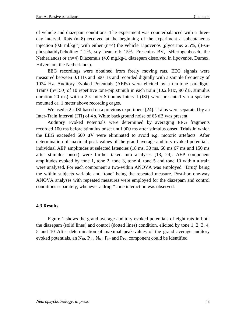of vehicle and diazepam conditions. The experiment was counterbalanced with a threeday interval. Rats (n=8) received at the beginning of the experiment a subcutaneous injection  $(0.8 \text{ ml}.\text{kg}^{-1})$  with either  $(n=4)$  the vehicle Lipovenös (glycerine: 2.5%,  $(3\text{-}sn$ phosphatidyl)choline: 1.2%, soy bean oil: 15%. Fresenius BV, 'sHertogenbosch, the Netherlands) or (n=4) Diazemuls (4.0 mg.kg-1 diazepam dissolved in lipovenös, Dumex, Hilversum, the Netherlands).

EEG recordings were obtained from freely moving rats. EEG signals were measured between 0.1 Hz and 500 Hz and recorded digitally with a sample frequency of 1024 Hz. Auditory Evoked Potentials (AEPs) were elicited by a ten-tone paradigm. Trains (n=150) of 10 repetitive tone-pip stimuli in each train (10.2 kHz, 90 dB, stimulus duration 20 ms) with a 2 s Inter-Stimulus Interval (ISI) were presented via a speaker mounted ca. 1 meter above recording cages.

We used a 2 s ISI based on a previous experiment [24]. Trains were separated by an Inter-Train Interval (ITI) of 4 s. White background noise of 65 dB was present.

Auditory Evoked Potentials were determined by averaging EEG fragments recorded 100 ms before stimulus onset until 900 ms after stimulus onset. Trials in which the EEG exceeded 600 µV were eliminated to avoid e.g. motoric artefacts. After determination of maximal peak-values of the grand average auditory evoked potentials, individual AEP amplitudes at selected latencies (18 ms, 30 ms, 60 ms 67 ms and 150 ms after stimulus onset) were further taken into analyses [13, 24]. AEP component amplitudes evoked by tone 1, tone 2, tone 3, tone 4, tone 5 and tone 10 within a train were analysed. For each component a two-within ANOVA was employed. 'Drug' being the within subjects variable and 'tone' being the repeated measure. Post-hoc one-way ANOVA analyses with repeated measures were employed for the diazepam and control conditions separately, whenever a drug \* tone interaction was observed.

#### **4.3 Results**

Figure 1 shows the grand average auditory evoked potentials of eight rats in both the diazepam (solid lines) and control (dotted lines) condition, elicited by tone 1, 2, 3, 4, 5 and 10 After determination of maximal peak-values of the grand average auditory evoked potentials, an  $N_{18}$ ,  $P_{30}$ ,  $N_{60}$ ,  $P_{67}$  and  $P_{150}$  component could be identified.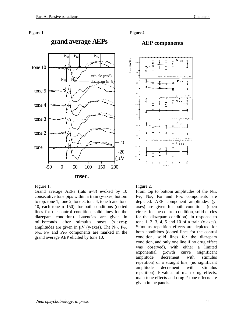#### **Figure 1**



#### $\frac{1}{2}$ **Figure 2**

### AEP components



Figure 1.

Grand average AEPs (rats n=8) evoked by 10 consecutive tone pips within a train (y-axes, bottom to top: tone 1, tone 2, tone 3, tone 4, tone 5 and tone 10, each tone n=150), for both conditions (dotted lines for the control condition, solid lines for the diazepam condition). Latencies are given in milliseconds after stimulus onset (x-axes); amplitudes are given in  $\mu$ V (y-axes). The N<sub>18</sub>, P<sub>30</sub>,  $N_{60}$ ,  $P_{67}$  and  $P_{150}$  components are marked in the grand average AEP elicited by tone 10.

Figure 2.

From top to bottom amplitudes of the  $N_{18}$ ,  $P_{30}$ ,  $N_{60}$ ,  $P_{67}$  and  $P_{150}$  components are depicted. AEP component amplitudes (yaxes) are given for both conditions (open circles for the control condition, solid circles for the diazepam condition), in response to tone 1, 2, 3, 4, 5 and 10 of a train (x-axes). Stimulus repetition effects are depicted for both conditions (dotted lines for the control condition, solid lines for the diazepam condition, and only one line if no drug effect was observed), with either a limited exponential growth curve (significant amplitude decrement with stimulus repetition) or a straight line, (no significant amplitude decrement with stimulus repetition). P-values of main drug effects, main tone effects and drug \* tone effects are given in the panels.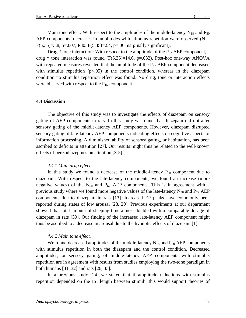Main tone effect: With respect to the amplitudes of the middle-latency  $N_{18}$  and  $P_{30}$ AEP components, decreases in amplitudes with stimulus repetition were observed  $(N_{18})$ : F(5,35)=3.8, p=.007; P30: F(5,35)=2.4, p=.06 marginally significant).

Drug  $*$  tone interaction: With respect to the amplitude of the  $P_{67}$  AEP component, a drug  $*$  tone interaction was found (F(5,35)=14.6, p=.032). Post-hoc one-way ANOVA with repeated measures revealed that the amplitude of the  $P_{67}$  AEP component decreased with stimulus repetition  $(p<0.05)$  in the control condition, whereas in the diazepam condition no stimulus repetition effect was found. No drug, tone or interaction effects were observed with respect to the  $P_{150}$  component.

#### **4.4 Discussion**

The objective of this study was to investigate the effects of diazepam on sensory gating of AEP components in rats. In this study we found that diazepam did not alter sensory gating of the middle-latency AEP components. However, diazepam disrupted sensory gating of late-latency AEP components indicating effects on cognitive aspects of information processing. A diminished ability of sensory gating, or habituation, has been ascribed to deficits in attention [27]. Our results might thus be related to the well-known effects of benzodiazepines on attention [3-5].

#### *4.4.1 Main drug effect.*

In this study we found a decrease of the middle-latency  $P_{30}$  component due to diazepam. With respect to the late-latency components, we found an increase (more negative values) of the  $N_{60}$  and  $P_{67}$  AEP components. This is in agreement with a previous study where we found more negative values of the late-latency  $N_{58}$  and  $P_{72}$  AEP components due to diazepam in rats [13]. Increased EP peaks have commonly been reported during states of low arousal [28, 29]. Previous experiments at our department showed that total amount of sleeping time almost doubled with a comparable dosage of diazepam in rats [30]. Our finding of the increased late-latency AEP component might thus be ascribed to a decrease in arousal due to the hypnotic effects of diazepam [1].

#### *4.4.2 Main tone effect.*

We found decreased amplitudes of the middle-latency  $N_{18}$  and  $P_{30}$  AEP components with stimulus repetition in both the diazepam and the control condition. Decreased amplitudes, or sensory gating, of middle-latency AEP components with stimulus repetition are in agreement with results from studies employing the two-tone paradigm in both humans [31, 32] and rats [26, 33].

In a previous study [24] we stated that if amplitude reductions with stimulus repetition depended on the ISI length between stimuli, this would support theories of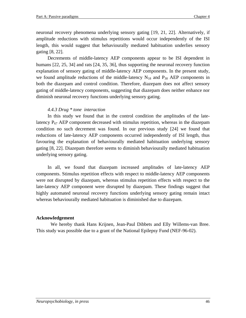neuronal recovery phenomena underlying sensory gating [19, 21, 22]. Alternatively, if amplitude reductions with stimulus repetitions would occur independently of the ISI length, this would suggest that behaviourally mediated habituation underlies sensory gating [8, 22].

Decrements of middle-latency AEP components appear to be ISI dependent in humans [22, 25, 34] and rats [24, 35, 36], thus supporting the neuronal recovery function explanation of sensory gating of middle-latency AEP components. In the present study, we found amplitude reductions of the middle-latency  $N_{18}$  and  $P_{30}$  AEP components in both the diazepam and control condition. Therefore, diazepam does not affect sensory gating of middle-latency components, suggesting that diazepam does neither enhance nor diminish neuronal recovery functions underlying sensory gating.

### *4.4.3 Drug \* tone interaction*

In this study we found that in the control condition the amplitudes of the latelatency  $P_{67}$  AEP component decreased with stimulus repetition, whereas in the diazepam condition no such decrement was found. In our previous study [24] we found that reductions of late-latency AEP components occurred independently of ISI length, thus favouring the explanation of behaviourally mediated habituation underlying sensory gating [8, 22]. Diazepam therefore seems to diminish behaviourally mediated habituation underlying sensory gating.

In all, we found that diazepam increased amplitudes of late-latency AEP components. Stimulus repetition effects with respect to middle-latency AEP components were not disrupted by diazepam, whereas stimulus repetition effects with respect to the late-latency AEP component were disrupted by diazepam. These findings suggest that highly automated neuronal recovery functions underlying sensory gating remain intact whereas behaviourally mediated habituation is diminished due to diazepam.

#### **Acknowledgement**

We hereby thank Hans Krijnen, Jean-Paul Dibbets and Elly Willems-van Bree. This study was possible due to a grant of the National Epilepsy Fund (NEF-96-02).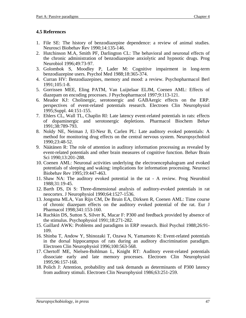### **4.5 References**

- 1. File SE: The history of benzodiazepine dependence: a review of animal studies. Neurosci Biobehav Rev 1990;14:135-146.
- 2. Hutchinson M.A, Smith PF, Darlington CL: The behavioral and neuronal effects of the chronic administration of benzodiazepine anxiolytic and hypnotic drugs. Prog Neurobiol 1996;49:73-97.
- 3. Golombok S, Moodley P, Lader M: Cognitive impairment in long-term benzodiazepine users. Psychol Med 1988;18:365-374.
- 4. Curran HV: Benzodiazepines, memory and mood: a review. Psychopharmacol Berl 1991;105:1-8.
- 5. Gorrissen MEE, Eling PATM, Van Luijtelaar ELJM, Coenen AML: Effects of diazepam on encoding processes. J Psychopharmacol 1997;9:113-121.
- 6. Meador KJ: Cholinergic, serotonergic and GABAergic effects on the ERP. perspectives of event-related potentials research. Electroen Clin Neurophysiol 1995;Suppl. 44:151-155.
- 7. Ehlers CL, Wall TL, Chaplin RI: Late latency event-related potentials in rats: effects of dopaminergic and serotonergic depletions. Pharmacol Biochem Behav 1991;38:789-793.
- 8. Noldy NE, Neiman J, El-Nesr B, Carlen PL: Late auditory evoked potentials: A method for monitoring drug effects on the central nervous system. Neuropsychobiol 1990;23:48-52.
- 9. Näätänen R: The role of attention in auditory information processing as revealed by event-related potentials and other brain measures of cognitive function. Behav Brain Sci 1990;13:201-288.
- 10. Coenen AML: Neuronal activities underlying the electroencephalogram and evoked potentials of sleeping and waking: implications for information processing. Neurosci Biobehav Rev 1995;19:447-463.
- 11. Shaw NA: The auditory evoked potential in the rat A review. Prog Neurobiol 1988;31:19-45.
- 12. Barth DS, Di S: Three-dimensional analysis of auditory-evoked potentials in rat neocortex. J Neurophysiol 1990;64:1527-1536.
- 13. Jongsma MLA, Van Rijn CM, De Bruin EA, Dirksen R, Coenen AML: Time course of chronic diazepam effects on the auditory evoked potential of the rat. Eur J Pharmacol 1998;341:153-160.
- 14. Ruchkin DS, Sutton S, Silver K, Macar F: P300 and feedback provided by absence of the stimulus. Psychophysiol 1991;18:271-282.
- 15. Gaillard AWK: Problems and paradigms in ERP research. Biol Psychol 1988;26:91- 109.
- 16. Shinba T, Andow Y, Shinozaki T, Ozawa N, Yamamoto K: Event-related potentials in the dorsal hippocampus of rats during an auditory discrimination paradigm. Electroen Clin Neurophysiol 1996;100:563-568.
- 17. Chertoff ME, Nielsen-Bohlman L, Knight RT: Auditory event-related potentials dissociate early and late memory processes. Electroen Clin Neurophysiol 1995;96:157-168.
- 18. Polich J: Attention, probability and task demands as determinants of P300 latency from auditory stimuli. Electroen Clin Neurophysiol 1986;63:251-259.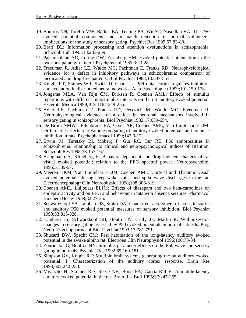- 19. Boutros NN, Torello MW, Barker BA, Tueting PA, Wu SC, Nasrallah HA: The P50 evoked potential component and mismatch detection in normal volunteers: implications for the study of sensory gating. Psychiat Res 1995;57:83-88.
- 20. Braff DL: Information processing and attention dysfunctions in schizophrenia. Schizoph Bull 1993;18:233-259.
- 21. Papanicolaou AC, Loring DW, Eisenberg HM: Evoked potential attenuation in the two-tone paradigm. Inter J Psychphysiol 1985;3:23-28.
- 22. Freedman R, Adler LE, Waldo MC, Pachtman E, Franks RD: Neurophysiological evidence for a defect in inhibitory pathways in schizophrenia: comparison of medicated and drug-free patients. Biol Psychiat 1983;18:537-551.
- 23. Knight RT, Staines WR, Swick D, Chao LL: Prefrontal cortex regulates inhibition and excitation in distributed neural networks. Acta Psychologica 1999;101:159-178.
- 24. Jongsma MLA, Van Rijn CM, Dirksen R, Coenen AML: Effects of stimulus repetitions with different interstimulus intervals on the rat auditory evoked potential. Excerpta Medica 1999;ICS 1162:249-255.
- 25. Adler LE, Pachtman E, Franks RD, Pecevich M, Waldo MC, Freedman R: Neurophysiological evidence for a defect in neuronal mechanisms involved in sensory gating in schizophrenia. Biol Psychiat 1982;17:639-654.
- 26. De Bruin NMWJ, Ellenbroek BA, Cools AR, Coenen AML, Van Luijtelaar ELJM: Differential effects of ketamine on gating of auditory evoked potentials and prepulse inhibition in rats. Psychopharmacol 1999;142:9-17.
- 27. Erwin RJ, Turetsky BI, Moberg P, Gur RC, Gur RE: P50 abnormalities in schizophrenia: relationship to clinical and neuropsychological indices of attention. Schizoph Res 1998;33:157-167.
- 28. Bringmann A, Klingberg F: Behavior-dependent and drug-induced changes of rat visual evoked potential: relation to the EEG spectral power. Neuropsychobiol 1995;31:89-97.
- 29. Meeren HKM, Van Luijtelaar ELJM, Coenen AML: Cortical and Thalamic visual evoked potentials during sleep-wake states and spike-wave discharges in the rat. Electroencephalogr Clin Neurophysiol 1998;108:306-319.
- 30. Coenen AML, Luijtelaar ELJM: Effects of diazepam and two beta-carbolines on epileptic activity and on EEG and behaviour in rats with absence seizures. Pharmacol Biochem Behav 1989;32:27-35.
- 31. Schwartzkopf SB, Lamberti JS, Smith DA: Concurrent assessment of acoustic startle and auditory P50 evoked potential measures of sensory inhibition. Biol Psychiat 1993;33:815-828.
- 32. Lamberti JS, Schwarzkopf SB, Boutros N, Crilly JF, Martin R: Within-session changes in sensory gating assessed by P50 evoked potentials in normal subjects. Prog Neuro-Psychopharmacol Biol Psychiat 1993;17:781-791.
- 33. Shucard DW, Specht CM: Fast habituation of the long-latency auditory evoked potential in the awake albino rat. Electroen Clin Neurophysiol 1996;100:78-84.
- 34. Zouridakis G, Boutros NN: Stimulus parameter effects on the P50 wave and sensory gating in normals. Psychiat Res 1992;69:169-181.
- 35. Simpson GV, Knight RT: Multiple brain systems generating the rat auditory evoked potential. I. Characterization of the auditory cortex response. Brain Res 1993;602:240-250.
- 36. Miyazato H, Skinner RD, Reese NB, Boop FA, Garcia-Rill E: A middle-latency auditory evoked potential in the rat. Brain Res Bull 1995;37:247-255.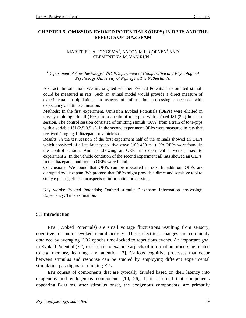### **CHAPTER 5: OMISSION EVOKED POTENTIALS (OEPS) IN RATS AND THE EFFECTS OF DIAZEPAM**

#### MARIJTJE L.A. JONGSMA $^{\rm l}$ , ANTON M.L. COENEN $^{\rm 2}$  AND CLEMENTINA M. VAN RIJN<sup>1,2</sup>

#### <sup>1</sup>Department of Anesthesiology,<sup>2</sup> NICI\Department of Comparative and Physiological *Psychology,University of Nijmegen, The Netherlands.*

Abstract: Introduction: We investigated whether Evoked Potentials to omitted stimuli could be measured in rats. Such an animal model would provide a direct measure of experimental manipulations on aspects of information processing concerned with expectancy and time estimation.

Methods: In the first experiment, Omission Evoked Potentials (OEPs) were elicited in rats by omitting stimuli (10%) from a train of tone-pips with a fixed ISI (3 s) in a test session. The control session consisted of omitting stimuli (10%) from a train of tone-pips with a variable ISI (2.5-3.5 s.). In the second experiment OEPs were measured in rats that received 4 mg.kg-1 diazepam or vehicle s.c.

Results: In the test session of the first experiment half of the animals showed an OEPs which consisted of a late-latency positive wave (100-400 ms.). No OEPs were found in the control session. Animals showing an OEPs in experiment 1 were passed to experiment 2. In the vehicle condition of the second experiment all rats showed an OEPs. In the diazepam condition no OEPs were found.

Conclusions: We found that OEPs can be measured in rats. In addition, OEPs are disrupted by diazepam. We propose that OEPs might provide a direct and sensitive tool to study e.g. drug effects on aspects of information processing.

Key words: Evoked Potentials; Omitted stimuli; Diazepam; Information processing; Expectancy; Time estimation.

### **5.1 Introduction**

EPs (Evoked Potentials) are small voltage fluctuations resulting from sensory, cognitive, or motor evoked neural activity. These electrical changes are commonly obtained by averaging EEG epochs time-locked to repetitious events. An important goal in Evoked Potential (EP) research is to examine aspects of information processing related to e.g. memory, learning, and attention [2]. Various cognitive processes that occur between stimulus and response can be studied by employing different experimental stimulation paradigms for eliciting EPs.

EPs consist of components that are typically divided based on their latency into exogenous and endogenous components [10, 26]. It is assumed that components appearing 0-10 ms. after stimulus onset, the exogenous components, are primarily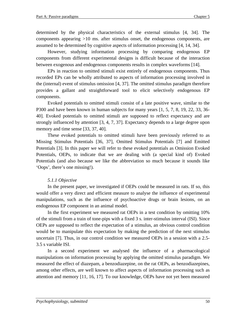determined by the physical characteristics of the external stimulus [4, 34]. The components appearing >10 ms. after stimulus onset, the endogenous components, are assumed to be determined by cognitive aspects of information processing [4, 14, 34].

However, studying information processing by comparing endogenous EP components from different experimental designs is difficult because of the interaction between exogenous and endogenous components results in complex waveforms [14].

EPs in reaction to omitted stimuli exist entirely of endogenous components. Thus recorded EPs can be wholly attributed to aspects of information processing involved in the (internal) event of stimulus omission [4, 37]. The omitted stimulus paradigm therefore provides a gallant and straightforward tool to elicit selectively endogenous EP components.

Evoked potentials to omitted stimuli consist of a late positive wave, similar to the P300 and have been known in human subjects for many years [1, 5, 7, 8, 19, 22, 33, 36- 40]. Evoked potentials to omitted stimuli are supposed to reflect expectancy and are strongly influenced by attention [3, 4, 7, 37]. Expectancy depends to a large degree upon memory and time sense [33, 37, 40].

These evoked potentials to omitted stimuli have been previously referred to as Missing Stimulus Potentials [36, 37], Omitted Stimulus Potentials [7] and Emitted Potentials [3]. In this paper we will refer to these evoked potentials as Omission Evoked Potentials, OEPs, to indicate that we are dealing with (a special kind of) Evoked Potentials (and also because we like the abbreviation so much because it sounds like 'Oops', there's one missing!).

### *5.1.1 Objective*

In the present paper, we investigated if OEPs could be measured in rats. If so, this would offer a very direct and efficient measure to analyse the influence of experimental manipulations, such as the influence of psychoactive drugs or brain lesions, on an endogenous EP component in an animal model.

In the first experiment we measured rat OEPs in a test condition by omitting 10% of the stimuli from a train of tone-pips with a fixed 3 s. inter-stimulus interval (ISI). Since OEPs are supposed to reflect the expectation of a stimulus, an obvious control condition would be to manipulate this expectation by making the prediction of the next stimulus uncertain [7]. Thus, in our control condition we measured OEPs in a session with a 2.5- 3.5 s variable ISI.

In a second experiment we analysed the influence of a pharmacological manipulations on information processing by applying the omitted stimulus paradigm. We measured the effect of diazepam, a benzodiazepine, on the rat OEPs, as benzodiazepines, among other effects, are well known to affect aspects of information processing such as attention and memory [11, 16, 17]. To our knowledge, OEPs have not yet been measured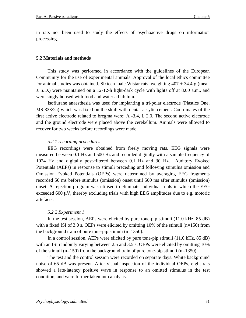in rats nor been used to study the effects of psychoactive drugs on information processing.

#### **5.2 Materials and methods**

This study was performed in accordance with the guidelines of the European Community for the use of experimental animals. Approval of the local ethics committee for animal studies was obtained. Sixteen male Wistar rats, weighting  $407 \pm 34.4$  g (mean  $\pm$  S.D.) were maintained on a 12-12-h light-dark cycle with lights off at 8.00 a.m., and were singly housed with food and water ad libitum.

Isoflurane anaesthesia was used for implanting a tri-polar electrode (Plastics One, MS 333/2a) which was fixed on the skull with dental acrylic cement. Coordinates of the first active electrode related to bregma were: A -3.4, L 2.0. The second active electrode and the ground electrode were placed above the cerebellum. Animals were allowed to recover for two weeks before recordings were made.

### *5.2.1 recording procedures*

EEG recordings were obtained from freely moving rats. EEG signals were measured between 0.1 Hz and 500 Hz and recorded digitally with a sample frequency of 1024 Hz and digitally post-filtered between 0.1 Hz and 30 Hz. Auditory Evoked Potentials (AEPs) in response to stimuli preceding and following stimulus omission and Omission Evoked Potentials (OEPs) were determined by averaging EEG fragments recorded 50 ms before stimulus (omission) onset until 500 ms after stimulus (omission) onset. A rejection program was utilised to eliminate individual trials in which the EEG exceeded 600  $\mu$ V, thereby excluding trials with high EEG amplitudes due to e.g. motoric artefacts.

### *5.2.2 Experiment 1*

In the test session, AEPs were elicited by pure tone-pip stimuli (11.0 kHz, 85 dB) with a fixed ISI of 3.0 s. OEPs were elicited by omitting 10% of the stimuli ( $n=150$ ) from the background train of pure tone-pip stimuli (n=1350).

In a control session, AEPs were elicited by pure tone-pip stimuli (11.0 kHz, 85 dB) with an ISI randomly varying between 2.5 and 3.5 s. OEPs were elicited by omitting 10% of the stimuli ( $n=150$ ) from the background train of pure tone-pip stimuli ( $n=1350$ ).

The test and the control session were recorded on separate days. White background noise of 65 dB was present. After visual inspection of the individual OEPs, eight rats showed a late-latency positive wave in response to an omitted stimulus in the test condition, and were further taken into analysis.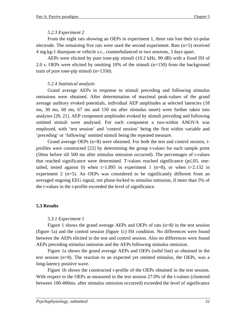### *5.2.3 Experiment 2*

From the eight rats showing an OEPs in experiment 1, three rats lost their tri-polar electrode. The remaining five rats were used the second experiment. Rats  $(n=5)$  received 4 mg.kg-1 diazepam or vehicle s.c., counterbalanced in two sessions, 3 days apart.

AEPs were elicited by pure tone-pip stimuli (10.2 kHz, 90 dB) with a fixed ISI of 2.0 s. OEPs were elicited by omitting 10% of the stimuli (n=150) from the background train of pure tone-pip stimuli (n=1350).

### *5.2.4 Statistical analysis*

Grand average AEPs in response to stimuli preceding and following stimulus omissions were obtained. After determination of maximal peak-values of the grand average auditory evoked potentials, individual AEP amplitudes at selected latencies (18 ms, 30 ms, 60 ms, 67 ms and 150 ms after stimulus onset) were further taken into analyses [20, 21]. AEP component amplitudes evoked by stimuli preceding and following omitted stimuli were analysed. For each component a two-within ANOVA was employed, with 'test session' and 'control session' being the first within variable and 'preceding' or 'following' omitted stimuli being the repeated measure.

Grand average OEPs (n=8) were obtained. For both the test and control session, tprofiles were constructed [22] by determining the group t-values for each sample point (50ms before till 500 ms after stimulus omission occurred). The percentages of t-values that reached significance were determined. T-values reached significance (p≤.05, onetailed, tested against 0) when t > 1.895 in experiment 1 (n=8), or when t > 2.132 in experiment  $2$  (n=5). An OEPs was considered to be significantly different from an averaged ongoing EEG signal, not phase-locked to stimulus omission, if more than 5% of the t-values in the t-profile exceeded the level of significance.

### **5.3 Results**

### *5.3.1 Experiment 1*

Figure 1 shows the grand average AEPs and OEPs of rats (n=8) in the test session (figure 1a) and the control session (figure 1c) ISI condition. No differences were found between the AEPs elicited in the test and control session. Also no differences were found AEPs preceding stimulus omission and the AEPs following stimulus omission.

Figure 1a shows the grand average AEPs and OEPs (solid line) as obtained in the test session (n=8). The reaction to an expected yet omitted stimulus, the OEPs, was a long-latency positive wave.

Figure 1b shows the constructed t-profile of the OEPs obtained in the test session. With respect to the OEPs as measured in the test session 27.0% of the t-values (clustered between 100-400ms. after stimulus omission occurred) exceeded the level of significance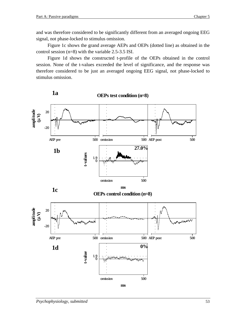and was therefore considered to be significantly different from an averaged ongoing EEG signal, not phase-locked to stimulus omission.

Figure 1c shows the grand average AEPs and OEPs (dotted line) as obtained in the control session (n=8) with the variable 2.5-3.5 ISI.

Figure 1d shows the constructed t-profile of the OEPs obtained in the control session. None of the t-values exceeded the level of significance, and the response was therefore considered to be just an averaged ongoing EEG signal, not phase-locked to stimulus omission.

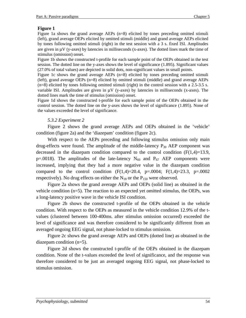### **Figure 1**

Figure 1a shows the grand average AEPs (n=8) elicited by tones preceding omitted stimuli (left), grand average OEPs elicited by omitted stimuli (middle) and grand average AEPs elicited by tones following omitted stimuli (right) in the test session with a 3 s. fixed ISI. Amplitudes are given in µV (y-axes) by latencies in milliseconds (x-axes). The dotted lines mark the time of stimulus (omission) onset.

Figure 1b shows the constructed t-profile for each sample point of the OEPs obtained in the test session. The dotted line on the y-axes shows the level of significance (1.895). Significant values (27.0% of total values) are depicted in solid dots, non-significant values in small points.

Figure 1c shows the grand average AEPs (n=8) elicited by tones preceding omitted stimuli (left), grand average OEPs (n=8) elicited by omitted stimuli (middle) and grand average AEPs (n=8) elicited by tones following omitted stimuli (right) in the control session with a 2.5-3.5 s. variable ISI. Amplitudes are given in  $\mu$ V (y-axes) by latencies in milliseconds (x-axes). The dotted lines mark the time of stimulus (omission) onset.

Figure 1d shows the constructed t-profile for each sample point of the OEPs obtained in the control session. The dotted line on the y-axes shows the level of significance (1.895). None of the values exceeded the level of significance.

### *5.3.2 Experiment 2*

Figure 2 shows the grand average AEPs and OEPs obtained in the 'vehicle' condition (figure 2a) and the 'diazepam' condition (figure 2c).

With respect to the AEPs preceding and following stimulus omission only main drug-effects were found. The amplitude of the middle-latency  $P_{30}$  AEP component was decreased in the diazepam condition compared to the control condition  $(F(1,4)=13.9,$ p=.0018). The amplitudes of the late-latency  $N_{60}$  and  $P_{67}$  AEP components were increased, implying that they had a more negative value in the diazepam condition compared to the control condition  $(F(1,4)=20.4, p=.0004; F(1,4)=23.3, p=.0002$ respectively). No drug effects on either the  $N_{18}$  or the  $P_{150}$  were observed.

Figure 2a shows the grand average AEPs and OEPs (solid line) as obtained in the vehicle condition (n=5). The reaction to an expected yet omitted stimulus, the OEPs, was a long-latency positive wave in the vehicle ISI condition.

Figure 2b shows the constructed t-profile of the OEPs obtained in the vehicle condition. With respect to the OEPs as measured in the vehicle condition 12.9% of the tvalues (clustered between 100-400ms. after stimulus omission occurred) exceeded the level of significance and was therefore considered to be significantly different from an averaged ongoing EEG signal, not phase-locked to stimulus omission.

Figure 2c shows the grand average AEPs and OEPs (dotted line) as obtained in the diazepam condition (n=5).

Figure 2d shows the constructed t-profile of the OEPs obtained in the diazepam condition. None of the t-values exceeded the level of significance, and the response was therefore considered to be just an averaged ongoing EEG signal, not phase-locked to stimulus omission.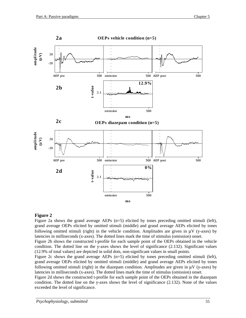

#### **Figure 2**

Figure 2a shows the grand average AEPs (n=5) elicited by tones preceding omitted stimuli (left), grand average OEPs elicited by omitted stimuli (middle) and grand average AEPs elicited by tones following omitted stimuli (right) in the vehicle condition. Amplitudes are given in  $\mu$ V (y-axes) by latencies in milliseconds (x-axes). The dotted lines mark the time of stimulus (omission) onset.

Figure 2b shows the constructed t-profile for each sample point of the OEPs obtained in the vehicle condition. The dotted line on the y-axes shows the level of significance (2.132). Significant values (12.9% of total values) are depicted in solid dots, non-significant values in small points.

Figure 2c shows the grand average AEPs (n=5) elicited by tones preceding omitted stimuli (left), grand average OEPs elicited by omitted stimuli (middle) and grand average AEPs elicited by tones following omitted stimuli (right) in the diazepam condition. Amplitudes are given in  $\mu$ V (y-axes) by latencies in milliseconds (x-axes). The dotted lines mark the time of stimulus (omission) onset.

Figure 2d shows the constructed t-profile for each sample point of the OEPs obtained in the diazepam condition. The dotted line on the y-axes shows the level of significance (2.132). None of the values exceeded the level of significance.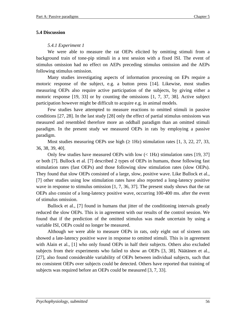#### **5.4 Discussion**

### *5.4.1 Experiment 1*

We were able to measure the rat OEPs elicited by omitting stimuli from a background train of tone-pip stimuli in a test session with a fixed ISI. The event of stimulus omission had no effect on AEPs preceding stimulus omission and the AEPs following stimulus omission.

Many studies investigating aspects of information processing on EPs require a motoric response of the subject, e.g. a button press [14]. Likewise, most studies measuring OEPs also require active participation of the subjects, by giving either a motoric response [19, 33] or by counting the omissions [1, 7, 37, 38]. Active subject participation however might be difficult to acquire e.g. in animal models.

Few studies have attempted to measure reactions to omitted stimuli in passive conditions [27, 28]. In the last study [28] only the effect of partial stimulus omissions was measured and resembled therefore more an oddball paradigm than an omitted stimuli paradigm. In the present study we measured OEPs in rats by employing a passive paradigm.

Most studies measuring OEPs use high  $(≥ 1Hz)$  stimulation rates [1, 3, 22, 27, 33, 36, 38, 39, 40].

Only few studies have measured OEPs with low  $\langle$  1Hz) stimulation rates [19, 37] or both [7]. Bullock et al. [7] described 2 types of OEPs in humans, those following fast stimulation rates (fast OEPs) and those following slow stimulation rates (slow OEPs). They found that slow OEPs consisted of a large, slow, positive wave. Like Bullock et al., [7] other studies using low stimulation rates have also reported a long-latency positive wave in response to stimulus omission  $[1, 7, 36, 37]$ . The present study shows that the rat OEPs also consist of a long-latency positive wave, occurring 100-400 ms. after the event of stimulus omission.

Bullock et al., [7] found in humans that jitter of the conditioning intervals greatly reduced the slow OEPs. This is in agreement with our results of the control session. We found that if the prediction of the omitted stimulus was made uncertain by using a variable ISI, OEPs could no longer be measured.

Although we were able to measure OEPs in rats, only eight out of sixteen rats showed a late-latency positive wave in response to omitted stimuli. This is in agreement with Alain et al., [1] who only found OEPs in half their subjects. Others also excluded subjects from their experiments who failed to show an OEPs [3, 38]. Näätänen et al., [27], also found considerable variability of OEPs between individual subjects, such that no consistent OEPs over subjects could be detected. Others have reported that training of subjects was required before an OEPs could be measured [3, 7, 33].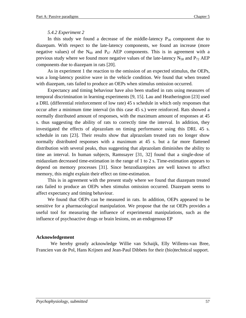### *5.4.2 Experiment 2*

In this study we found a decrease of the middle-latency  $P_{30}$  component due to diazepam. With respect to the late-latency components, we found an increase (more negative values) of the  $N_{60}$  and  $P_{67}$  AEP components. This is in agreement with a previous study where we found more negative values of the late-latency  $N_{58}$  and  $P_{72}$  AEP components due to diazepam in rats [20].

As in experiment 1 the reaction to the omission of an expected stimulus, the OEPs, was a long-latency positive wave in the vehicle condition. We found that when treated with diazepam, rats failed to produce an OEPs when stimulus omission occurred.

Expectancy and timing behaviour have also been studied in rats using measures of temporal discrimination in learning experiments [9, 15]. Lau and Heatherington [23] used a DRL (differential reinforcement of low rate) 45 s schedule in which only responses that occur after a minimum time interval (in this case 45 s.) were reinforced. Rats showed a normally distributed amount of responses, with the maximum amount of responses at 45 s. thus suggesting the ability of rats to correctly time the interval. In addition, they investigated the effects of alprazolam on timing performance using this DRL 45 s. schedule in rats [23]. Their results show that alprazolam treated rats no longer show normally distributed responses with a maximum at 45 s. but a far more flattened distribution with several peaks, thus suggesting that alprazolam diminishes the ability to time an interval. In human subjects, Ramssayer [31, 32] found that a single-dose of midazolam decreased time-estimation in the range of 1 to 2 s. Time-estimation appears to depend on memory processes [31]. Since benzodiazepines are well known to affect memory, this might explain their effect on time-estimation.

This is in agreement with the present study where we found that diazepam treated rats failed to produce an OEPs when stimulus omission occurred. Diazepam seems to affect expectancy and timing behaviour.

We found that OEPs can be measured in rats. In addition, OEPs appeared to be sensitive for a pharmacological manipulation. We propose that the rat OEPs provides a useful tool for measuring the influence of experimental manipulations, such as the influence of psychoactive drugs or brain lesions, on an endogenous EP

### **Acknowledgement**

We hereby greatly acknowledge Willie van Schaijk, Elly Willems-van Bree, Francien van de Pol, Hans Krijnen and Jean-Paul Dibbets for their (bio)technical support.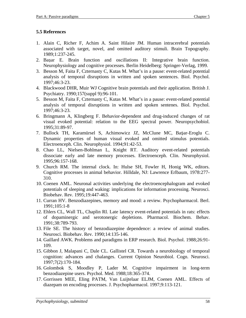### **5.5 References**

- 1. Alain C, Richer F, Achim A. Saint Hilaire JM. Human intracerebral potentials associated with target, novel, and omitted auditory stimuli. Brain Topography. 1989;1:237-245.
- 2. Başar E. Brain function and oscillations II: Integrative brain function. Neurophysiology and cognitive processes. Berlin Heidelberg: Springer-Verlag, 1999.
- 3. Besson M, Faita F, Czternasty C, Kutas M. What's in a pause: event-related potential analysis of temporal disruptions in written and spoken sentences. Biol. Psychol. 1997;46:3-23.
- 4. Blackwood DHR, Muir WJ Cognitive brain potentials and their application. British J. Psychiatry. 1990;157(suppl 9):96-101.
- 5. Besson M, Faita F, Czternasty C, Kutas M. What's in a pause: event-related potential analysis of temporal disruptions in written and spoken sentenes. Biol. Psychol. 1997;46:3-23.
- 6. Bringmann A, Klingberg F. Behavior-dependent and drug-induced changes of rat visual evoked potential: relation to the EEG spectral power. Neuropsychobiol. 1995;31:89-97.
- 7. Bullock TH, Karamürsel S, Achimowicz JZ, McClune MC, Başar-Eroglu C. Dynamic properties of human visual evoked and omitted stimulus potentials. Electroenceph. Clin. Neurophysiol. 1994;91:42-53.
- 8. Chao LL, Nielsen-Bohlman L, Knight RT. Auditory event-related potentials dissociate early and late memory processes. Electroenceph. Clin. Neurophysiol. 1995;96:157-168.
- 9. Church RM. The internal clock. In: Hulse SH, Fowler H, Honig WK, editors. Cognitive processes in animal behavior. Hilldale, NJ: Lawrence Erlbaum, 1978:277- 310.
- 10. Coenen AML. Neuronal activities underlying the electroencephalogram and evoked potentials of sleeping and waking: implications for information processing. Neurosci. Biobehav. Rev. 1995;19:447-463.
- 11. Curran HV. Benzodiazepines, memory and mood: a review. Psychopharmacol. Berl. 1991;105:1-8
- 12. Ehlers CL, Wall TL, Chaplin RI. Late latency event-related potentials in rats: effects of dopaminergic and serotonergic depletions. Pharmacol. Biochem. Behav. 1991;38:789-793.
- 13. File SE. The history of benzodiazepine dependence: a review of animal studies. Neurosci. Biobehav. Rev. 1990;14:135-146.
- 14. Gaillard AWK. Problems and paradigms in ERP research. Biol. Psychol. 1988;26:91- 109.
- 15. Gibbon J, Malapani C, Dale CL. Gallistel CR. Towards a neurobiology of temporal cognition: advances and chalanges. Current Opinion Neurobiol. Cogn. Neurosci. 1997;7(2):170-184.
- 16. Golombok S, Moodley P, Lader M. Cognitive impairment in long-term benzodiazepine users. Psychol. Med. 1988;18:365-374.
- 17. Gorrissen MEE, Eling PATM, Van Luijtelaar ELJM, Coenen AML. Effects of diazepam on encoding processes. J. Psychopharmacol. 1997;9:113-121.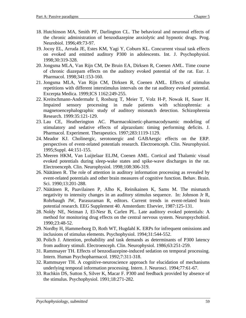- 18. Hutchinson MA, Smith PF, Darlington CL. The behavioral and neuronal effects of the chronic administration of benzodiazepine anxiolytic and hypnotic drugs. Prog. Neurobiol. 1996;49:73-97.
- 19. Jocoy EL, Arruda JE, Estes KM, Yagi Y, Coburn KL. Concurrent visual task effects on evoked and emitted auditory P300 in adolescents. Int. J. Psychophysiol. 1998;30:319-328.
- 20. Jongsma MLA, Van Rijn CM, De Bruin EA, Dirksen R, Coenen AML. Time course of chronic diazepam effects on the auditory evoked potential of the rat. Eur. J. Pharmacol. 1998;341:153-160.
- 21. Jongsma MLA, Van Rijn CM, Dirksen R, Coenen AML. Effects of stimulus repetitions with different interstimulus intervals on the rat auditory evoked potential. Excerpta Medica. 1999;ICS 1162:249-255.
- 22. Kreitschmann-Andermahr I, Rosburg T, Meier T, Volz H-P, Nowak H, Sauer H. Impaired sensory processing in male patients with schizophrenia: a magnetoencephalographic study of auditory mismatch detection. Schizophrenia Research. 1999:35:121-129.
- 23. Lau CE, Heatherington AC. Pharmacokinetic-pharmacodynamic modeling of stimulatory and sedative effects of alprazolam: timing performing deficits. J. Pharmacol. Experiment. Therapeutics. 1997;283:1119-1129.
- 24. Meador KJ. Cholinergic, serotonergic and GABAergic effects on the ERP. perspectives of event-related potentials research. Electroenceph. Clin. Neurophysiol. 1995;Suppl. 44:151-155.
- 25. Meeren HKM, Van Luijtelaar ELJM, Coenen AML. Cortical and Thalamic visual evoked potentials during sleep-wake states and spike-wave discharges in the rat. Electroenceph. Clin. Neurophysiol. 1998;108:306-319.
- 26. Näätänen R. The role of attention in auditory information processing as revealed by event-related potentials and other brain measures of cognitive function. Behav. Brain. Sci. 1990;13:201-288.
- 27. Näätänen R, Paavilainen P, Alho K, Reinikainen K, Sams M. The mismatch negativity to intensity changes in an auditory stimulus sequence. In: Johnson Jr R, Rohrbaugh JW, Parasuraman R, editors. Current trends in event-related brain potential research. EEG Supplement 40. Amsterdam: Elsevier, 1987:125-131.
- 28. Noldy NE, Neiman J, El-Nesr B, Carlen PL. Late auditory evoked potentials: A method for monitoring drug effects on the central nervous system. Neuropsychobiol. 1990;23:48-52.
- 29. Nordby H, Hammerborg D, Roth WT, Hugdahl K. ERPs for infrequent omissions and inclusions of stimulus elements. Psychophysiol. 1994;31:544-552.
- 30. Polich J. Attention, probability and task demands as determinants of P300 latency from auditory stimuli. Electroenceph. Clin. Neurophysiol. 1986;63:251-259.
- 31. Rammsayer TH. Effects of benzodiazepine-induced sedation on temporal processing. Intern. Human Psychopharmacol. 1992;7:311-318.
- 32. Rammsayer TH. A cognitive-neuroscience approach for elucidation of mechanisms underlying temporal information processing. Intern. J. Neurosci. 1994;77:61-67.
- 33. Ruchkin DS, Sutton S, Silver K, Macar F. P300 and feedback provided by absence of the stimulus. Psychophysiol. 1991;18:271-282.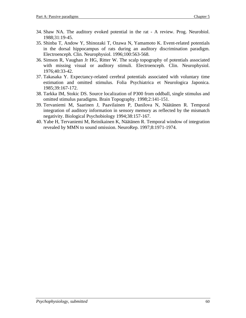- 34. Shaw NA. The auditory evoked potential in the rat A review. Prog. Neurobiol. 1988;31:19-45.
- 35. Shinba T, Andow Y, Shinozaki T, Ozawa N, Yamamoto K. Event-related potentials in the dorsal hippocampus of rats during an auditory discrimination paradigm. Electroenceph. Clin. Neurophysiol. 1996;100:563-568.
- 36. Simson R, Vaughan Jr HG, Ritter W. The scalp topography of potentials associated with missing visual or auditory stimuli. Electroenceph. Clin. Neurophysiol. 1976;40:33-42.
- 37. Takasaka Y. Expectancy-related cerebral potentials associated with voluntary time estimation and omitted stimulus. Folia Psychiatrica et Neurologica Japonica. 1985;39:167-172.
- 38. Tarkka IM, Stokic DS. Source localization of P300 from oddball, single stimulus and omitted stimulus paradigms. Brain Topography. 1998;2:141-151.
- 39. Tervaniemi M, Saarinen J, Paavilainen P, Danilova N, Näätänen R. Temporal integration of auditory information in sensory memory as reflected by the mismatch negativity. Biological Psychobiology 1994;38:157-167.
- 40. Yabe H, Tervaniemi M, Reinikainen K, Näätänen R. Temporal window of integration revealed by MMN to sound omission. NeuroRep. 1997;8:1971-1974.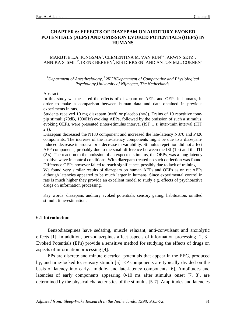### **CHAPTER 6: EFFECTS OF DIAZEPAM ON AUDITORY EVOKED POTENTIALS (AEPS) AND OMISSION EVOKED POTENTIALS (OEPS) IN HUMANS**

MARIJTJE L.A. JONGSMA $^{\rm l}$ , CLEMENTINA M. VAN RIJN $^{\rm l,2}$ , ARWIN SETZ $^{\rm l}$ , ANNIKA S. SMIT $^2$ , IRENE BERBEN $^2$ , RIS DIRKSEN $^1$  AND ANTON M.L. COENEN $^2$ 

<sup>1</sup>Department of Anesthesiology,<sup>2</sup> NICI\Department of Comparative and Physiological *Psychology,University of Nijmegen, The Netherlands.*

#### Abstract:

In this study we measured the effects of diazepam on AEPs and OEPs in humans, in order to make a comparison between human data and data obtained in previous experiments in rats.

Students received 10 mg diazepam  $(n=8)$  or placebo  $(n=8)$ . Trains of 10 repetitive tonepip stimuli (70dB, 1000Hz) evoking AEPs, followed by the omission of such a stimulus, evoking OEPs, were presented (inter-stimulus interval (ISI) 1 s; inter-train interval (ITI) 2 s).

Diazepam decreased the N180 component and increased the late-latency N370 and P420 components. The increase of the late-latency components might be due to a diazepaminduced decrease in arousal or a decrease in variability. Stimulus repetition did not affect AEP components, probably due to the small difference between the ISI (1 s) and the ITI (2 s). The reaction to the omission of an expected stimulus, the OEPs, was a long-latency positive wave in control conditions. With diazepam-treated no such deflection was found. Difference OEPs however failed to reach significance, possibly due to lack of training. We found very similar results of diazepam on human AEPs and OEPs as on rat AEPs although latencies appeared to be much larger in humans. Since experimental control in rats is much higher they provide an excellent model to study e.g. effects of psychoactive drugs on information processing.

Key words: diazepam, auditory evoked potentials, sensory gating, habituation, omitted stimuli, time-estimation.

#### **6.1 Introduction**

Benzodiazepines have sedating, muscle relaxant, anti-convulsant and anxiolytic effects [1]. In addition, benzodiazepines affect aspects of information processing [2, 3]. Evoked Potentials (EPs) provide a sensitive method for studying the effects of drugs on aspects of information processing [4].

EPs are discrete and minute electrical potentials that appear in the EEG, produced by, and time-locked to, sensory stimuli [5]. EP components are typically divided on the basis of latency into early-, middle- and late-latency components [6]. Amplitudes and latencies of early components appearing 0-10 ms after stimulus onset [7, 8], are determined by the physical characteristics of the stimulus [5-7]. Amplitudes and latencies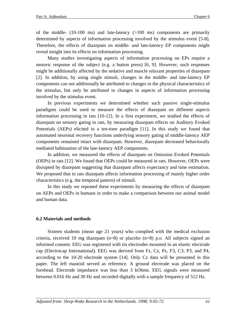of the middle-  $(10-100 \text{ ms})$  and late-latency  $(>100 \text{ ms})$  components are primarily determined by aspects of information processing involved by the stimulus event [5-8]. Therefore, the effects of diazepam on middle- and late-latency EP components might reveal insight into its effects on information processing.

Many studies investigating aspects of information processing on EPs require a motoric response of the subject (e.g. a button press) [6, 9]. However, such responses might be additionally affected by the sedative and muscle relaxant properties of diazepam [2]. In addition, by using single stimuli, changes in the middle- and late-latency EP components can not additionally be attributed to changes in the physical characteristics of the stimulus, but only be attributed to changes in aspects of information processing involved by the stimulus event.

In previous experiments we determined whether such passive single-stimulus paradigms could be used to measure the effects of diazepam on different aspects information processing in rats [10-12]. In a first experiment, we studied the effects of diazepam on sensory gating in rats, by measuring diazepam effects on Auditory Evoked Potentials (AEPs) elicited in a ten-tone paradigm [11]. In this study we found that automated neuronal recovery functions underlying sensory gating of middle-latency AEP components remained intact with diazepam. However, diazepam decreased behaviorally mediated habituation of the late-latency AEP components.

In addition, we measured the effects of diazepam on Omission Evoked Potentials (OEPs) in rats [12]. We found that OEPs could be measured in rats. However, OEPs were disrupted by diazepam suggesting that diazepam affects expectancy and time estimation. We proposed that in rats diazepam affects information processing of mainly higher order characteristics (e.g. the temporal pattern) of stimuli.

In this study we repeated these experiments by measuring the effects of diazepam on AEPs and OEPs in humans in order to make a comparison between our animal model and human data.

#### **6.2 Materials and methods**

Sixteen students (mean age 21 years) who complied with the medical exclusion criteria, received 10 mg diazepam (n=8) or placebo (n=8) p.o. All subjects signed an informed consent. EEG was registered with tin electrodes mounted in an elastic electrode cap (Electrocap International). EEG was derived from Fz, Cz, Pz, F3, C3; P3, and P4, according to the 10-20 electrode system [14]. Only Cz data will be presented in this paper. The left mastoid served as reference. A ground electrode was placed on the forehead. Electrode impedance was less than 3 kOhms. EEG signals were measured between 0.016 Hz and 30 Hz and recorded digitally with a sample frequency of 512 Hz.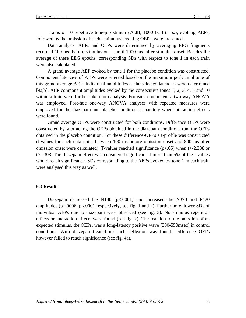Trains of 10 repetitive tone-pip stimuli (70dB, 1000Hz, ISI 1s.), evoking AEPs, followed by the omission of such a stimulus, evoking OEPs, were presented.

Data analysis: AEPs and OEPs were determined by averaging EEG fragments recorded 100 ms. before stimulus onset until 1000 ms. after stimulus onset. Besides the average of these EEG epochs, corresponding SDs with respect to tone 1 in each train were also calculated.

A grand average AEP evoked by tone 1 for the placebo condition was constructed. Component latencies of AEPs were selected based on the maximum peak amplitude of this grand average AEP. Individual amplitudes at the selected latencies were determined [9a,b]. AEP component amplitudes evoked by the consecutive tones 1, 2, 3, 4, 5 and 10 within a train were further taken into analysis. For each component a two-way ANOVA was employed. Post-hoc one-way ANOVA analyses with repeated measures were employed for the diazepam and placebo conditions separately when interaction effects were found.

Grand average OEPs were constructed for both conditions. Difference OEPs were constructed by subtracting the OEPs obtained in the diazepam condition from the OEPs obtained in the placebo condition. For these difference-OEPs a t-profile was constructed (t-values for each data point between 100 ms before omission onset and 800 ms after omission onset were calculated). T-values reached significance ( $p<0.05$ ) when t $\lt$ -2.308 or t>2.308. The diazepam effect was considered significant if more than 5% of the t-values would reach significance. SDs corresponding to the AEPs evoked by tone 1 in each train were analysed this way as well.

#### **6.3 Results**

Diazepam decreased the N180 (p<.0001) and increased the N370 and P420 amplitudes (p=.0006, p<.0001 respectively, see fig. 1 and 2). Furthermore, lower SDs of individual AEPs due to diazepam were observed (see fig. 3). No stimulus repetition effects or interaction effects were found (see fig. 2). The reaction to the omission of an expected stimulus, the OEPs, was a long-latency positive wave (300-550msec) in control conditions. With diazepam-treated no such deflexion was found. Difference OEPs however failed to reach significance (see fig. 4a).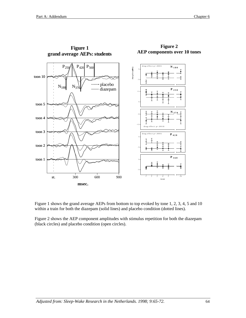**Figure 1**



**Figure 2 AEP components over 10 tones**

Figure 1 shows the grand average AEPs from bottom to top evoked by tone 1, 2, 3, 4, 5 and 10 within a train for both the diazepam (solid lines) and placebo condition (dotted lines).

Figure 2 shows the AEP component amplitudes with stimulus repetition for both the diazepam (black circles) and placebo condition (open circles).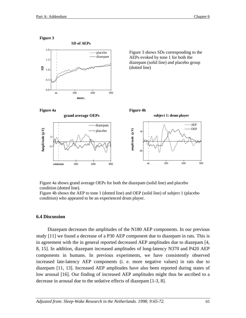



Figure 4a shows grand average OEPs for both the diazepam (solid line) and placebo condition (dotted line).

Figure 4b shows the AEP to tone 1 (dotted line) and OEP (solid line) of subject 1 (placebo condition) who appeared to be an experienced drum player.

#### **6.4 Discussion**

Diazepam decreases the amplitudes of the N180 AEP components. In our previous study [11] we found a decrease of a P30 AEP component due to diazepam in rats. This is in agreement with the in general reported decreased AEP amplitudes due to diazepam [4, 8, 15]. In addition, diazepam increased amplitudes of long-latency N370 and P420 AEP components in humans. In previous experiments, we have consistently observed increased late-latency AEP components (i. e. more negative values) in rats due to diazepam [11, 13]. Increased AEP amplitudes have also been reported during states of low arousal [16]. Our finding of increased AEP amplitudes might thus be ascribed to a decrease in arousal due to the sedative effects of diazepam [1-3, 8].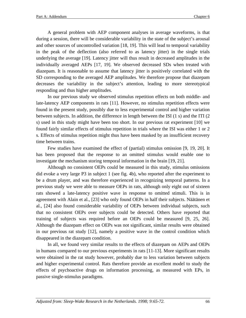A general problem with AEP component analyses in average waveforms, is that during a session, there will be considerable variability in the state of the subject's arousal and other sources of uncontrolled variation [18, 19]. This will lead to temporal variability in the peak of the deflection (also referred to as latency jitter) in the single trials underlying the average [19]. Latency jitter will thus result in decreased amplitudes in the individually averaged AEPs [17, 19]. We observed decreased SDs when treated with diazepam. It is reasonable to assume that latency jitter is positively correlated with the SD corresponding to the averaged AEP amplitudes. We therefore propose that diazepam decreases the variability in the subject's attention, leading to more stereotypical responding and thus higher amplitudes.

In our previous study we observed stimulus repetition effects on both middle- and late-latency AEP components in rats [11]. However, no stimulus repetition effects were found in the present study, possibly due to less experimental control and higher variation between subjects. In addition, the difference in length between the ISI (1 s) and the ITI (2 s) used in this study might have been too short. In our previous rat experiment [10] we found fairly similar effects of stimulus repetition in trials where the ISI was either 1 or 2 s. Effects of stimulus repetition might thus have been masked by an insufficient recovery time between trains.

Few studies have examined the effect of (partial) stimulus omission [9, 19, 20]. It has been proposed that the response to an omitted stimulus would enable one to investigate the mechanism storing temporal information in the brain [19, 21].

Although no consistent OEPs could be measured in this study, stimulus omissions did evoke a very large P3 in subject 1 (see fig. 4b), who reported after the experiment to be a drum player, and was therefore experienced in recognizing temporal patterns. In a previous study we were able to measure OEPs in rats, although only eight out of sixteen rats showed a late-latency positive wave in response to omitted stimuli. This is in agreement with Alain et al., [23] who only found OEPs in half their subjects. Näätänen et al., [24] also found considerable variability of OEPs between individual subjects, such that no consistent OEPs over subjects could be detected. Others have reported that training of subjects was required before an OEPs could be measured [9, 25, 26]. Although the diazepam effect on OEPs was not significant, similar results were obtained in our previous rat study [12], namely a positive wave in the control condition which disappeared in the diazepam condition.

In all, we found very similar results to the effects of diazepam on AEPs and OEPs in humans compared to our previous experiments in rats [11-13]. More significant results were obtained in the rat study however, probably due to less variation between subjects and higher experimental control. Rats therefore provide an excellent model to study the effects of psychoactive drugs on information processing, as measured with EPs, in passive single-stimulus paradigms.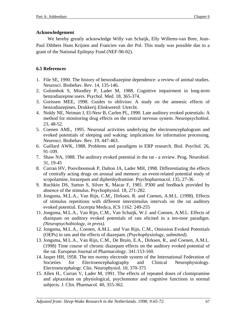### **Acknowledgement**

We hereby greatly acknowledge Willy van Schaijk, Elly Willems-van Bree, Jean-Paul Dibbets Hans Krijnen and Francien van der Pol. This study was possible due to a grant of the National Epilepsy Fund (NEF-96-02).

## **6.5 References**

- 1. File SE, 1990. The history of benzodiazepine dependence: a review of animal studies. Neurosci. Biobehav. Rev. 14, 135-146.
- 2. Golombok S, Moodley P, Lader M, 1988. Cognitive impairment in long-term benzodiazepine users. Psychol. Med. 18, 365-374.
- 3. Gorissen MEE, 1998. Guides to oblivion: A study on the amnesic effects of benzodiazepines. Drukkerij Elinkweerd: Utrecht.
- 4. Noldy NE, Neiman J, El-Nesr B, Carlen PL, 1990. Late auditory evoked potentials: A method for monitoring drug effects on the central nervous system. Neuropsychobiol. 23, 48-52.
- 5. Coenen AML, 1995. Neuronal activities underlying the electroencephalogram and evoked potentials of sleeping and waking: implications for information processing. Neurosci. Biobehav. Rev. 19, 447-463.
- 6. Gaillard AWK, 1988. Problems and paradigms in ERP research. Biol. Psychol. 26, 91-109.
- 7. Shaw NA, 1988. The auditory evoked potential in the rat a review. Prog. Neurobiol. 31, 19-45
- 8. Curran HV, Pooviboonsuk P, Dalton JA, Lader MH, 1998. Differentiating the effects of centrally acting drugs on arousal and memory: an event-related potential study of scopolamine, lorazepam and diphenhydramine. Psychopharmacol. 135, 27-36.
- 9. Ruchkin DS, Sutton S, Silver K, Macar F, 1981. P300 and feedback provided by absence of the stimulus. Psychophysiol. 18, 271-282.
- 10. Jongsma, M.L.A., Van Rijn, C.M., Dirksen, R. and Coenen, A.M.L. (1998). Effects of stimulus repetitions with different interstimulus intervals on the rat auditory evoked potential. Excerpta Medica, ICS 1162: 249-255
- 11. Jongsma, M.L.A., Van Rijn, C.M., Van Schaijk, W.J. and Coenen, A.M.L. Effects of diazepam on auditory evoked potentials of rats elicited in a ten-tone paradigm. *(Neuropsychobiology, in press).*
- 12. Jongsma, M.L.A., Coenen, A.M.L. and Van Rijn, C.M., Omission Evoked Potentials (OEPs) in rats and the effects of diazepam*. (Psychophysiology, submitted).*
- 13. Jongsma, M.L.A., Van Rijn, C.M., De Bruin, E.A., Dirksen, R., and Coenen, A.M.L. (1998) Time course of chronic diazepam effects on the auditory evoked potential of the rat. European Journal of Pharmacology. 341:153-160.
- 14. Jasper HH, 1958. The ten twenty electrode system of the International Federation of Societies for Electroencephalography and Clinical Neurophysiology. Electroencephalogr. Clin. Neurophysiol. 10, 370-375
- 15. Allen H., Curran V, Lader M, 1991. The effects of repeated doses of clomipramine and alprazolam on physiological, psychomotor and cognitive functions in normal subjects. J. Clin. Pharmacol. 40, 355-362.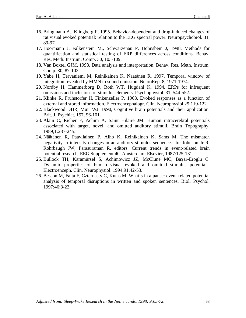- 16. Bringmann A., Klingberg F, 1995. Behavior-dependent and drug-induced changes of rat visual evoked potential: relation to the EEG spectral power. Neuropsychobiol. 31, 89-97.
- 17. Hoormann J, Falkenstein M., Schwarzenau P, Hohnsbein J, 1998. Methods for quantification and statistical testing of ERP differences across conditions. Behav. Res. Meth. Instrum. Comp. 30, 103-109.
- 18. Van Boxtel GJM, 1998. Data analysis and interpretation. Behav. Res. Meth. Instrum. Comp. 30, 87-102.
- 19. Yabe H, Tervaniemi M, Reinikainen K, Näätänen R, 1997, Temporal window of integration revealed by MMN to sound omission. NeuroRep. 8, 1971-1974.
- 20. Nordby H, Hammerborg D, Roth WT, Hugdahl K, 1994. ERPs for infrequent omissions and inclusions of stimulus elements. Psychophysiol. 31, 544-552.
- 21. Klinke R, Fruhstorfer H, Finkenzeller P. 1968, Evoked responses as a function of external and stored information. Electroencephalogr. Clin. Neurophysiol 25:119-122.
- 22. Blackwood DHR, Muir WJ. 1990, Cognitive brain potentials and their application. Brit. J. Psychiat. 157, 96-101.
- 23. Alain C, Richer F, Achim A. Saint Hilaire JM. Human intracerebral potentials associated with target, novel, and omitted auditory stimuli. Brain Topography. 1989;1:237-245.
- 24. Näätänen R, Paavilainen P, Alho K, Reinikainen K, Sams M. The mismatch negativity to intensity changes in an auditory stimulus sequence. In: Johnson Jr R, Rohrbaugh JW, Parasuraman R, editors. Current trends in event-related brain potential research. EEG Supplement 40. Amsterdam: Elsevier, 1987:125-131.
- 25. Bullock TH, Karamürsel S, Achimowicz JZ, McClune MC, Başar-Eroglu C. Dynamic properties of human visual evoked and omitted stimulus potentials. Electroenceph. Clin. Neurophysiol. 1994;91:42-53.
- 26. Besson M, Faita F, Czternasty C, Kutas M. What's in a pause: event-related potential analysis of temporal disruptions in written and spoken sentences. Biol. Psychol. 1997;46:3-23.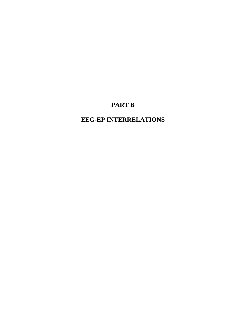# **PART B**

# **EEG-EP INTERRELATIONS**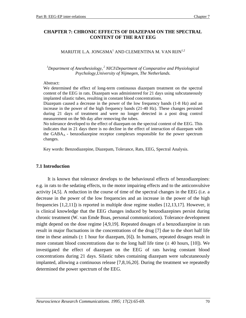### **CHAPTER 7: CHRONIC EFFECTS OF DIAZEPAM ON THE SPECTRAL CONTENT OF THE RAT EEG**

### MARIJTJE L.A. JONGSMA $^{\rm l}$  AND CLEMENTINA M. VAN RIJN $^{\rm l,2}$

<sup>1</sup>Department of Anesthesiology,<sup>2</sup> NICI\Department of Comparative and Physiological *Psychology,University of Nijmegen, The Netherlands.*

#### Abstract:

We determined the effect of long-term continuous diazepam treatment on the spectral content of the EEG in rats. Diazepam was administered for 21 days using subcutaneously implanted silastic tubes, resulting in constant blood concentrations.

Diazepam caused a decrease in the power of the low frequency bands (1-8 Hz) and an increase in the power of the high frequency bands (21-40 Hz). These changes persisted during 21 days of treatment and were no longer detected in a post drug control measurement on the 9th day after removing the tubes.

No tolerance developed to the effect of diazepam on the spectral content of the EEG. This indicates that in 21 days there is no decline in the effect of interaction of diazepam with the  $GABA_A$  - benzodiazepine receptor complexes responsible for the power spectrum changes.

Key words: Benzodiazepine, Diazepam, Tolerance, Rats, EEG, Spectral Analysis.

#### **7.1 Introduction**

It is known that tolerance develops to the behavioural effects of benzodiazepines: e.g. in rats to the sedating effects, to the motor impairing effects and to the anticonvulsive activity [4,5]. A reduction in the course of time of the spectral changes in the EEG (i.e. a decrease in the power of the low frequencies and an increase in the power of the high frequencies [1,2,11]) is reported in multiple dose regime studies [12,13,17]. However, it is clinical knowledge that the EEG changes induced by benzodiazepines persist during chronic treatment (W. van Emde Boas, personal communication). Tolerance development might depend on the dose regime [4,9,19]. Repeated dosages of a benzodiazepine in rats result in major fluctuations in the concentrations of the drug [7] due to the short half life time in these animals  $(\pm 1$  hour for diazepam, [6]). In humans, repeated dosages result in more constant blood concentrations due to the long half life time  $(\pm 40$  hours, [10]). We investigated the effect of diazepam on the EEG of rats having constant blood concentrations during 21 days. Silastic tubes containing diazepam were subcutaneously implanted, allowing a continuous release [7,8,16,20]. During the treatment we repeatedly determined the power spectrum of the EEG.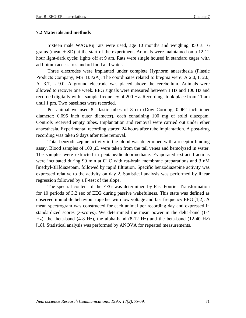#### **7.2 Materials and methods**

Sixteen male WAG/Rij rats were used, age 10 months and weighing  $350 \pm 16$ grams (mean  $\pm$  SD) at the start of the experiment. Animals were maintained on a 12-12 hour light-dark cycle: lights off at 9 am. Rats were single housed in standard cages with ad libitum access to standard food and water.

Three electrodes were implanted under complete Hypnorm anaesthesia (Plastic Products Company, MS 333/2A). The coordinates related to bregma were: A 2.0, L 2.0; A -3.7, L 9.0. A ground electrode was placed above the cerebellum. Animals were allowed to recover one week. EEG signals were measured between 1 Hz and 100 Hz and recorded digitally with a sample frequency of 200 Hz. Recordings took place from 11 am until 1 pm. Two baselines were recorded.

Per animal we used 8 silastic tubes of 8 cm (Dow Corning, 0.062 inch inner diameter; 0.095 inch outer diameter), each containing 100 mg of solid diazepam. Controls received empty tubes. Implantation and removal were carried out under ether anaesthesia. Experimental recording started 24 hours after tube implantation. A post-drug recording was taken 9 days after tube removal.

Total benzodiazepine activity in the blood was determined with a receptor binding assay. Blood samples of 100 µL were taken from the tail venes and hemolyzed in water. The samples were extracted in pentane/dichloormethane. Evaporated extract fractions were incubated during 90 min at  $0^{\circ}$  C with rat-brain membrane preparations and 3 nM [methyl-3H]diazepam, followed by rapid filtration. Specific benzodiazepine activity was expressed relative to the activity on day 2. Statistical analysis was performed by linear regression followed by a F-test of the slope.

The spectral content of the EEG was determined by Fast Fourier Transformation for 10 periods of 3.2 sec of EEG during passive wakefulness. This state was defined as observed immobile behaviour together with low voltage and fast frequency EEG [1,2]. A mean spectrogram was constructed for each animal per recording day and expressed in standardized scores (z-scores). We determined the mean power in the delta-band (1-4 Hz), the theta-band (4-8 Hz), the alpha-band (8-12 Hz) and the beta-band (12-40 Hz) [18]. Statistical analysis was performed by ANOVA for repeated measurements.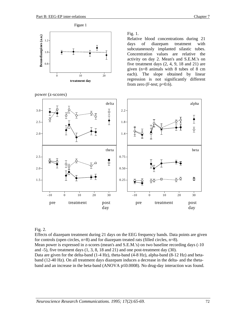

power (z-scores)

Fig. 1.

Relative blood concentrations during 21 days of diazepam treatment with subcutaneously implanted silastic tubes. Concentration values are relative the activity on day 2. Mean's and S.E.M.'s on five treatment days (2, 4, 9, 18 and 21) are given (n=8 animals with 8 tubes of 8 cm each). The slope obtained by linear regression is not significantly different from zero (F-test;  $p=0.6$ ).



#### Fig. 2.

Effects of diazepam treatment during 21 days on the EEG frequency bands. Data points are given for controls (open circles, n=8) and for diazepam treated rats (filled circles, n=8).

Mean power is expressed in z-scores (mean's and S.E.M.'s) on two baseline recording days (-10) and -5), five treatment days (1, 3, 8, 18 and 21) and one post-treatment day (30).

Data are given for the delta-band (1-4 Hz), theta-band (4-8 Hz), alpha-band (8-12 Hz) and betaband (12-40 Hz). On all treatment days diazepam induces a decrease in the delta- and the thetaband and an increase in the beta-band (ANOVA p≤0.0008). No drug-day interaction was found.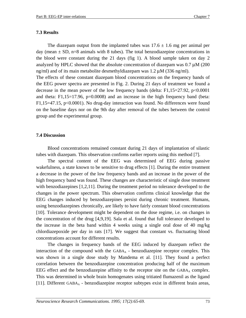#### **7.3 Results**

The diazepam output from the implanted tubes was  $17.6 \pm 1.6$  mg per animal per day (mean  $\pm$  SD, n=8 animals with 8 tubes). The total benzodiazepine concentrations in the blood were constant during the 21 days (fig 1). A blood sample taken on day 2 analyzed by HPLC showed that the absolute concentration of diazepam was 0.7 µM (200 ng/ml) and of its main metabolite desmethyldiazepam was  $1.2 \mu M$  (336 ng/ml). The effects of these constant diazepam blood concentrations on the frequency bands of the EEG power spectra are presented in Fig. 2. During 21 days of treatment we found a decrease in the mean power of the low frequency bands (delta:  $F1,15=27.92, p<0.0001$ 

and theta:  $F1,15=17.96$ ,  $p=0.0008$ ) and an increase in the high frequency band (beta: F1,15=47.15, p<0.0001). No drug-day interaction was found. No differences were found on the baseline days nor on the 9th day after removal of the tubes between the control group and the experimental group.

#### **7.4 Discussion**

Blood concentrations remained constant during 21 days of implantation of silastic tubes with diazepam. This observation confirms earlier reports using this method [7].

The spectral content of the EEG was determined of EEG during passive wakefulness, a state known to be sensitive to drug effects [1]. During the entire treatment a decrease in the power of the low frequency bands and an increase in the power of the high frequency band was found. These changes are characteristic of single dose treatment with benzodiazepines [1,2,11]. During the treatment period no tolerance developed to the changes in the power spectrum. This observation confirms clinical knowledge that the EEG changes induced by benzodiazepines persist during chronic treatment. Humans, using benzodiazepines chronically, are likely to have fairly constant blood concentrations [10]. Tolerance development might be dependent on the dose regime, i.e. on changes in the concentration of the drug [4,9,19]. Sala et al. found that full tolerance developed to the increase in the beta band within 4 weeks using a single oral dose of 40 mg/kg chlordiazepoxide per day in rats [17]. We suggest that constant vs. fluctuating blood concentrations account for different results.

The changes in frequency bands of the EEG induced by diazepam reflect the interaction of the compound with the  $GABA_A$  - benzodiazepine receptor complex. This was shown in a single dose study by Mandema et al. [11]. They found a perfect correlation between the benzodiazepine concentration producing half of the maximum EEG effect and the benzodiazepine affinity to the receptor site on the  $GABA_A$  complex. This was determined in whole brain homogenates using tritiated flumazenil as the ligand [11]. Different GABA<sub>A</sub> - benzodiazepine receptor subtypes exist in different brain areas,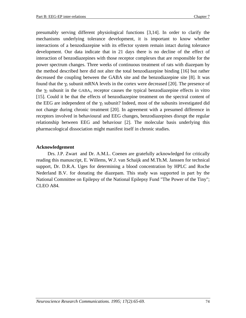presumably serving different physiological functions [3,14]. In order to clarify the mechanisms underlying tolerance development, it is important to know whether interactions of a benzodiazepine with its effector system remain intact during tolerance development. Our data indicate that in 21 days there is no decline of the effect of interaction of benzodiazepines with those receptor complexes that are responsible for the power spectrum changes. Three weeks of continuous treatment of rats with diazepam by the method described here did not alter the total benzodiazepine binding [16] but rather decreased the coupling between the GABA site and the benzodiazepine site [8]. It was found that the  $\gamma_2$  subunit mRNA levels in the cortex were decreased [20]. The presence of the  $\gamma_2$  subunit in the GABA<sub>A</sub> receptor causes the typical benzodiazepine effects in vitro [15]. Could it be that the effects of benzodiazepine treatment on the spectral content of the EEG are independent of the  $\gamma_2$  subunit? Indeed, most of the subunits investigated did not change during chronic treatment [20]. In agreement with a presumed difference in receptors involved in behavioural and EEG changes, benzodiazepines disrupt the regular relationship between EEG and behaviour [2]. The molecular basis underlying this pharmacological dissociation might manifest itself in chronic studies.

## **Acknowledgement**

Drs. J.P. Zwart and Dr. A.M.L. Coenen are gratefully acknowledged for critically reading this manuscript, E. Willems, W.J. van Schaijk and M.Th.M. Janssen for technical support, Dr. D.R.A. Uges for determining a blood concentration by HPLC and Roche Nederland B.V. for donating the diazepam. This study was supported in part by the National Committee on Epilepsy of the National Epilepsy Fund "The Power of the Tiny"; CLEO A84.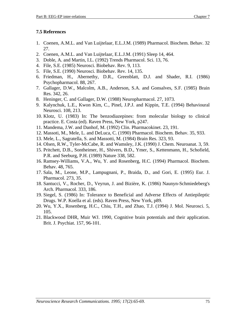## **7.5 References**

- 1. Coenen, A.M.L. and Van Luijtelaar, E.L.J.M. (1989) Pharmacol. Biochem. Behav. 32 27.
- 2. Coenen, A.M.L. and Van Luijtelaar, E.L.J.M. (1991) Sleep 14, 464.
- 3. Doble, A. and Martin, I.L. (1992) Trends Pharmacol. Sci. 13, 76.
- 4. File, S.E. (1985) Neurosci. Biobehav. Rev. 9, 113.
- 5. File, S.E. (1990) Neurosci. Biobehav. Rev. 14, 135.
- 6. Friedman, H., Abernethy, D.R., Greenblatt, D.J. and Shader, R.I. (1986) Psychopharmacol. 88, 267.
- 7. Gallager, D.W., Malcolm, A.B., Anderson, S.A. and Gonsalves, S.F. (1985) Brain Res. 342, 26.
- 8. Heninger, C. and Gallager, D.W. (1988) Neuropharmacol. 27, 1073.
- 9. Kalynchuk, L.E., Kwon Kim, C., Pinel, J.P.J. and Kippin, T.E. (1994) Behavioural Neurosci. 108, 213.
- 10. Klotz, U. (1983) In: The benzodiazepines: from molecular biology to clinical practice. E. Costa (ed). Raven Press, New York, p247.
- 11. Mandema, J.W. and Danhof, M. (1992) Clin. Pharmacokinet. 23, 191.
- 12. Massoti, M., Mele, L. and DeLuca, C. (1990) Pharmacol. Biochem. Behav. 35, 933.
- 13. Mele, L., Sagratella, S. and Massotti, M. (1984) Brain Res. 323, 93.
- 14. Olsen, R.W., Tyler-McCabe, R. and Wamsley, J.K. (1990) J. Chem. Neuroanat. 3, 59.
- 15. Pritchett, D.B., Sontheimer, H., Shivers, B.D., Ymer, S., Kettenmann, H., Schofield, P.R. and Seeburg, P.H. (1989) Nature 338, 582.
- 16. Ramsey-Williams, V.A., Wu, Y. and Rosenberg, H.C. (1994) Pharmacol. Biochem. Behav. 48, 765.
- 17. Sala, M., Leone, M.P., Lampugnani, P., Braida, D., and Gori, E. (1995) Eur. J. Pharmacol. 273, 35.
- 18. Santucci, V., Rocher, D., Veyrun, J. and Bizière, K. (1986) Naunyn-Schmiedeberg's Arch. Pharmacol. 333, 186.
- 19. Siegel, S. (1986) In: Tolerance to Beneficial and Adverse Effects of Antiepileptic Drugs. W.P. Koella et al. (eds). Raven Press, New York, p89.
- 20. Wu, Y.X., Rosenberg, H.C., Chiu, T.H., and Zhao, T.J. (1994) J. Mol. Neurosci. 5, 105.
- 21. Blackwood DHR, Muir WJ. 1990, Cognitive brain potentials and their application. Brit. J. Psychiat. 157, 96-101.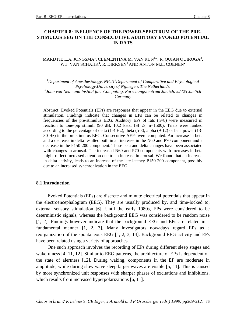### **CHAPTER 8: INFLUENCE OF THE POWER-SPECTRUM OF THE PRE-STIMULUS EEG ON THE CONSECUTIVE AUDITORY EVOKED POTENTIAL IN RATS**

#### MARIJTJE L.A. JONGSMA $^{\rm l}$ , CLEMENTINA M. VAN RIJN $^{\rm l,2}$ , R. QUIAN QUIROGA $^{\rm 3}$ , W.J. VAN SCHAIJK $^2$ , R. DIRKSEN $^4$  AND ANTON M.L. COENEN $^2$

*1 Department of Anesthesiology, NICI\ 2Department of Comparative and Physiological Psychology,University of Nijmegen, The Netherlands. 3 John von Neumann Institut fuer Computing. Forschungszentrum Juelich. 52425 Juelich Germany*

Abstract: Evoked Potentials (EPs) are responses that appear in the EEG due to external stimulation. Findings indicate that changes in EPs can be related to changes in frequencies of the pre-stimulus EEG. Auditory EPs of rats (n=8) were measured in reaction to tone-pip stimuli (90 dB, 10.2 kHz, ISI 2s, n=1500). Trials were ranked according to the percentage of delta (1-4 Hz), theta (5-8), alpha (9-12) or beta power (13- 30 Hz) in the pre-stimulus EEG. Consecutive AEPs were computed. An increase in beta and a decrease in delta resulted both in an increase in the N60 and P70 component and a decrease in the P150-200 component. These beta and delta changes have been associated with changes in arousal. The increased N60 and P70 components with increases in beta might reflect increased attention due to an increase in arousal. We found that an increase in delta activity, leads to an increase of the late-latency P150-200 component, possibly due to an increased synchronization in the EEG.

#### **8.1 Introduction**

Evoked Potentials (EPs) are discrete and minute electrical potentials that appear in the electroencephalogram (EEG). They are usually produced by, and time-locked to, external sensory stimulation [6]. Until the early 1980s, EPs were considered to be deterministic signals, whereas the background EEG was considered to be random noise [1, 2]. Findings however indicate that the background EEG and EPs are related in a fundamental manner [1, 2, 3]. Many investigators nowadays regard EPs as a reorganization of the spontaneous EEG [1, 2, 3, 14]. Background EEG activity and EPs have been related using a variety of approaches.

One such approach involves the recording of EPs during different sleep stages and wakefulness [4, 11, 12]. Similar to EEG patterns, the architecture of EPs is dependent on the state of alertness [12]. During waking, components in the EP are moderate in amplitude, while during slow wave sleep larger waves are visible [5, 11]. This is caused by more synchronized unit responses with sharper phases of excitations and inhibitions, which results from increased hyperpolarizations [6, 11].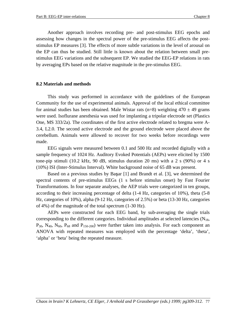Another approach involves recording pre- and post-stimulus EEG epochs and assessing how changes in the spectral power of the pre-stimulus EEG affects the poststimulus EP measures [3]. The effects of more subtle variations in the level of arousal on the EP can thus be studied. Still little is known about the relation between small prestimulus EEG variations and the subsequent EP. We studied the EEG-EP relations in rats by averaging EPs based on the relative magnitude in the pre-stimulus EEG.

#### **8.2 Materials and methods**

This study was performed in accordance with the guidelines of the European Community for the use of experimental animals. Approval of the local ethical committee for animal studies has been obtained. Male Wistar rats (n=8) weighting  $470 \pm 49$  grams were used. Isoflurane anesthesia was used for implanting a tripolar electrode set (Plastics One, MS 333/2a). The coordinates of the first active electrode related to bregma were A-3.4, L2.0. The second active electrode and the ground electrode were placed above the cerebellum. Animals were allowed to recover for two weeks before recordings were made.

EEG signals were measured between 0.1 and 500 Hz and recorded digitally with a sample frequency of 1024 Hz. Auditory Evoked Potentials (AEPs) were elicited by 1500 tone-pip stimuli (10.2 kHz, 90 dB, stimulus duration 20 ms) with a 2 s (90%) or 4 s (10%) ISI (Inter-Stimulus Interval). White background noise of 65 dB was present.

Based on a previous studies by Baar [1] and Brandt et al. [3], we determined the spectral contents of pre-stimulus EEGs (1 s before stimulus onset) by Fast Fourier Transformations. In four separate analyses, the AEP trials were categorized in ten groups, according to their increasing percentage of delta (1-4 Hz, categories of 10%), theta (5-8 Hz, categories of 10%), alpha (9-12 Hz, categories of 2.5%) or beta (13-30 Hz, categories of 4%) of the magnitude of the total spectrum (1-30 Hz).

AEPs were constructed for each EEG band, by sub-averaging the single trials corresponding to the different categories. Individual amplitudes at selected latencies  $(N_{18}$ ,  $P_{30}$ ,  $N_{40}$ ,  $N_{60}$ ,  $P_{68}$  and  $P_{150-200}$ ) were further taken into analysis. For each component an ANOVA with repeated measures was employed with the percentage 'delta', 'theta', 'alpha' or 'beta' being the repeated measure.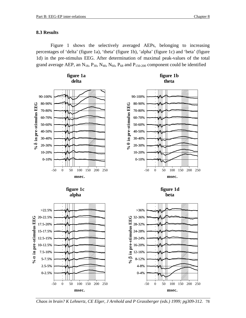#### **8.3 Results**

0-2.5%

-50 0 50 100 150 200 250 **msec.**

Figure 1 shows the selectively averaged AEPs, belonging to increasing percentages of 'delta' (figure 1a), 'theta' (figure 1b), 'alpha' (figure 1c) and 'beta' (figure 1d) in the pre-stimulus EEG. After determination of maximal peak-values of the total grand average AEP, an  $N_{18}$ ,  $P_{30}$ ,  $N_{40}$ ,  $N_{60}$ ,  $P_{68}$  and  $P_{150-200}$  component could be identified





0-4%

-50 0 50 100 150 200 250 **msec.**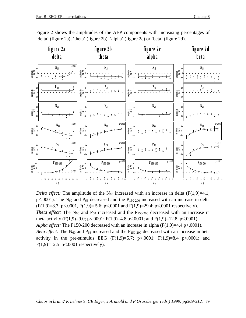

Figure 2 shows the amplitudes of the AEP components with increasing percentages of 'delta' (figure 2a), 'theta' (figure 2b), 'alpha' (figure 2c) or 'beta' (figure 2d).

*Delta effect:* The amplitude of the  $N_{18}$  increased with an increase in delta (F(1,9)=4.1; p<.0001). The  $N_{60}$  and  $P_{68}$  decreased and the  $P_{150-200}$  increased with an increase in delta  $(F(1,9)=8.7; p<.0001, F(1,9)=5.6; p<.0001$  and  $F(1,9)=29.4; p<.0001$  respectively). *Theta effect:* The  $N_{60}$  and  $P_{68}$  increased and the  $P_{150-200}$  decreased with an increase in theta activity  $(F(1,9)=9.0; p<.0001; F(1,9)=4.8 p<.0001;$  and  $F(1,9)=12.8 p<.0001$ . *Alpha effect:* The P150-200 decreased with an increase in alpha  $(F(1,9)=4.4 \text{ p} < .0001)$ . *Beta effect:* The  $N_{60}$  and  $P_{68}$  increased and the  $P_{150-200}$  decreased with an increase in beta activity in the pre-stimulus EEG  $(F(1,9)=5.7; p<.0001; F(1,9)=8.4 p<.0001;$  and  $F(1,9)=12.5$  p<.0001 respectively).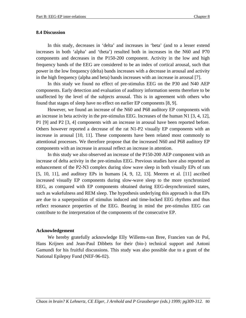#### **8.4 Discussion**

In this study, decreases in 'delta' and increases in 'beta' (and to a lesser extend increases in both 'alpha' and 'theta') resulted both in increases in the N60 and P70 components and decreases in the P150-200 component. Activity in the low and high frequency bands of the EEG are considered to be an index of cortical arousal, such that power in the low frequency (delta) bands increases with a decrease in arousal and activity in the high frequency (alpha and beta) bands increases with an increase in arousal [7].

In this study we found no effect of pre-stimulus EEG on the P30 and N40 AEP components. Early detection and evaluation of auditory information seems therefore to be unaffected by the level of the subjects arousal. This is in agreement with others who found that stages of sleep have no effect on earlier EP components [8, 9].

However, we found an increase of the N60 and P68 auditory EP components with an increase in beta activity in the pre-stimulus EEG. Increases of the human N1 [3, 4, 12], P1 [9] and P2 [3, 4] components with an increase in arousal have been reported before. Others however reported a decrease of the rat N1-P2 visually EP components with an increase in arousal [10, 11]. These components have been related most commonly to attentional processes. We therefore propose that the increased N60 and P68 auditory EP components with an increase in arousal reflect an increase in attention.

In this study we also observed an increase of the P150-200 AEP component with an increase of delta activity in the pre-stimulus EEG. Previous studies have also reported an enhancement of the P2-N3 complex during slow wave sleep in both visually EPs of rats [5, 10, 11], and auditory EPs in humans [4, 9, 12, 13]. Meeren et al. [11] ascribed increased visually EP components during slow-wave sleep to the more synchronized EEG, as compared with EP components obtained during EEG-desynchronized states, such as wakefulness and REM sleep. The hypothesis underlying this approach is that EPs are due to a superposition of stimulus induced and time-locked EEG rhythms and thus reflect resonance properties of the EEG. Bearing in mind the pre-stimulus EEG can contribute to the interpretation of the components of the consecutive EP.

#### **Acknowledgement**

We hereby gratefully acknowledge Elly Willems-van Bree, Francien van de Pol, Hans Krijnen and Jean-Paul Dibbets for their (bio-) technical support and Antoni Gamundi for his fruitful discussions. This study was also possible due to a grant of the National Epilepsy Fund (NEF-96-02).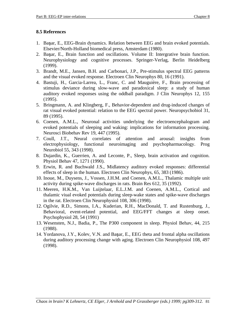## **8.5 References**

- 1. Baar, E., EEG-Brain dynamics. Relation between EEG and brain evoked potentials. Elsevier/North-Holland biomedical press, Amsterdam (1980).
- 2. Baar, E., Brain function and oscillations. Volume II: Intergrative brain function. Neurophysiology and cognitive processes. Springer-Verlag, Berlin Heidelberg (1999).
- 3. Brandt, M.E., Jansen, B.H. and Carbonari, J.P., Pre-stimulus spectral EEG patterns and the visual evoked response. Electroen Clin Neurophys 80, 16 (1991).
- 4. Bastuji, H., Garcia-Larrea, L., Franc, C. and Mauguière, F., Brain processing of stimulus deviance during slow-wave and paradoxical sleep: a study of human auditory evoked responses using the oddball paradigm. J Clin Neurophys 12, 155 (1995).
- 5. Bringmann, A. and Klingberg, F., Behavior-dependent and drug-induced changes of rat visual evoked potential: relation to the EEG spectral power. Neuropsychobiol 31, 89 (1995).
- 6. Coenen, A.M.L., Neuronal activities underlying the electroencephalogram and evoked potentials of sleeping and waking: implications for information processing. Neurosci Biobehav Rev 19, 447 (1995).
- 7. Coull, J.T., Neural correlates of attention and arousal: insights from electrophysiology, functional neuroimaging and psychopharmacology. Prog Neurobiol 55, 343 (1998).
- 8. Dujardin, K., Guerrien, A. and Leconte, P., Sleep, brain activation and cognition. Physiol Behav 47, 1271 (1990).
- 9. Erwin, R. and Buchwald J.S., Midlatency auditory evoked responses: differential effects of sleep in the human. Electroen Clin Neurophys, 65, 383 (1986).
- 10. Inoue, M., Duysens, J., Vossen, J.H.M. and Coenen, A.M.L., Thalamic multiple unit activity during spike-wave discharges in rats. Brain Res 612, 35 (1992).
- 11. Meeren, H.K.M., Van Luijtelaar, E.L.J.M. and Coenen, A.M.L., Cortical and thalamic viual evoked potentials during sleep-wake states and spike-wave discharges in the rat. Electroen Clin Neurophysiol 108, 306 (1998).
- 12. Ogilvie, R.D., Simons, I.A., Kuderian, R.H., MacDonald, T. and Rustenburg, J., Behavioral, event-related potential, and EEG/FFT changes at sleep onset. Psychophysiol 28, 54 (1991)
- 13. Wesensten, N.J., Badia, P., The P300 component in sleep. Physiol Behav, 44, 215 (1988).
- 14. Yordanova, J.Y., Kolev, V.N. and Başar, E., EEG theta and frontal alpha oscillations during auditory processing change with aging. Electroen Clin Neurophysiol 108, 497 (1998).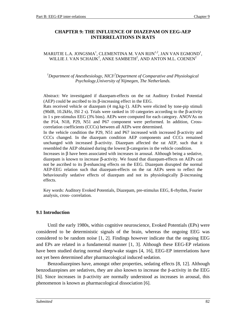## **CHAPTER 9: THE INFLUENCE OF DIAZEPAM ON EEG-AEP INTERRELATIONS IN RATS**

#### MARIJTJE L.A. JONGSMA $^{\rm l}$ , CLEMENTINA M. VAN RIJN $^{\rm l,2}$ , JAN VAN EGMOND $^{\rm l}$ , WILLIE J. VAN SCHAIJK $^2$ , ANKE SAMBETH $^2$ , AND ANTON M.L. COENEN $^2$

*1 Department of Anesthesiology, NICI\2 Department of Comparative and Physiological Psychology,University of Nijmegen, The Netherlands.*

Abstract: We investigated if diazepam-effects on the rat Auditory Evoked Potential (AEP) could be ascribed to its β-increasing effect in the EEG.

Rats received vehicle or diazepam (4 mg.kg-1). AEPs were elicited by tone-pip stimuli (90dB, 10.2kHz, ISI 2 s). Trials were ranked in 10 categories according to the β-activity in 1 s pre-stimulus EEG (3% bins). AEPs were computed for each category. ANOVAs on the P14, N18, P29, N51 and P67 component were performed. In addition, Crosscorrelation coefficients (CCCs) between all AEPs were determined.

In the vehicle condition the P29, N51 and P67 increased with increased β-activity and CCCs changed. In the diazepam condition AEP components and CCCs remained unchanged with increased β-activity. Diazepam affected the rat AEP, such that it resembled the AEP obtained during the lowest β-categories in the vehicle condition.

Increases in β have been associated with increases in arousal. Although being a sedative, diazepam is known to increase β-activity. We found that diazepam-effects on AEPs can not be ascribed to its β-enhancing effects on the EEG. Diazepam disrupted the normal AEP-EEG relation such that diazepam-effects on the rat AEPs seem to reflect the behaviourally sedative effects of diazepam and not its physiologically β-increasing effects.

Key words: Auditory Evoked Potentials, Diazepam, pre-stimulus EEG, ß-rhythm, Fourier analysis, cross- correlation.

## **9.1 Introduction**

Until the early 1980s, within cognitive neuroscience, Evoked Potentials (EPs) were considered to be deterministic signals of the brain, whereas the ongoing EEG was considered to be random noise [1, 2]. Findings however indicate that the ongoing EEG and EPs are related in a fundamental manner [1, 3]. Although these EEG-EP relations have been studied during normal sleep/wake stages [4, 16], EEG-EP interrelations have not yet been determined after pharmacological induced sedation.

Benzodiazepines have, amongst other properties, sedating effects [8, 12]. Although benzodiazepines are sedatives, they are also known to increase the β-activity in the EEG [6]. Since increases in β-activity are normally understood as increases in arousal, this phenomenon is known as pharmacological dissociation [6].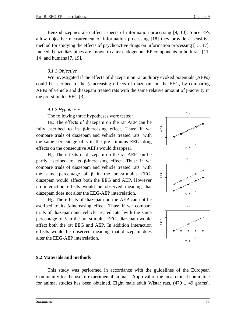Benzodiazepines also affect aspects of information processing [9, 10]. Since EPs allow objective measurement of information processing [18] they provide a sensitive method for studying the effects of psychoactive drugs on information processing [15, 17]. Indeed, benzodiazepines are known to alter endogenous EP components in both rats [11, 14] and humans [7, 19].

## *9.1.1 Objective*

We investigated if the effects of diazepam on rat auditory evoked potentials (AEPs) could be ascribed to the β-increasing effects of diazepam on the EEG, by comparing AEPs of vehicle and diazepam treated rats with the same relative amount of β-activity in the pre-stimulus EEG [3].

## *9.1.2 Hypotheses*

The following three hypotheses were tested:

 $H_0$ : The effects of diazepam on the rat AEP can be fully ascribed to its β-increasing effect. Thus: if we compare trials of diazepam and vehicle treated rats `with the same percentage of β in the pre-stimulus EEG, drug effects on the consecutive AEPs would disappear.

 $H<sub>1</sub>$ : The effects of diazepam on the rat AEP can be partly ascribed to its β-increasing effect. Thus: if we compare trials of diazepam and vehicle treated rats `with the same percentage of  $\beta$  in the pre-stimulus EEG, diazepam would affect both the EEG and AEP. However no interaction effects would be observed meaning that diazepam does not alter the EEG-AEP interrelation.

 $H_2$ : The effects of diazepam on the AEP can not be ascribed to its β-increasing effect. Thus: if we compare trials of diazepam and vehicle treated rats `with the same percentage of β in the pre-stimulus EEG, diazepam would affect both the rat EEG and AEP. In addition interaction effects would be observed meaning that diazepam does alter the EEG-AEP interrelation.

# **H <sup>0</sup> %** β **AEP H <sup>1</sup> %** β **AEP H <sup>2</sup> %** β **AEP**

## **9.2 Materials and methods**

This study was performed in accordance with the guidelines of the European Community for the use of experimental animals. Approval of the local ethical committee for animal studies has been obtained. Eight male adult Wistar rats,  $(470 \pm 49 \text{ grams})$ ,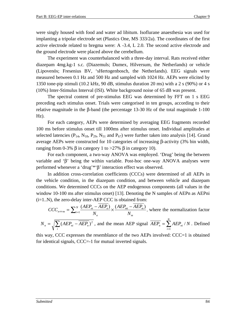were singly housed with food and water ad libitum. Isoflurane anaesthesia was used for implanting a tripolar electrode set (Plastics One, MS 333/2a). The coordinates of the first active electrode related to bregma were: A -3.4, L 2.0. The second active electrode and the ground electrode were placed above the cerebellum.

The experiment was counterbalanced with a three-day interval. Rats received either diazepam 4mg.kg-1 s.c. (Diazemuls; Dumex, Hilversum, the Netherlands) or vehicle (Lipovenös; Fresenius BV, 'sHertogenbosch, the Netherlands). EEG signals were measured between 0.1 Hz and 500 Hz and sampled with 1024 Hz. AEPs were elicited by 1350 tone-pip stimuli (10.2 kHz, 90 dB, stimulus duration 20 ms) with a 2 s (90%) or 4 s (10%) Inter-Stimulus Interval (ISI). White background noise of 65 dB was present.

The spectral content of pre-stimulus EEG was determined by FFT on 1 s EEG preceding each stimulus onset. Trials were categorised in ten groups, according to their relative magnitude in the β-band (the percentage 13-30 Hz of the total magnitude 1-100 Hz).

For each category, AEPs were determined by averaging EEG fragments recorded 100 ms before stimulus onset till 1000ms after stimulus onset. Individual amplitudes at selected latencies ( $P_{14}$ ,  $N_{18}$ ,  $P_{29}$ ,  $N_{51}$  and  $P_{67}$ ) were further taken into analysis [14]. Grand average AEPs were constructed for 10 categories of increasing β-activity (3% bin width, ranging from 0-3% β in category 1 to >27% β in category 10).

For each component, a two-way ANOVA was employed. 'Drug' being the between variable and 'β' being the within variable. Post-hoc one-way ANOVA analyses were performed whenever a 'drug'\*'β' interaction effect was observed.

In addition cross-correlation coefficients (CCCs) were determined of all AEPs in the vehicle condition, in the diazepam condition, and between vehicle and diazepam conditions. We determined CCCs on the AEP endogenous components (all values in the window 10-100 ms after stimulus onset) [13]. Denoting the N samples of AEPn as AEPni  $(i=1..N)$ , the zero-delay inter-AEP CCC is obtained from:

$$
CCC_{n \Leftrightarrow m} = \sum_{i=1}^{N} \frac{(AEP_{ni} - AEP_n)}{N_n} \times \frac{(AEP_{mi} - AEP_m)}{N_m},
$$
 where the normalization factor  

$$
N_n = \sqrt{\sum_{i} (AEP_{ni} - \overline{AEP_n})^2}
$$
, and the mean AEP signal  $\overline{AEP_n} = \sum_{i=1}^{N} AEP_{ni} / N$ . Defined

this way, CCC expresses the resemblance of the two AEPs involved: CCC=1 is obtained for identical signals, CCC=-1 for mutual inverted signals.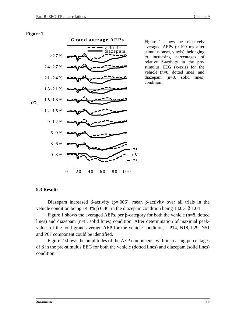#### **Figure 1**



averaged AEPs (0-100 ms after stimulus onset, y-axis), belonging to increasing percentages of relative ß-activity in the prestimulus EEG (x-axis) for the vehicle (n=8, dotted lines) and diazepam (n=8, solid lines) condition.

## **9.3 Results**

Diazepam increased β-activity ( $p=0.006$ ), mean β-activity over all trials in the vehicle condition being 14.3% β 0.46, in the diazepam condition being 18.0% β 1.04

Figure 1 shows the averaged AEPs, per β-category for both the vehicle (n=8, dotted lines) and diazepam (n=8, solid lines) condition. After determination of maximal peakvalues of the total grand average AEP for the vehicle condition, a P14, N18, P29, N51 and P67 component could be identified.

Figure 2 shows the amplitudes of the AEP components with increasing percentages of  $β$  in the pre-stimulus EEG for both the vehicle (dotted lines) and diazepam (solid lines) condition.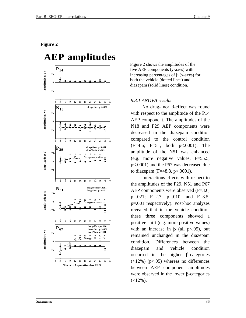#### **Figure 2**



Figure 2 shows the amplitudes of the five AEP components (y-axes) with increasing percentages of β (x-axes) for both the vehicle (dotted lines) and diazepam (solid lines) condition.

#### *9.3.1 ANOVA results*

No drug- nor β-effect was found with respect to the amplitude of the P14 AEP component. The amplitudes of the N18 and P29 AEP components were decreased in the diazepam condition compared to the control condition (F=4.6; F=51, both p<.0001). The amplitude of the N51 was enhanced (e.g. more negative values, F=55.5, p<.0001) and the P67 was decreased due to diazepam (F=48.8, p<.0001).

Interactions effects with respect to the amplitudes of the P29, N51 and P67 AEP components were observed (F=3.6,  $p=.021$ ; F=2.7,  $p=.010$ ; and F=3.5, p=.001 respectively). Post-hoc analyses revealed that in the vehicle condition these three components showed a positive shift (e.g. more positive values) with an increase in  $\beta$  (all p<.05), but remained unchanged in the diazepam condition. Differences between the diazepam and vehicle condition occurred in the higher β-categories  $(>12\%)$  (p<.05) whereas no differences between AEP component amplitudes were observed in the lower β-categories  $(<12\%)$ .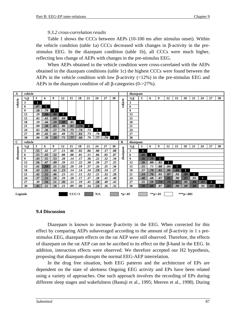### *9.3.2 cross-correlation results*

Table 1 shows the CCCs between AEPs (10-100 ms after stimulus onset). Within the vehicle condition (table 1a) CCCs decreased with changes in β-activity in the prestimulus EEG. In the diazepam condition (table 1b), all CCCs were much higher, reflecting less change of AEPs with changes in the pre-stimulus EEG.

When AEPs obtained in the vehicle condition were cross-correlated with the AEPs obtained in the diazepam conditions (table 1c) the highest CCCs were found between the AEPs in the vehicle condition with low  $\beta$ -activity (<12%) in the pre-stimulus EEG and AEPs in the diazepam condition of all  $\beta$ -categories (0->27%).



#### **9.4 Discussion**

Diazepam is known to increase β-activity in the EEG. When corrected for this effect by comparing AEPs subaveraged according to the amount of β-activity in 1 s prestimulus EEG, diazepam effects on the rat AEP were still observed. Therefore, the effects of diazepam on the rat AEP can not be ascribed to its effect on the  $\beta$ -band in the EEG. In addition, interaction effects were observed. We therefore accepted our H2 hypothesis, proposing that diazepam disrupts the normal EEG-AEP interrelation.

In the drug free situation, both EEG patterns and the architecture of EPs are dependent on the state of alertness Ongoing EEG activity and EPs have been related using a variety of approaches. One such approach involves the recording of EPs during different sleep stages and wakefulness (Bastuji et al., 1995; Meeren et al., 1998). During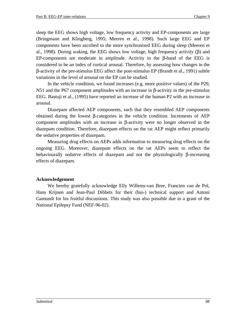sleep the EEG shows high voltage, low frequency activity and EP-components are large (Bringmann and Klingberg, 1995; Meeren et al., 1998). Such large EEG and EP components have been ascribed to the more synchronised EEG during sleep (Meeren et al., 1998). During waking, the EEG shows low voltage, high frequency activity  $(\beta)$  and EP-components are moderate in amplitude. Activity in the β-band of the EEG is considered to be an index of cortical arousal. Therefore, by assessing how changes in the β-activity of the pre-stimulus EEG affect the post-stimulus EP (Brandt et al., 1991) subtle variations in the level of arousal on the EP can be studied.

In the vehicle condition, we found increases (e.g. more positive values) of the P29, N51 and the P67 component amplitudes with an increase in β-activity in the pre-stimulus EEG. Bastuji et al., (1995) have reported an increase of the human P2 with an increase in arousal.

Diazepam affected AEP components, such that they resembled AEP components obtained during the lowest β-categories in the vehicle condition. Increments of AEP component amplitudes with an increase in β-activity were no longer observed in the diazepam condition. Therefore, diazepam effects on the rat AEP might reflect primarily the sedative properties of diazepam.

Measuring drug effects on AEPs adds information to measuring drug effects on the ongoing EEG. Moreover, diazepam effects on the rat AEPs seem to reflect the behaviourally sedative effects of diazepam and not the physiologically β-increasing effects of diazepam.

## **Acknowledgement**

We hereby gratefully acknowledge Elly Willems-van Bree, Francien van de Pol, Hans Krijnen and Jean-Paul Dibbets for their (bio-) technical support and Antoni Gamundi for his fruitful discussions. This study was also possible due to a grant of the National Epilepsy Fund (NEF-96-02).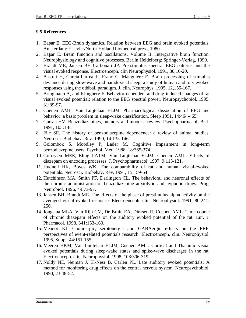## **9.5 References**

- 1. Başar E. EEG-Brain dynamics. Relation between EEG and brain evoked potentials. Amsterdam: Elsevier/North-Holland biomedical press, 1980.
- 2. Baar E. Brain function and oscillations. Volume II: Intergrative brain function. Neurophysiology and cognitive processes. Berlin Heidelberg: Springer-Verlag, 1999.
- 3. Brandt ME, Jansen BH Carbonari JP. Pre-stimulus spectral EEG patterns and the visual evoked response. Electroenceph. clin Neurophysiol. 1991, 80,16-20.
- 4. Bastuji H, Garcia-Larrea L, Franc C, Mauguière F. Brain processing of stimulus deviance during slow-wave and paradoxical sleep: a study of human auditory evoked responses using the oddball paradigm. J. clin. Neurophys. 1995, 12,155-167.
- 5. Bringmann A, and Klingberg F. Behavior-dependent and drug-induced changes of rat visual evoked potential: relation to the EEG spectral power. Neuropsychobiol. 1995, 31:89-97.
- 6. Coenen AML, Van Luijtelaar ELJM. Pharmacological dissociation of EEG and behavior: a basic problem in sleep-wake classification. Sleep 1991, 14:464-465.
- 7. Curran HV. Benzodiazepines, memory and mood: a review. Psychopharmacol. Berl. 1991, 105:1-8.
- 8. File SE. The history of benzodiazepine dependence: a review of animal studies. Neurosci. Biobehav. Rev. 1990, 14:135-146.
- 9. Golombok S, Moodley P, Lader M. Cognitive impairment in long-term benzodiazepine users. Psychol. Med. 1988, 18:365-374.
- 10. Gorrissen MEE, Eling PATM, Van Luijtelaar ELJM, Coenen AML. Effects of diazepam on encoding processes. J. Psychopharmacol. 1997, 9:113-121.
- 11. Hudnell HK, Boyes WK. The comparability of rat and human visual-evoked potentials. Neurosci. Biobehav. Rev. 1991, 15:159-64.
- 12. Hutchinson MA, Smith PF, Darlington CL. The behavioral and neuronal effects of the chronic administration of benzodiazepine anxiolytic and hypnotic drugs. Prog. Neurobiol. 1996, 49:73-97.
- 13. Jansen BH, Brandt ME. The effects of the phase of prestimulus alpha activity on the averaged visual evoked response. Electroenceph. clin. Neurophysiol. 1991, 80:241- 250.
- 14. Jongsma MLA, Van Rijn CM, De Bruin EA, Dirksen R, Coenen AML. Time course of chronic diazepam effects on the auditory evoked potential of the rat. Eur. J. Pharmacol. 1998, 341:153-160.
- 15. Meador KJ. Cholinergic, serotonergic and GABAergic effects on the ERP. perspectives of event-related potentials research. Electroenceph. clin. Neurophysiol. 1995, Suppl. 44:151-155.
- 16. Meeren HKM, Van Luijtelaar ELJM, Coenen AML. Cortical and Thalamic visual evoked potentials during sleep-wake states and spike-wave discharges in the rat. Electroenceph. clin. Neurophysiol. 1998, 108:306-319.
- 17. Noldy NE, Neiman J, El-Nesr B, Carlen PL. Late auditory evoked potentials: A method for monitoring drug effects on the central nervous system. Neuropsychobiol. 1990, 23:48-52.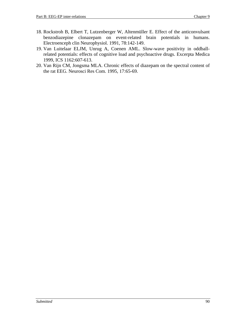- 18. Rockstroh B, Elbert T, Lutzenberger W, Altenmüller E. Effect of the anticonvulsant benzodiazepine clonazepam on event-related brain potentials in humans. Electroenceph clin Neurophysiol. 1991, 78:142-149.
- 19. Van Luitelaar ELJM, Unrug A, Coenen AML. Slow-wave positivity in oddballrelated potentials: effects of cognitive load and psychoactive drugs. Excerpta Medica 1999, ICS 1162:607-613.
- 20. Van Rijn CM, Jongsma MLA. Chronic effects of diazepam on the spectral content of the rat EEG. Neurosci Res Com. 1995, 17:65-69.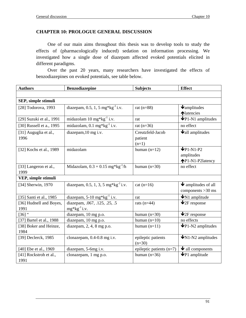## **CHAPTER 10: PROLOGUE GENERAL DISCUSSION**

One of our main aims throughout this thesis was to develop tools to study the effects of (pharmacologically induced) sedation on information processing. We investigated how a single dose of diazepam affected evoked potentials elicited in different paradigms.

Over the past 20 years, many researchers have investigated the effects of benzodiazepines on evoked potentials, see table below.

| <b>Authors</b>           | <b>Benzodiazepine</b>                           | <b>Subjects</b>          | <b>Effect</b>                           |
|--------------------------|-------------------------------------------------|--------------------------|-----------------------------------------|
|                          |                                                 |                          |                                         |
| SEP, simple stimuli      |                                                 |                          |                                         |
| [28] Todorova, 1993      | diazepam, 0.5, 1, 5 mg*kg <sup>-1</sup> i.v.    | rat $(n=88)$             | $\blacklozenge$ <sub>amplitudes</sub>   |
|                          |                                                 |                          | <b>Matencies</b>                        |
| [29] Suzuki et al., 1991 | midazolam $10 \text{ mg*kg}^{-1}$ i.v.          | rat                      | $\blacklozenge$ P1-N1 amplitudes        |
| [30] Russell et a., 1995 | midazolam, $0.1 \text{ mg*kg}^{-1}$ i.v.        | rat $(n=36)$             | no effect                               |
| [31] Auguglia et al.,    | diazepam, 10 mg i.v.                            | Creutzfeld-Jacob         | $\blacklozenge$ all amplitudes          |
| 1996                     |                                                 | patient                  |                                         |
|                          |                                                 | $(n=1)$                  |                                         |
| [32] Kochs et al., 1989  | midazolam                                       | human $(n=12)$           | $\n  QP1-N1-P2\n$                       |
|                          |                                                 |                          | amplitudes                              |
|                          |                                                 |                          | ↑P1-N1-P2latency                        |
| [33] Langeron et al.,    | Midazolam, $0.3 + 0.15$ mg*kg <sup>-1</sup> /h  | human $(n=30)$           | no effect                               |
| 1999                     |                                                 |                          |                                         |
| VEP, simple stimuli      |                                                 |                          |                                         |
| [34] Sherwin, 1970       | diazepam, 0.5, 1, 3, 5 mg*kg <sup>-1</sup> i.v. | $cat (n=16)$             | $\blacktriangleright$ amplitudes of all |
|                          |                                                 |                          | components $>30$ ms                     |
| [35] Santi et al., 1985  | diazepam, $5-10$ mg*kg <sup>-1</sup> i.v.       | rat                      | $\bigvee N1$ amplitude                  |
| [36] Hudnell and Boyes,  | diazepam, .067, .125, .25, .5                   | rats $(n=44)$            | $\bigvee$ 2F response                   |
| 1991                     | $mg*kg^{-1}$ i.v.                               |                          |                                         |
| $[36]$ "                 | diazepam, 10 mg p.o.                            | human $(n=30)$           | $\bigvee$ <sub>2F</sub> response        |
| [37] Bartel et al., 1988 | diazepam, 10 mg p.o.                            | human $(n=10)$           | no effects                              |
| [38] Boker and Heinze,   | diazepam, 2, 4, 8 mg p.o.                       | human $(n=11)$           | $\Psi$ P1-N2 amplitudes                 |
| 1984                     |                                                 |                          |                                         |
| [39] Declerck, 1985      | clonazepam, 0.4-0.8 mg i.v.                     | epileptic patients       | $\bigvee N1-N2$ amplitudes              |
|                          |                                                 | $(n=30)$                 |                                         |
| [40] Ebe et al., 1969    | diazepam, 5-6mg i.v.                            | epileptic patients (n=7) | $\blacktriangleright$ all components    |
| [41] Rockstroh et al.,   | clonazepam, 1 mg p.o.                           | human $(n=36)$           | $\blacktriangleright$ P1 amplitude      |
| 1991                     |                                                 |                          |                                         |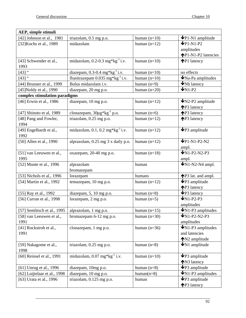| AEP, simple stimuli           |                                                |                |                                                   |
|-------------------------------|------------------------------------------------|----------------|---------------------------------------------------|
| [42] Johnson et al., 1981     | triazolam, 0.5 mg p.o.                         | human $(n=10)$ | $\Psi P1-N1$ amplitude                            |
| [32] Kochs et al., 1989       | midazolam                                      | human $(n=12)$ | $\n  QP1-N1-P2\n$                                 |
|                               |                                                |                | amplitudes                                        |
|                               |                                                |                | ↑P1-N1-P2 latencies                               |
| [43] Schwender et al.,        | midazolam, $0.2$ -0.3 mg*kg <sup>-1</sup> i.v. | human $(n=10)$ | $\bigwedge$ P1 latency                            |
| 1993                          |                                                |                |                                                   |
| $[43]$ "                      | diazepam, $0.3$ -0.4 mg*kg <sup>-1</sup> i.v.  | human $(n=10)$ | no effects                                        |
| $[43]$ "                      | flunitrazepam $0.035$ mg*kg <sup>-1</sup> i.v. | human $(n=10)$ | $\blacktriangleright$ Na-Pa amplitudes            |
| [44] Brunner et al., 1999     | Bolus midazolam i.v.                           | human $(n=9)$  | $\blacktriangleright$ Nb latency                  |
| [45] Noldy et al., 1990       | diazepam, 20 mg p.o.                           | human $(n=20)$ | $\n  WN1-P2\n$                                    |
| complex stimulation paradigms |                                                |                |                                                   |
| [46] Erwin et al., 1986       | diazepam, 10 mg p.o.                           | human $(n=12)$ | $V_{N2-P2}$ amplitude                             |
|                               |                                                |                | ↑P3 latency                                       |
| [47] Shinoto et al, 1989      | clonazepam, $30\mu g^*kg^{-1}$ p.o.            | human $(n=6)$  | <b>↑P3</b> latency                                |
| [48] Pang and Fowler,         | triazolam, 0.25 mg p.o.                        | human $(n=12)$ | <b>↑P3</b> latency                                |
| 1994                          |                                                |                |                                                   |
| [49] Engelhardt et al.,       | midazolam, 0.1, 0.2 mg* $kg^{-1}$ i.v.         | human $(n=12)$ | $\blacklozenge$ P3 amplitude                      |
| 1992                          |                                                |                |                                                   |
| [50] Allen et al., 1990       | alprazolam, 0.25 mg 3 x daily p.o.             | human $(n=12)$ | $\n  \Psi P1-N1-P2-N2\n$                          |
|                               |                                                |                | ampl.                                             |
| [51] van Leeuwen et al.,      | oxazepam, 20-40 mg p.o.                        | human $(n=18)$ | $\n  WN1-P2-N2-P3\n$                              |
| 1995                          |                                                |                | ampl.                                             |
| [52] Munte et al., 1996       | alprazolam                                     | human          | $\n  \blacktriangleright$ N1-N2-N4 ampl.          |
|                               | bromazepam                                     |                |                                                   |
| [53] Nichols et al., 1996     | lorazepam                                      | humans         | <b>↑P3</b> lat. and ampl.                         |
| [54] Martin et al., 1992      | temazepam, 10 mg p.o.                          | human $(n=12)$ | $\blacktriangleright$ P3 amplitude                |
|                               |                                                |                | <b>↑P3</b> latency                                |
| [55] Ray et al., 1992         | diazepam, 5, 10 mg p.o.                        | human $(n=8)$  | $\blacktriangleright$ P3 latency                  |
| [56] Curran et al., 1998      | lorazepam, 2 mg p.o.                           | human $(n=5)$  | $\n  W1-P2-P3\n$                                  |
|                               |                                                |                | amplitudes                                        |
| [57] Semlitsch et al., 1995   | alprazolam, 1 mg p.o.                          | human $(n=15)$ | $\overline{\Psi_{N1}}$ -P <sub>3</sub> amplitudes |
| [58] van Leeuwen et al.,      | bromazepam 6-12 mg p.o.                        | human $(n=30)$ | $\n  W1-P2-N2-P3\n$                               |
| 1991                          |                                                |                | amplitudes                                        |
| [41] Rockstroh et al.,        | clonazepam, 1 mg p.o.                          | human $(n=36)$ | $\blacktriangleright$ N1-P3 amplitudes            |
| 1991                          |                                                |                | and latencies                                     |
|                               |                                                |                | $N2$ amplitude                                    |
| [59] Nakagome et al.,         | triazolam, 0.25 mg p.o.                        | human $(n=8)$  | $\bigvee N1$ amplitude                            |
| 1998                          |                                                |                |                                                   |
| [60] Reinsel et al., 1991     | midazolam, $0.07$ mg* $kg^{-1}$ i.v.           | human $(n=10)$ | $\blacktriangleright$ P3 amplitude                |
|                               |                                                |                | ↑N3 latency                                       |
| [61] Unrug et al., 1996       | diazepam, 10mg p.o.                            | human $(n=8)$  | $\blacktriangleright$ P3 amplitude                |
| [62] Luijtelaar et al., 1998  | diazepam, 10 mg p.o.                           | $human(n=8)$   | $\blacklozenge$ N1-P3 amplitudes                  |
| [63] Urata et al., 1996       | triazolam, 0.125 mg p.o.                       | human          | $\blacktriangleright$ P3 amplitude                |
|                               |                                                |                | ↑P3 latency                                       |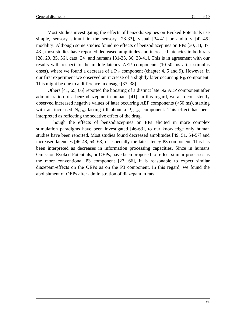Most studies investigating the effects of benzodiazepines on Evoked Potentials use simple, sensory stimuli in the sensory [28-33], visual [34-41] or auditory [42-45] modality. Although some studies found no effects of benzodiazepines on EPs [30, 33, 37, 43], most studies have reported decreased amplitudes and increased latencies in both rats [28, 29, 35, 36], cats [34] and humans [31-33, 36, 38-41]. This is in agreement with our results with respect to the middle-latency AEP components (10-50 ms after stimulus onset), where we found a decrease of a  $P_{30}$  component (chapter 4, 5 and 9). However, in our first experiment we observed an increase of a slightly later occurring  $P_{40}$  component. This might be due to a difference in dosage [37, 38].

Others [41, 65, 66] reported the boosting of a distinct late N2 AEP component after administration of a benzodiazepine in humans [41]. In this regard, we also consistently observed increased negative values of later occurring AEP components (>50 ms), starting with an increased  $N_{50-60}$  lasting till about a  $P_{70-100}$  component. This effect has been interpreted as reflecting the sedative effect of the drug.

Though the effects of benzodiazepines on EPs elicited in more complex stimulation paradigms have been investigated [46-63], to our knowledge only human studies have been reported. Most studies found decreased amplitudes [49, 51, 54-57] and increased latencies [46-48, 54, 63] of especially the late-latency P3 component. This has been interpreted as decreases in information processing capacities. Since in humans Omission Evoked Potentials, or OEPs, have been proposed to reflect similar processes as the more conventional P3 component [27, 66], it is reasonable to expect similar diazepam-effects on the OEPs as on the P3 component. In this regard, we found the abolishment of OEPs after administration of diazepam in rats.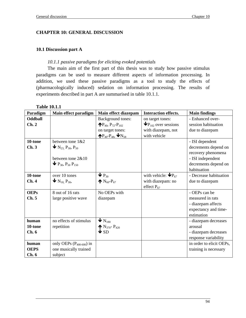## **CHAPTER 10: GENERAL DISCUSSION**

## **10.1 Discussion part A**

## *10.1.1 passive paradigms for eliciting evoked potentials*

The main aim of the first part of this thesis was to study how passive stimulus paradigms can be used to measure different aspects of information processing. In addition, we used these passive paradigms as a tool to study the effects of (pharmacologically induced) sedation on information processing. The results of experiments described in part A are summarised in table 10.1.1.

| Paradigm       | Main effect paradigm                                                     | Main effect diazepam                                  | <b>Interaction effects.</b>                    | <b>Main findings</b>     |
|----------------|--------------------------------------------------------------------------|-------------------------------------------------------|------------------------------------------------|--------------------------|
| <b>Oddball</b> |                                                                          | <b>Background tones:</b>                              | on target tones:                               | - Enhanced over-         |
| Ch.2           |                                                                          | $\mathbf{P}_{40}$ , P <sub>72</sub> -P <sub>102</sub> | $\mathbf{\Psi}$ P <sub>102</sub> over sessions | session habituation      |
|                |                                                                          | on target tones:                                      | with diazepam, not                             | due to diazepam          |
|                |                                                                          | $\bigoplus_{40}P_{48}, \bigoplus_{N_{58}}$            | with vehicle                                   |                          |
| 10-tone        | between tone $1&82$                                                      |                                                       |                                                | - ISI dependent          |
| Ch.3           | $\blacktriangleright$ N <sub>23,</sub> P <sub>30</sub> , P <sub>50</sub> |                                                       |                                                | decrements depend on     |
|                |                                                                          |                                                       |                                                | recovery phenomena       |
|                | between tone 2&10                                                        |                                                       |                                                | - ISI independent        |
|                | $\blacktriangleright$ P <sub>30</sub> , P <sub>50</sub> P <sub>150</sub> |                                                       |                                                | decrements depend on     |
|                |                                                                          |                                                       |                                                | habituation              |
| 10-tone        | over 10 tones                                                            | $\mathbf{\Psi}$ P <sub>30</sub>                       | with vehicle: $\mathbf{\Psi} \mathbf{P}_{67}$  | - Decrease habituation   |
| Ch.4           | $\blacktriangleright$ N <sub>18,</sub> P <sub>30</sub> ,                 | $N_{60} - P_{67}$                                     | with diazepam: no                              | due to diazepam          |
|                |                                                                          |                                                       | effect $P_{67}$                                |                          |
| <b>OEPs</b>    | 8 out of 16 rats                                                         | No OEPs with                                          |                                                | - OEPs can be            |
| Ch. 5          | large positive wave                                                      | diazepam                                              |                                                | measured in rats         |
|                |                                                                          |                                                       |                                                | - diazepam affects       |
|                |                                                                          |                                                       |                                                | expectancy and time-     |
|                |                                                                          |                                                       |                                                | estimation               |
| human          | no effects of stimulus                                                   | $\mathbf{V}_{\mathrm{N}_{180}}$                       |                                                | - diazepam decreases     |
| 10-tone        | repetition                                                               | $N_{370}$ - P <sub>420</sub>                          |                                                | arousal                  |
| Ch.6           |                                                                          | $\bigvee$ SD                                          |                                                | - diazepam decreases     |
|                |                                                                          |                                                       |                                                | response variability     |
| human          | only OEPs $(P_{400-600})$ in                                             |                                                       |                                                | in order to elicit OEPs, |
| <b>OEPS</b>    | one musically trained                                                    |                                                       |                                                | training is necessary    |
| Ch.6           | subject                                                                  |                                                       |                                                |                          |

**Table 10.1.1**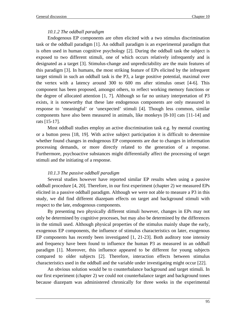## *10.1.2 The oddball paradigm*

Endogenous EP components are often elicited with a two stimulus discrimination task or the oddball paradigm [1]. An oddball paradigm is an experimental paradigm that is often used in human cognitive psychology [2]. During the oddball task the subject is exposed to two different stimuli, one of which occurs relatively infrequently and is designated as a target [3]. Stimulus-change and unpredictability are the main features of this paradigm [3]. In humans, the most striking feature of EPs elicited by the infrequent target stimuli in such an oddball task is the P3, a large positive potential, maximal over the vertex with a latency around 300 to 600 ms after stimulus onset [4-6]. This component has been proposed, amongst others, to reflect working memory functions or the degree of allocated attention [1, 7]. Although so far no unitary interpretation of P3 exists, it is noteworthy that these late endogenous components are only measured in response to 'meaningful' or 'unexpected' stimuli [4]. Though less common, similar components have also been measured in animals, like monkeys [8-10] cats [11-14] and rats [15-17].

Most oddball studies employ an active discrimination task e.g. by mental counting or a button press [18, 19]. With active subject participation it is difficult to determine whether found changes in endogenous EP components are due to changes in information processing demands, or more directly related to the generation of a response. Furthermore, psychoactive substances might differentially affect the processing of target stimuli and the initiating of a response.

## *10.1.3 The passive oddball paradigm*

Several studies however have reported similar EP results when using a passive oddball procedure [4, 20]. Therefore, in our first experiment (chapter 2) we measured EPs elicited in a passive oddball paradigm. Although we were not able to measure a P3 in this study, we did find different diazepam effects on target and background stimuli with respect to the late, endogenous components.

By presenting two physically different stimuli however, changes in EPs may not only be determined by cognitive processes, but may also be determined by the differences in the stimuli used. Although physical properties of the stimulus mainly shape the early, exogenous EP components, the influence of stimulus characteristics on later, exogenous EP components has recently been investigated [1, 21-23]. Both auditory tone intensity and frequency have been found to influence the human P3 as measured in an oddball paradigm [1]. Moreover, this influence appeared to be different for young subjects compared to older subjects [2]. Therefore, interaction effects between stimulus characteristics used in the oddball and the variable under investigating might occur [22].

An obvious solution would be to counterbalance background and target stimuli. In our first experiment (chapter 2) we could not counterbalance target and background tones because diazepam was administered chronically for three weeks in the experimental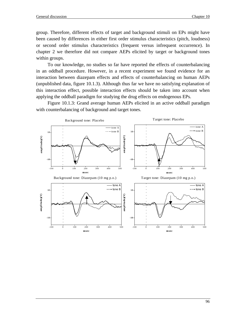group. Therefore, different effects of target and background stimuli on EPs might have been caused by differences in either first order stimulus characteristics (pitch, loudness) or second order stimulus characteristics (frequent versus infrequent occurrence). In chapter 2 we therefore did not compare AEPs elicited by target or background tones within groups.

To our knowledge, no studies so far have reported the effects of counterbalancing in an oddball procedure. However, in a recent experiment we found evidence for an interaction between diazepam effects and effects of counterbalancing on human AEPs (unpublished data, figure 10.1.3). Although thus far we have no satisfying explanation of this interaction effect, possible interaction effects should be taken into account when applying the oddball paradigm for studying the drug effects on endogenous EPs.

Figure 10.1.3: Grand average human AEPs elicited in an active oddball paradigm with counterbalancing of background and target tones.

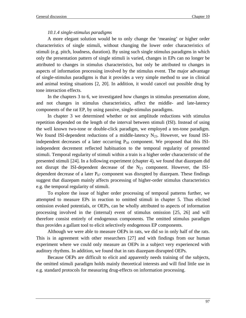## *10.1.4 single-stimulus paradigms*

A more elegant solution would be to only change the 'meaning' or higher order characteristics of single stimuli, without changing the lower order characteristics of stimuli (e.g. pitch, loudness, duration). By using such single stimulus paradigms in which only the presentation pattern of single stimuli is varied, changes in EPs can no longer be attributed to changes in stimulus characteristics, but only be attributed to changes in aspects of information processing involved by the stimulus event. The major advantage of single-stimulus paradigms is that it provides a very simple method to use in clinical and animal testing situations [2, 20]. In addition, it would cancel out possible drug by tone interaction effects.

In the chapters 3 to 6, we investigated how changes in stimulus presentation alone, and not changes in stimulus characteristics, affect the middle- and late-latency components of the rat EP, by using passive, single-stimulus paradigms.

In chapter 3 we determined whether or not amplitude reductions with stimulus repetition depended on the length of the interval between stimuli (ISI). Instead of using the well known two-tone or double-click paradigm, we employed a ten-tone paradigm. We found ISI-dependent reductions of a middle-latency  $N_{23}$ . However, we found ISIindependent decreases of a later occurring  $P_{50}$  component. We proposed that this ISIindependent decrement reflected habituation to the temporal regularity of presented stimuli. Temporal regularity of stimuli within a train is a higher order characteristic of the presented stimuli [24]. In a following experiment (chapter 4), we found that diazepam did not disrupt the ISI-dependent decrease of the  $N_{23}$  component. However, the ISIdependent decrease of a later  $P_{67}$  component was disrupted by diazepam. These findings suggest that diazepam mainly affects processing of higher-order stimulus characteristics e.g. the temporal regularity of stimuli.

To explore the issue of higher order processing of temporal patterns further, we attempted to measure EPs in reaction to omitted stimuli in chapter 5. Thus elicited omission evoked potentials, or OEPs, can be wholly attributed to aspects of information processing involved in the (internal) event of stimulus omission [25, 26] and will therefore consist entirely of endogenous components. The omitted stimulus paradigm thus provides a gallant tool to elicit selectively endogenous EP components.

Although we were able to measure OEPs in rats, we did so in only half of the rats. This is in agreement with other researchers [27] and with findings from our human experiment where we could only measure an OEPs in a subject very experienced with auditory rhythms. In addition, we found that in rats diazepam disrupted OEPs.

Because OEPs are difficult to elicit and apparently needs training of the subjects, the omitted stimuli paradigm holds mainly theoretical interests and will find little use in e.g. standard protocols for measuring drug-effects on information processing.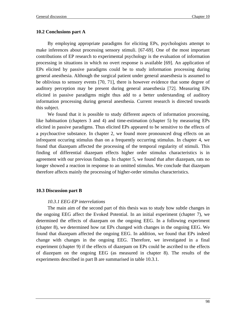## **10.2 Conclusions part A**

By employing appropriate paradigms for eliciting EPs, psychologists attempt to make inferences about processing sensory stimuli. [67-69]. One of the most important contributions of EP research to experimental psychology is the evaluation of information processing in situations in which no overt response is available [69]. An application of EPs elicited by passive paradigms could be to study information processing during general anesthesia. Although the surgical patient under general anaesthesia is assumed to be oblivious to sensory events [70, 71], there is however evidence that some degree of auditory perception may be present during general anaesthesia [72]. Measuring EPs elicited in passive paradigms might thus add to a better understanding of auditory information processing during general anesthesia. Current research is directed towards this subject.

We found that it is possible to study different aspects of information processing, like habituation (chapters 3 and 4) and time-estimation (chapter 5) by measuring EPs elicited in passive paradigms. Thus elicited EPs appeared to be sensitive to the effects of a psychoactive substance. In chapter 2, we found more pronounced drug effects on an infrequent occuring stimulus than on a frequently occurring stimulus. In chapter 4, we found that diazepam affected the processing of the temporal regularity of stimuli. This finding of differential diazepam effects higher order stimulus characteristics is in agreement with our previous findings. In chapter 5, we found that after diazepam, rats no longer showed a reaction in response to an omitted stimulus. We conclude that diazepam therefore affects mainly the processing of higher-order stimulus characteristics.

## **10.3 Discussion part B**

## *10.3.1 EEG-EP interrelations*

The main aim of the second part of this thesis was to study how subtle changes in the ongoing EEG affect the Evoked Potential. In an initial experiment (chapter 7), we determined the effects of diazepam on the ongoing EEG. In a following experiment (chapter 8), we determined how rat EPs changed with changes in the ongoing EEG. We found that diazepam affected the ongoing EEG. In addition, we found that EPs indeed change with changes in the ongoing EEG. Therefore, we investigated in a final experiment (chapter 9) if the effects of diazepam on EPs could be ascribed to the effects of diazepam on the ongoing EEG (as measured in chapter 8). The results of the experiments described in part B are summarised in table 10.3.1.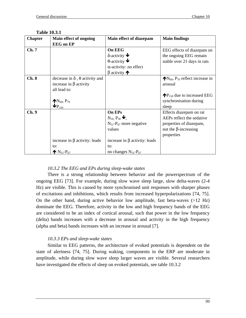| <b>Chapter</b> | Main effect of ongoing                       | Main effect of diazepam                     | <b>Main findings</b>                     |
|----------------|----------------------------------------------|---------------------------------------------|------------------------------------------|
|                | <b>EEG</b> on EP                             |                                             |                                          |
| Ch.7           |                                              | <b>On EEG</b>                               | EEG effects of diazepam on               |
|                |                                              | $\delta$ -activity $\blacktriangleright$    | the ongoing EEG remain                   |
|                |                                              | $\theta$ -activity $\blacktriangleright$    | stable over 21 days in rats              |
|                |                                              | $\alpha$ -activity: no effect               |                                          |
|                |                                              | $\beta$ activity $\bigwedge$                |                                          |
| Ch.8           | decrease in $\delta$ , $\theta$ activity and |                                             | $N_{60}$ , $P_{70}$ reflect increase in  |
|                | increase in $\beta$ activity                 |                                             | arousal                                  |
|                | all lead to:                                 |                                             |                                          |
|                |                                              |                                             | $\bigwedge P_{150}$ due to increased EEG |
|                | $N_{60}$ , P <sub>70</sub>                   |                                             | synchronisation during                   |
|                | $\mathbf{\Psi}$ P <sub>150</sub>             |                                             | sleep                                    |
| Ch.9           |                                              | On EPs                                      | Effects diazepam on rat                  |
|                |                                              | $N_{18}$ , $P_{30}$ $\blacktriangleright$ , | AEPs reflect the sedative                |
|                |                                              | $N_{51}$ - $P_{67}$ more negative           | properties of diazepam,                  |
|                |                                              | values                                      | not the $\beta$ -increasing              |
|                |                                              |                                             | properties                               |
|                | increase in $\beta$ activity: leads          | increase in $\beta$ activity: leads         |                                          |
|                | to:                                          | to:                                         |                                          |
|                | $N_{51} - P_{67}$                            | no changes $N_{51}$ - $P_{67}$              |                                          |

### **Table 10.3.1**

## *10.3.2 The EEG and EPs during sleep-wake states*

There is a strong relationship between behavior and the powerspectrum of the ongoing EEG [73]. For example, during slow wave sleep large, slow delta-waves (2-4 Hz) are visible. This is caused by more synchronised unit responses with sharper phases of excitations and inhibitions, which results from increased hyperpolarizations [74, 75]. On the other hand, during active behavior low amplitude, fast beta-waves  $(>12 \text{ Hz})$ dominate the EEG. Therefore, activity in the low and high frequency bands of the EEG are considered to be an index of cortical arousal, such that power in the low frequency (delta) bands increases with a decrease in arousal and activity in the high frequency (alpha and beta) bands increases with an increase in arousal [7].

## *10.3.3 EPs and sleep-wake states*

Similar to EEG patterns, the architecture of evoked potentials is dependent on the state of alertness [74, 75]. During waking, components in the ERP are moderate in amplitude, while during slow wave sleep larger waves are visible. Several researchers have investigated the effects of sleep on evoked potentials, see table 10.3.2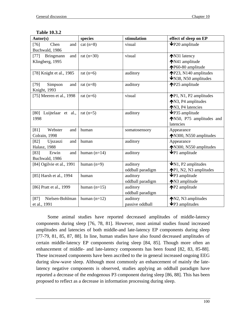| Autor(s)                                      | species        | stimulation                  | effect of sleep on EP                                                         |
|-----------------------------------------------|----------------|------------------------------|-------------------------------------------------------------------------------|
| $[76]$<br>Chen<br>and<br>Buchwald, 1986       | $cat (n=8)$    | visual                       | $\blacklozenge$ P20 amplitude                                                 |
| Bringmann<br>$[77]$<br>and<br>Klingberg, 1995 | rat $(n=30)$   | visual                       | ◆N31 latency<br>◆N41 amplitude<br>↑P60-80 amplitude                           |
| [78] Knight et al., 1985                      | rat $(n=6)$    | auditory                     | P23, N140 amplitudes<br>$\blacktriangleright$ N38, N50 amplitudes             |
| $[79]$<br>Simpson<br>and<br>Knight, 1993      | rat $(n=8)$    | auditory                     | <b>↑P25</b> amplitude                                                         |
| [75] Meeren et al., 1998                      | rat $(n=6)$    | visual                       | $\bigwedge P1$ , N1, P2 amplitudes<br>↑N3, P4 amplitudes<br>↑N3, P4 latencies |
| [80] Luijtelaar et al.,<br>1998               | rat $(n=5)$    | auditory                     | $\blacktriangleright$ P35 amplitude<br>N50, P75 amplitudes and<br>latencies   |
| [81]<br>Webster<br>and<br>Colrain, 1998       | human          | somatosensory                | Appearance<br>↑N300, N550 amplitudes                                          |
| $[82]$<br>Ujszaszi<br>and<br>Halasz, 1988     | human          | auditory                     | Appearance<br>↑N300, N550 amplitudes                                          |
| $[83]$<br>Erwin<br>and<br>Buchwald, 1986      | human $(n=14)$ | auditory                     | $\blacklozenge$ P1 amplitude                                                  |
| [84] Ogilvie et al., 1991                     | human $(n=9)$  | auditory<br>oddball paradigm | $\bigvee$ N1, P2 amplitudes<br><b>↑P1</b> , N2, N3 amplitudes                 |
| [85] Harsh et al., 1994                       | human          | auditory<br>oddball paradigm | $\blacktriangleright$ P3 amplitude<br>↑N3 amplitude                           |
| [86] Pratt et al., 1999                       | human $(n=15)$ | auditory<br>oddball paradigm | <b>↑P2</b> amplitude                                                          |
| Nielsen-Bohlman<br>$[87]$<br>et al., 1991     | human $(n=12)$ | auditory<br>passive oddball  | $N2$ , N3 amplitudes<br>$\blacktriangleright$ P3 amplitudes                   |

## **Table 10.3.2**

Some animal studies have reported decreased amplitudes of middle-latency components during sleep [76, 78, 81]. However, most animal studies found increased amplitudes and latencies of both middle-and late-latency EP components during sleep [77-79, 81, 85, 87, 88]. In line, human studies have also found decreased amplitudes of certain middle-latency EP components during sleep [84, 85]. Though more often an enhancement of middle- and late-latency components has been found [82, 83, 85-88]. These increased components have been ascribed to the in general increased ongoing EEG during slow-wave sleep. Although most commonly an enhancement of mainly the latelatency negative components is observed, studies applying an oddball paradigm have reported a decrease of the endogenous P3 component during sleep [86, 88]. This has been proposed to reflect as a decrease in information processing during sleep.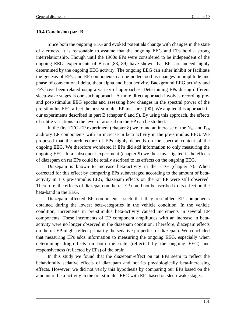## **10.4 Conclusion part B**

Since both the ongoing EEG and evoked potentials change with changes in the state of alertness, it is reasonable to assume that the ongoing EEG and EPs hold a strong interrelationship. Though until the 1960s EPs were considered to be independent of the ongoing EEG, experiments of Basar [88, 89] have shown that EPs are indeed highly determined by the ongoing EEG activity. The ongoing EEG can either inhibit or facilitate the genesis of EPs, and EP components can be understood as changes in amplitude and phase of conventional delta, theta alpha and beta activity. Background EEG activity and EPs have been related using a variety of approaches. Determining EPs during different sleep-wake stages is one such approach. A more direct approach involves recording preand post-stimulus EEG epochs and assessing how changes in the spectral power of the pre-stimulus EEG affect the post-stimulus EP measures [90]. We applied this approach in our experiments described in part B (chapter 8 and 9). By using this approach, the effects of subtle variations in the level of arousal on the EP can be studied.

In the first EEG-EP experiment (chapter 8) we found an increase of the  $N_{60}$  and  $P_{68}$ auditory EP components with an increase in beta activity in the pre-stimulus EEG. We proposed that the architecture of EPs highly depends on the spectral content of the ongoing EEG. We therefore wondered if EPs did add information to only measuring the ongoing EEG. In a subsequent experiment (chapter 9) we then investigated if the effects of diazepam on rat EPs could be totally ascribed to its effects on the ongoing EEG.

Diazepam is known to increase beta-activity in the EEG (chapter 7). When corrected for this effect by comparing EPs subaveraged according to the amount of betaactivity in 1 s pre-stimulus EEG, diazepam effects on the rat EP were still observed. Therefore, the effects of diazepam on the rat EP could not be ascribed to its effect on the beta-band in the EEG.

Diazepam affected EP components, such that they resembled EP components obtained during the lowest beta-categories in the vehicle condition. In the vehicle condition, increments in pre-stimulus beta-activity caused increments in several EP components. These increments of EP component amplitudes with an increase in betaactivity were no longer observed in the diazepam condition. Therefore, diazepam effects on the rat EP might reflect primarily the sedative properties of diazepam. We concluded that measuring EPs adds information to measuring the ongoing EEG, especially when determining drug-effects on both the state (reflected by the ongoing EEG) and responsiveness (reflected by EPs) of the brain.

In this study we found that the diazepam-effect on rat EPs seem to reflect the behaviorally sedative effects of diazepam and not its physiologically beta-increasing effects. However, we did not verify this hypothesis by comparing our EPs based on the amount of beta-activity in the pre-stimulus EEG with EPs based on sleep-wake stages.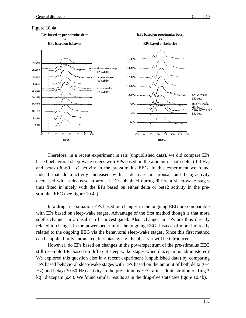#### Figure 10.4a



Therefore, in a recent experiment in rats (unpublished data), we did compare EPs based behavioral sleep-wake stages with EPs based on the amount of both delta (0-4 Hz) and beta<sub>2</sub> (30-60 Hz) activity in the pre-stimulus EEG. In this experiment we found indeed that delta-activity increased with a decrease in arousal and beta<sub>2</sub>-activity decreased with a decrease in arousal. EPs obtained during different sleep-wake stages thus fitted in nicely with the EPs based on either delta or beta2 activity in the prestimulus EEG (see figure 10.4a).

In a drug-free situation EPs based on changes in the ongoing EEG are comparable with EPs based on sleep-wake stages. Advantage of the first method though is that more subtle changes in arousal can be investigated. Also, changes in EPs are thus directly related to changes in the powerspectrum of the ongoing EEG, instead of more indirectly related to the ongoing EEG via the behavioral sleep-wake stages. Since this first method can be applied fully automated, less bias by e.g. the observer will be introduced.

However, do EPs based on changes in the powerspectrum of the pre-stimulus EEG still resemble EPs based on different sleep-wake stages when diazepam is administered? We explored this question also in a recent experiment (unpublished data) by comparing EPs based behavioral sleep-wake stages with EPs based on the amount of both delta (0-4 Hz) and beta<sub>2</sub> (30-60 Hz) activity in the pre-stimulus EEG after administration of 1mg  $*$  $kg<sup>-1</sup>$  diazepam (s.c.). We found similar results as in the drug-free state (see figure 10.4b).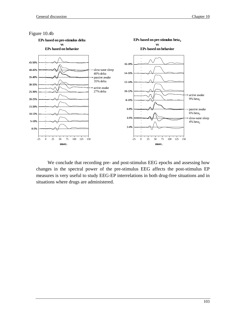

We conclude that recording pre- and post-stimulus EEG epochs and assessing how changes in the spectral power of the pre-stimulus EEG affects the post-stimulus EP measures is very useful to study EEG-EP interrelations in both drug-free situations and in situations where drugs are administered.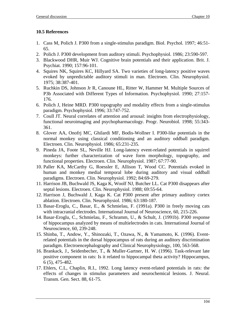## **10.5 References**

- 1. Cass M, Polich J. P300 from a single-stimulus paradigm. Biol. Psychol. 1997; 46:51- 65.
- 2. Polich J. P300 development from auditory stimuli. Psychophysiol. 1986; 23:590-597.
- 3. Blackwood DHR, Muir WJ. Cognitive brain potentials and their application. Brit. J. Psychiat. 1990; 157:96-101.
- 4. Squires NK, Squires KC, Hillyard SA. Two varieties of long-latency positive waves evoked by unpredictable auditory stimuli in man. Electroen. Clin. Neurophysiol. 1975; 38:387-401.
- 5. Ruchkin DS, Johnson Jr R, Canoune HL, Ritter W, Hammer M. Multiple Sources of P3b Associated with Different Types of Information. Psychophysiol. 1990; 27:157- 176.
- 6. Polich J, Heine MRD. P300 topography and modality effects from a single-stimulus paradigm. Psychophysiol. 1996; 33:747-752.
- 7. Coull JT. Neural correlates of attention and arousal: insights from electrophysiology, functional neuroimaging and psychopharmacology. Progr. Neurobiol. 1998; 55:343- 361.
- 8. Glover AA, Onofrj MC, Ghilardi MF, Bodis-Wollner I. P300-like potentials in the normal monkey using classical conditioning and an auditory oddball paradigm. Electroen. Clin. Neurophysiol. 1986; 65:231-235.
- 9. Pineda JA, Foote SL, Neville HJ. Long-latency event-related potentials in squirrel monkeys: further characterization of wave form morphology, topography, and functional properties. Electroen. Clin. Neurophysiol. 1987; 67:77-90.
- 10. Paller KA, McCarthy G, Roessler E, Allison T, Wood CC. Potentials evoked in human and monkey medial temporal lobe during auditory and visual oddball paradigms. Electroen. Clin. Neurophysiol. 1992; 84:69-279.
- 11. Harrison JB, Buchwald JS, Kaga K, Woolf NJ, Butcher LL. Cat P300 disappears after septal lesions. Electroen. Clin. Neurophysiol. 1988; 69:55-64.
- 12. Harrison J, Buchwald J, Kaga K. Cat P300 present after primary auditory cortex ablation. Electroen. Clin. Neurophysiol. 1986; 63:180-187.
- 13. Basar-Eroglu, C., Basar, E., & Schmielau, F. (1991a). P300 in freely moving cats with intracranial electrodes. International Journal of Neuroscience, 60, 215-226.
- 14. Basar-Eroglu, C., Schmielau, F., Schramm, U., & Schult, J. (1991b). P300 response of hippocampus analyzed by means of multielectrodes in cats. International Journal of Neuroscience, 60, 239-248.
- 15. Shinba, T., Andow, Y., Shinozaki, T., Ozawa, N., & Yamamoto, K. (1996). Eventrelated potentials in the dorsal hippocampus of rats during an auditory discrimination paradigm. Electroencephalography and Clinical Neurophysiology, 100, 563-568.
- 16. Brankack, J., Seidenbecher, T., & Muller-Gartner, H. W. (1996). Task-relevant late positive component in rats: Is it related to hippocampal theta activity? Hippocampus, 6 (5), 475-482.
- 17. Ehlers, C.L, Chaplin, R.I., 1992. Long latency event-related potentials in rats: the effects of changes in stimulus parameters and neurochemical lesions. J. Neural. Transm. Gen. Sect. 88, 61-75.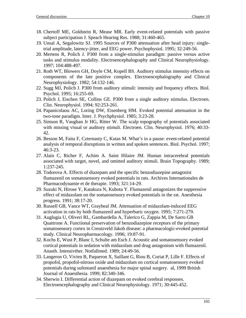- 18. Chertoff ME, Goldstein R, Mease MR. Early event-related potentials with passive subject participation J. Speach Hearing Res. 1988; 31:460-465.
- 19. Unsal A, Segalowitz SJ. 1995 Sources of P300 attenuation after head injury: singletrial amplitude, latency-jitter, and EEG power. Psychophysiol. 1995; 32:249-56.
- 20. Mertens R, Polich J. P300 from a single-stimulus paradigm: passive versus active tasks and stimulus modality. Electroencephalography and Clinical Neurophysiology. 1997; 104:488-497.
- 21. Roth WT, Blowers GH, Doyle CM, Kopell BS. Auditory stimulus intensity effects on components of the late positive complex. Electroencephalography and Clinical Neurophysiology. 1982; 54:132-146.
- 22. Sugg MJ, Polich J. P300 from auditory stimuli: intensity and frequency effects. Biol. Psychol. 1995; 16:255-69.
- 23. Polich J, Eischen SE, Collins GE. P300 from a single auditory stimulus. Electroen. Clin. Neurophysiol. 1994; 92:253-261.
- 24. Papanicolaou AC, Loring DW, Eisenberg HM. Evoked potential attenuation in the two-tone paradigm. Inter. J. Psychphysiol. 1985; 3:23-28.
- 25. Simson R, Vaughan Jr HG, Ritter W. The scalp topography of potentials associated with missing visual or auditory stimuli. Electroen. Clin. Neurophysiol. 1976; 40:33- 42.
- 26. Besson M, Faita F, Czternasty C, Kutas M. What's in a pause: event-related potential analysis of temporal disruptions in written and spoken sentences. Biol. Psychol. 1997; 46:3-23.
- 27. Alain C, Richer F, Achim A. Saint Hilaire JM. Human intracerebral potentials associated with target, novel, and omitted auditory stimuli. Brain Topography. 1989; 1:237-245.
- 28. Todorova A. Effects of diazepam and the specific benzodiazepine antagonist flumazenil on somatosensory evoked potentials in rats. Archives Internationales de Pharmacodynamie et de therapie. 1993; 321:14-29.
- 29. Suzuki N, Hirose Y, Katakura N, Kubota Y. Flumazenil antagonizes the suppressive effect of midazolam on the somatosensory evoked potentials in the rat. Anesthesia progress. 1991; 38:17-20.
- 30. Russell GB, Vance WT, Graybeal JM. Attenuation of midazolam-induced EEG activation in rats by both flumazenil and hyperbaric oxygen. 1995; 7:271-279.
- 31. Auglugia U, Oliveri RL, Gambardella A, Talerico G, Zappia M, De Sarro GB Quattrone A. Functional preservation of benzodiazepine receptors of the primary somatosensory cortex in Creutzveld Jakob disease: a pharmacologic-evoked potential study. Clinical Neuropharmacology. 1996; 19:87-91.
- 32. Kochs E, Wust P, Blanc I, Schulte am Esch J. Acoustic and somatosensory evoked cortical potentials in sedation with midazolam and drug antagonism with flumazenil. Anasth. Intensivther. Notfallmed. 1989; 24:49-56.
- 33. Langeron O, Vivien B, Paqueron X, Saillant G, Riou B, Coriat P, Lille F. Effects of propofol, propofol-nitrous oxide and midazolam on cortical somatosensory evoked potentials during sufentanil anaesthesia for major spinal surgery. al, 1999 British Journal of Anaesthesia. 1999; 82:340-346.
- 34. Sherwin I. Differential action of diazepam on evoked cerebral responses. Electroencephalography and Clinical Neurophysiology. 1971; 30:445-452.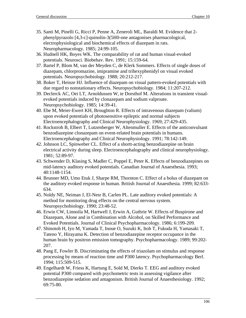- 35. Santi M, Pinelli G, Ricci P, Penne A, Zeneroli ML, Baraldi M. Evidence that 2 phenylpyrazolo [4,3-c]-quinolin-3(5H0-one antagonises pharmacological, electrophysiological and biochemical effects of diazepam in rats. Neuropharmacology. 1985; 24:99-105.
- 36. Hudnell HK, Boyes WK. The comparability of rat and human visual-evoked potentials. Neurosci. Biobehav. Rev. 1991; 15:159-64.
- 37. Bartel P, Blom M, van der Meyden C, de Klerk Sommers. Effects of single doses of diazepam, chlorpromazine, imipramine and trihexyphenidyl on visual evoked potentials. Neuropsychobiology. 1988; 20:212-217.
- 38. Boker T, Heinze HJ. Influence of diazepam on visual pattern-evoked potentials with due regard to nonstationary effects. Neuropsychobiology. 1984; 11:207-212.
- 39. Declerck AC, Oei LT, Arnoldussen W, te Dorsthof M. Alterations in transient visualevoked potentials induced by clonazepam and sodium valproate. Neuropsychobiology. 1985; 14:39-41.
- 40. Ebe M, Meier-Ewert KH, Broughton R. Effects of intravenous diazepam (valium) upon evoked potentials of photosensitive epileptic and normal subjects Electroencephalography and Clinical Neurophysiology. 1969; 27:429-435.
- 41. Rockstroh B, Elbert T, Lutzenberger W, Altenmuller E. Effects of the anticonvulsant benzodiazepine clonazepam on event-related brain potentials in humans. Electroencephalography and Clinical Neurophysiology. 1991; 78:142-149.
- 42. Johnson LC, Spinweber CL. Effect of a shortt-acting benzodiazepine on brain electrical activity during sleep. Electroencephalography and clinical neurophysiology. 1981; 52:89-97.
- 43. Schwender D, Klasing S, Madler C, Poppel E, Peter K. Effects of benzodiazepines on mid-latency auditory evoked potentials. Canadian Journal of Anaesthesia. 1993; 40:1148-1154.
- 44. Brunner MD, Umo Etuk J, Sharpe RM, Thornton C. Effect of a bolus of diazepam on the auditory evoked response in human. British Journal of Anaesthesia. 1999; 82:633- 634.
- 45. Noldy NE, Neiman J, El-Nesr B, Carlen PL. Late auditory evoked potentials: A method for monitoring drug effects on the central nervous system. Neuropsychobiology. 1990; 23:48-52.
- 46. Erwin CW, Linnoila M, Hartwell J, Erwin A, Guthrie W. Effects of Buspirone and Diazepam, Alone and in Combination with Alcohol, on Skilled Performance and Evoked Potentials. Journal of Clinical Psychopharmacology. 1986; 6:199-209.
- 47. Shinotoh H, Iyo M, Yamada T, Inoue O, Suzuki K, Itoh T, Fukuda H, Yamasaki T, Tateno Y, Hirayama K. Detection of benzodiazepine receptor occupance in the human brain by positron emission tomography. Psychopharmacology. 1989; 99:202- 207.
- 48. Pang E, Fowler B. Discriminating the effects of triazolam on stimulus and response processing by means of reaction time and P300 latency. Psychopharmacology Berl. 1994; 115:509-515.
- 49. Engelhardt W, Friess K, Hartung E, Sold M, Dierks T. EEG and auditory evoked potential P300 compared with psychometric tests in assessing vigilance after benzodiazepine sedation and antagonism. British Journal of Anaesthesiology. 1992; 69:75-80.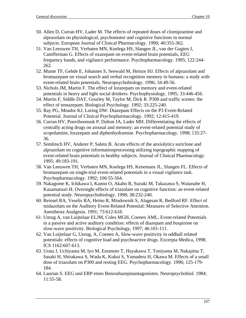- 50. Allen D, Curran HV, Lader M. The effects of repeated doses of clomipramine and alprazolam on physiological, psychomotor and cognitive functions in normal subjects. European Journal of Clinical Pharmacology. 1990; 40:355-362.
- 51. Van Leeuwen TH, Verbaten MN, Koelega HS, Slangen JL, van der Gugten J, Camfferman G. Effects of oxazepam on event-related brain potentials, EEG frequency bands, and vigilance performance. Psychopharmacology. 1995; 122:244- 262.
- 52. Munte TF, Gehde E, Johannes S, Seewald M, Heinze HJ. Effects of alprazolam and bromazepam on visual search and verbal recognition memory in humans: a study with event-related brain potentials. Neuropsychobiology. 1996; 34:49-56.
- 53. Nichols JM, Martin F. The effect of lorazepam on memory and event-related potentials in heavy and light social drinkers. Psychophysiology. 1995; 33:446-456.
- 54. Martin F, Siddle DAT, Gourley M, Taylor M, Dick R. P300 and traffic scenes: the effect of temazepam. Biological Psychology. 1992; 33:225-240.
- 55. Ray PG, Meador KJ, Loring DW. Diazepam Effects on the P3 Event-Related Potential. Journal of Clinical Psychopharmacology. 1992; 12:415-419.
- 56. Curran HV, Pooviboonsuk P, Dalton JA, Lader MH. Differentiating the effects of centrally acting drugs on arousal and memory: an event-related potential study of scopolamine, lorazepam and diphenhydramine. Psychopharmacology. 1998; 135:27- 36.
- 57. Semlitsch HV, Anderer P, Saletu B. Acute effects of the anxiolytics suriclone and alprazolam on cognitive informationprocessing utilizing topographic mapping of event-related brain potentials in healthy subjects. Journal of Clinical Pharmacology. 1995; 49:183-191.
- 58. Van Leeuwen TH, Verbaten MN, Koelega HS, Kenemans JL, Slangen FL. Effects of bromazepam on single-trial event-related potentials in a visual vigilance task. Psychopharmacology. 1992; 106:55-564.
- 59. Nakagome K, Ichikawa I, Kanno O, Akaho R, Suzuki M, Takazawa S, Watanabe H, Kazamatsuri H. Overnight effects of triazolam on cognitive function: an event-related potential study. Neuropsychobiology. 1998; 38:232-240.
- 60. Reinsel RA, Veselis RA, Heino R, Miodownik S, Alagesan R, Bedford RF. Effect of midazolam on the Auditory Event-Related Potential: Measures of Selective Attention. Anesthesia Analgesia. 1991; 73:612-618.
- 61. Unrug A, van Luijtelaar ELJM, Coles MGH, Coenen AML. Event-related Potentials in a passive and active auditory condition: effects of diazepam and buspirone on slow-wave positivity. Biological Psychology, 1997; 46:101-111.
- 62. Van Luijtelaar G, Unrug, A, Coenen A, Slow-wave positivity in oddball related potentials: effects of cognitive load and psychoactive drugs. Excerpta Medica, 1998; ICS 1162:607-613.
- 63. Urata J, Uchiyama M, Iyo M, Enomoto T, Hayakawa T, Toniyama M, Nakajima T, Sasaki H, Shirakawa S, Wada K, Kukui S, Yamadera H, Okawa M. Effects of a small dose of triazolam on P300 and resting EEG. Psychopharmacology. 1996; 125-179- 184.
- 64. Laurian S. EEG und ERP eines Benzodiazepinantagonisten. Neuropsychobiol. 1984; 11:55-58.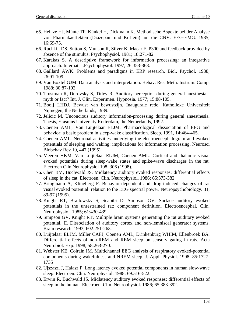- 65. Heinze HJ, Münte TF, Künkel H, Dickmann K. Methodische Aspekte bei der Analyse von Pharmakaeffekten (Diazepam und Koffein) auf die CNV. EEG-EMG. 1985; 16:69-75.
- 66. Ruchkin DS, Sutton S, Munson R, Silver K, Macar F. P300 and feedback provided by absence of the stimulus. Psychophysiol. 1981; 18:271-82.
- 67. Karakas S. A descriptive framework for information processing: an integrative approach. Internat. J.Psychophysiol. 1997; 26:353-368.
- 68. Gaillard AWK. Problems and paradigms in ERP research. Biol. Psychol. 1988; 26;91-109.
- 69. Van Boxtel GJM. Data analysis and interpretation. Behav. Res. Meth. Instrum. Comp. 1988; 30:87-102.
- 70. Trustman R, Durovsky S, Titley R. Auditory perception during general anesthesia myth or fact? Int. J. Clin. Experimen. Hypnosia. 1977; 15:88-105.
- 71. Booij LHDJ. Bewust van bewustzijn. Inaugurale rede. Katholieke Universiteit Nijmegen, the Netherlands, 1989.
- 72. Jelicic M. Unconcious auditory information-processing during general anaesthesia. Thesis, Erasmus University Rotterdam, the Netherlands, 1992.
- 73. Coenen AML, Van Luijtelaar ELJM. Pharmacological dissociation of EEG and behavior: a basic problem in sleep-wake classification. Sleep. 1991, 14:464-465.
- 74. Coenen AML. Neuronal activities underlying the electroencephalogram and evoked potentials of sleeping and waking: implications for information processing. Neurosci Biobehav Rev 19, 447 (1995).
- 75. Meeren HKM, Van Luijtelaar ELJM, Coenen AML. Cortical and thalamic visual evoked potentials during sleep-wake states and spike-wave discharges in the rat. Electroen Clin Neurophysiol 108, 306 (1998).
- 76. Chen BM, Buchwald JS. Midlatency auditory evoked responses: differential effects of sleep in the cat. Electroen. Clin. Neurophysiol. 1986; 65:373-382.
- 77. Bringmann A, Klingberg F. Behavior-dependent and drug-induced changes of rat visual evoked potential: relation to the EEG spectral power. Neuropsychobiology. 31, 89-97 (1995).
- 78. Knight RT, Brailowsky S, Scabibi D, Simpson GV. Surface auditory evoked potentials in the unrestrained rat: component definition. Electroencephal. Clin. Neurophysiol. 1985; 61:430-439.
- 79. Simpson GV, Knight RT. Multiple brain systems generating the rat auditory evoked potential. II. Dissociation of auditory cortex and non-lemniscal generator systems. Brain research. 1993; 602:251-263.
- 80. Luijtelaar ELJM, Miller CAFJ, Coenen AML, Drinkenburg WHIM, Ellenbroek BA. Differential effects of non-REM and REM sleep on sensory gating in rats. Acta Neurobiol. Exp. 1998; 58:263-270.
- 81. Webster KE, Colrain IM. Multichannel EEG analysis of respiratory evoked-potential components during wakefulness and NREM sleep. J. Appl. Physiol. 1998; 85:1727- 1735
- 82. Ujszaszi J, Halasz P. Long latency evoked potential components in human slow-wave sleep. Electroen. Clin. Neuriphysiol. 1988; 69:516-522.
- 83. Erwin R, Buchwald JS. Midlatency auditory evoked responses: differential effects of sleep in the human. Electroen. Clin. Neurophysiol. 1986; 65:383-392.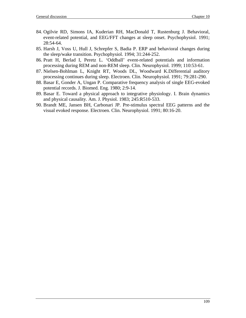- 84. Ogilvie RD, Simons IA, Kuderian RH, MacDonald T, Rustenburg J. Behavioral, event-related potential, and EEG/FFT changes at sleep onset. Psychophysiol. 1991; 28:54-64.
- 85. Harsh J, Voss U, Hull J, Schrepfer S, Badia P. ERP and behavioral changes during the sleep/wake transition. Psychophysiol. 1994; 31:244-252.
- 86. Pratt H, Berlad I, Peretz L. 'Oddball' event-related potentials and information processing during REM and non-REM sleep. Clin. Neurophysiol. 1999; 110:53-61.
- 87. Nielsen-Bohlman L, Knight RT, Woods DL, Woodward K.Differential auditory processing continues during sleep. Electroen. Clin. Neurophysiol. 1991; 79:281-290.
- 88. Basar E, Gonder A, Ungan P. Comparative frequency analysis of single EEG-evoked potential records. J. Biomed. Eng. 1980; 2:9-14.
- 89. Basar E. Toward a physical approach to integrative physiology. I. Brain dynamics and physical causality. Am. J. Physiol. 1983; 245:R510-533.
- 90. Brandt ME, Jansen BH, Carbonari JP. Pre-stimulus spectral EEG patterns and the visual evoked response. Electroen. Clin. Neurophysiol. 1991; 80:16-20.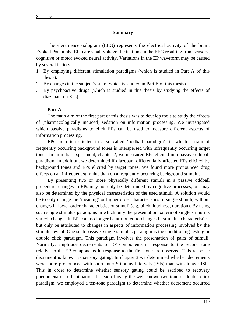#### **Summary**

The electroencephalogram (EEG) represents the electrical activity of the brain. Evoked Potentials (EPs) are small voltage fluctuations in the EEG resulting from sensory, cognitive or motor evoked neural activity. Variations in the EP waveform may be caused by several factors.

- 1. By employing different stimulation paradigms (which is studied in Part A of this thesis).
- 2. By changes in the subject's state (which is studied in Part B of this thesis).
- 3. By psychoactive drugs (which is studied in this thesis by studying the effects of diazepam on EPs).

### **Part A**

The main aim of the first part of this thesis was to develop tools to study the effects of (pharmacologically induced) sedation on information processing. We investigated which passive paradigms to elicit EPs can be used to measure different aspects of information processing.

EPs are often elicited in a so called 'oddball paradigm', in which a train of frequently occurring background tones is interspersed with infrequently occurring target tones. In an initial experiment, chapter 2, we measured EPs elicited in a passive oddball paradigm. In addition, we determined if diazepam differentially affected EPs elicited by background tones and EPs elicited by target tones. We found more pronounced drug effects on an infrequent stimulus than on a frequently occurring background stimulus.

By presenting two or more physically different stimuli in a passive oddball procedure, changes in EPs may not only be determined by cognitive processes, but may also be determined by the physical characteristics of the used stimuli. A solution would be to only change the 'meaning' or higher order characteristics of single stimuli, without changes in lower order characteristics of stimuli (e.g. pitch, loudness, duration). By using such single stimulus paradigms in which only the presentation pattern of single stimuli is varied, changes in EPs can no longer be attributed to changes in stimulus characteristics, but only be attributed to changes in aspects of information processing involved by the stimulus event. One such passive, single-stimulus paradigm is the conditioning-testing or double click paradigm. This paradigm involves the presentation of pairs of stimuli. Normally, amplitude decrements of EP components in response to the second tone relative to the EP components in response to the first tone are observed. This response decrement is known as sensory gating. In chapter 3 we determined whether decrements were more pronounced with short Inter-Stimulus Intervals (ISIs) than with longer ISIs. This in order to determine whether sensory gating could be ascribed to recovery phenomena or to habituation. Instead of using the well known two-tone or double-click paradigm, we employed a ten-tone paradigm to determine whether decrement occurred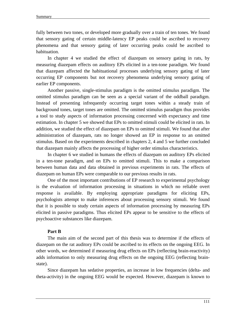fully between two tones, or developed more gradually over a train of ten tones. We found that sensory gating of certain middle-latency EP peaks could be ascribed to recovery phenomena and that sensory gating of later occurring peaks could be ascribed to habituation.

In chapter 4 we studied the effect of diazepam on sensory gating in rats, by measuring diazepam effects on auditory EPs elicited in a ten-tone paradigm. We found that diazepam affected the habituational processes underlying sensory gating of later occurring EP components but not recovery phenomena underlying sensory gating of earlier EP components.

Another passive, single-stimulus paradigm is the omitted stimulus paradigm. The omitted stimulus paradigm can be seen as a special variant of the oddball paradigm. Instead of presenting infrequently occurring target tones within a steady train of background tones, target tones are omitted. The omitted stimulus paradigm thus provides a tool to study aspects of information processing concerned with expectancy and time estimation. In chapter 5 we showed that EPs to omitted stimuli could be elicited in rats. In addition, we studied the effect of diazepam on EPs to omitted stimuli. We found that after administration of diazepam, rats no longer showed an EP in response to an omitted stimulus. Based on the experiments described in chapters 2, 4 and 5 we further concluded that diazepam mainly affects the processing of higher order stimulus characteristics.

In chapter 6 we studied in humans the effects of diazepam on auditory EPs elicited in a ten-tone paradigm, and on EPs to omitted stimuli. This to make a comparison between human data and data obtained in previous experiments in rats. The effects of diazepam on human EPs were comparable to our previous results in rats.

One of the most important contributions of EP research to experimental psychology is the evaluation of information processing in situations in which no reliable overt response is available. By employing appropriate paradigms for eliciting EPs, psychologists attempt to make inferences about processing sensory stimuli. We found that it is possible to study certain aspects of information processing by measuring EPs elicited in passive paradigms. Thus elicited EPs appear to be sensitive to the effects of psychoactive substances like diazepam.

#### **Part B**

The main aim of the second part of this thesis was to determine if the effects of diazepam on the rat auditory EPs could be ascribed to its effects on the ongoing EEG. In other words, we determined if measuring drug effects on EPs (reflecting brain-reactivity) adds information to only measuring drug effects on the ongoing EEG (reflecting brainstate).

Since diazepam has sedative properties, an increase in low frequencies (delta- and theta-activity) in the ongoing EEG would be expected. However, diazepam is known to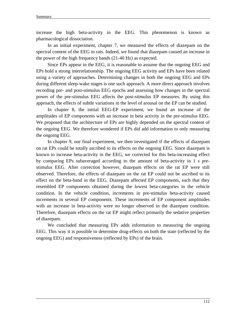increase the high beta-activity in the EEG. This phenomenon is known as pharmacological dissociation.

In an initial experiment, chapter 7, we measured the effects of diazepam on the spectral content of the EEG in rats. Indeed, we found that diazepam caused an increase in the power of the high frequency bands (21-40 Hz) as expected.

Since EPs appear in the EEG, it is reasonable to assume that the ongoing EEG and EPs hold a strong interrelationship. The ongoing EEG activity and EPs have been related using a variety of approaches. Determining changes in both the ongoing EEG and EPs during different sleep-wake stages is one such approach. A more direct approach involves recording pre- and post-stimulus EEG epochs and assessing how changes in the spectral power of the pre-stimulus EEG affects the post-stimulus EP measures. By using this approach, the effects of subtle variations in the level of arousal on the EP can be studied.

In chapter 8, the initial EEG-EP experiment, we found an increase of the amplitudes of EP components with an increase in beta activity in the pre-stimulus EEG. We proposed that the architecture of EPs are highly depended on the spectral content of the ongoing EEG. We therefore wondered if EPs did add information to only measuring the ongoing EEG.

In chapter 9, our final experiment, we then investigated if the effects of diazepam on rat EPs could be totally ascribed to its effects on the ongoing EEG. Since diazepam is known to increase beta-activity in the EEG, we corrected for this beta-increasing effect by comparing EPs subaveraged according to the amount of beta-activity in 1 s prestimulus EEG. After correction however, diazepam effects on the rat EP were still observed. Therefore, the effects of diazepam on the rat EP could not be ascribed to its effect on the beta-band in the EEG. Diazepam affected EP components, such that they resembled EP components obtained during the lowest beta-categories in the vehicle condition. In the vehicle condition, increments in pre-stimulus beta-activity caused increments in several EP components. These increments of EP component amplitudes with an increase in beta-activity were no longer observed in the diazepam condition. Therefore, diazepam effects on the rat EP might reflect primarily the sedative properties of diazepam.

We concluded that measuring EPs adds information to measuring the ongoing EEG. This way it is possible to determine drug-effects on both the state (reflected by the ongoing EEG) and responsiveness (reflected by EPs) of the brain.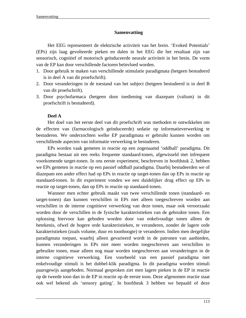### **Samenvatting**

Het EEG representeert de elektrische activiteit van het brein. 'Evoked Potentials' (EPs) zijn laag gevolteerde pieken en dalen in het EEG die het resultaat zijn van sensorisch, cognitief of motorisch geïnduceerde neurale activiteit in het brein. De vorm van de EP kan door verschillende factoren beïnvloed worden.

- 1. Door gebruik te maken van verschillende stimulatie paradigmata (hetgeen bestudeerd is in deel A van dit proefschrift).
- 2. Door veranderingen in de toestand van het subject (hetgeen bestudeerd is in deel B van dit proefschrift).
- 3. Door psychofarmaca (hetgeen door toediening van diazepam (valium) in dit proefschrift is bestudeerd).

### **Deel A**

Het doel van het eerste deel van dit proefschrift was methoden te ontwikkelen om de effecten van (farmacologisch geïnduceerde) sedatie op informatieverwerking te bestuderen. We onderzochten welke EP paradigmata er gebruikt kunnen worden om verschillende aspecten van informatie verwerking te bestuderen.

EPs worden vaak gemeten in reactie op een zogenaamd 'oddball' paradigma. Dit paradigma bestaat uit een reeks frequente standaard-tonen, afgewisseld met infrequent voorkomende target-tonen. In ons eerste experiment, beschreven in hoofdstuk 2, hebben we EPs gemeten in reactie op een passief oddball paradigma. Daarbij bestudeerden we of diazepam een ander effect had op EPs in reactie op target-tonen dan op EPs in reactie op standaard-tonen. In dit experiment vonden we een duidelijker drug effect op EPs in reactie op target-tonen, dan op EPs in reactie op standaard-tonen.

Wanneer men echter gebruik maakt van twee verschillende tonen (standaard- en target-tonen) dan kunnen verschillen in EPs niet alleen toegeschreven worden aan verschillen in de interne cognitieve verwerking van deze tonen, maar ook veroorzaakt worden door de verschillen in de fysische karakteristieken van de gebruikte tonen. Een oplossing hiervoor kan geboden worden door van enkelvoudige tonen alleen de betekenis, ofwel de hogere orde karakteristieken, te veranderen, zonder de lagere orde karakteristieken (zoals volume, duur en toonhoogte) te veranderen. Indien men dergelijke paradigmata toepast, waarbij alleen gevarieerd wordt in de patronen van aanbieden, kunnen veranderingen in EPs niet meer worden toegeschreven aan verschillen in gebruikte tonen, maar alleen nog maar worden toegeschreven aan veranderingen in de interne cognitieve verwerking. Een voorbeeld van een passief paradigma met enkelvoudige stimuli is het dubbel-klik paradigma. In dit paradigma worden stimuli paarsgewijs aangeboden. Normaal gesproken ziet men lagere pieken in de EP in reactie op de tweede toon dan in de EP in reactie op de eerste toon. Deze afgenomen reactie staat ook wel bekend als 'sensory gating'. In hoofdstuk 3 hebben we bepaald of deze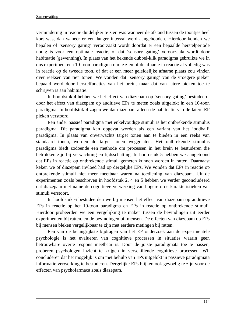vermindering in reactie duidelijker te zien was wanneer de afstand tussen de toontjes heel kort was, dan waneer er een langer interval werd aangehouden. Hierdoor konden we bepalen of 'sensory gating' veroorzaakt wordt doordat er een bepaalde herstelperiode nodig is voor een optimale reactie, of dat 'sensory gating' veroorzaakt wordt door habituatie (gewenning). In plaats van het bekende dubbel-klik paradigma gebruikte we in ons experiment een 10-toon paradigma om te zien of de afname in reactie al volledig was in reactie op de tweede toon, of dat er een meer geleidelijke afname plaats zou vinden over reeksen van tien tonen. We vonden dat 'sensory gating' van de vroegere pieken bepaald werd door herstelfuncties van het brein, maar dat van latere pieken toe te schrijven is aan habituatie.

In hoofdstuk 4 hebben we het effect van diazepam op 'sensory gating' bestudeerd, door het effect van diazepam op auditieve EPs te meten zoals uitgelokt in een 10-toon paradigma. In hoofdstuk 4 zagen we dat diazepam alleen de habituatie van de latere EP pieken verstoord.

Een ander passief paradigma met enkelvoudige stimuli is het ontbrekende stimulus paradigma. Dit paradigma kan opgevat worden als een variant van het 'oddball' paradigma. In plaats van onverwachts target tonen aan te bieden in een reeks van standaard tonen, worden de target tonen weggelaten. Het ontbrekende stimulus paradigma biedt zodoende een methode om processen in het brein te bestuderen die betrokken zijn bij verwachting en tijdsschatting. In hoofdstuk 5 hebben we aangetoond dat EPs in reactie op ontbrekende stimuli gemeten kunnen worden in ratten. Daarnaast keken we of diazepam invloed had op dergelijke EPs. We vonden dat EPs in reactie op ontbrekende stimuli niet meer meetbaar waren na toediening van diazepam. Uit de experimenten zoals beschreven in hoofdstuk 2, 4 en 5 hebben we verder geconcludeerd dat diazepam met name de cognitieve verwerking van hogere orde karakteristieken van stimuli verstoort.

In hoofdstuk 6 bestudeerden we bij mensen het effect van diazepam op auditieve EPs in reactie op het 10-toon paradigma en EPs in reactie op ontbrekende stimuli. Hierdoor probeerden we een vergelijking te maken tussen de bevindingen uit eerder experimenten bij ratten, en de bevindingen bij mensen. De effecten van diazepam op EPs bij mensen bleken vergelijkbaar te zijn met eerdere metingen bij ratten.

Een van de belangrijkste bijdragen van het EP onderzoek aan de experimentele psychologie is het evalueren van cognitieve processen in situaties waarin geen betrouwbare overte respons meetbaar is. Door de juiste paradigmata toe te passen, proberen psychologen inzicht te krijgen in verschillende cognitieve processen. Wij concluderen dat het mogelijk is om met behulp van EPs uitgelokt in passieve paradigmata informatie verwerking te bestuderen. Dergelijke EPs blijken ook gevoelig te zijn voor de effecten van psychofarmaca zoals diazepam.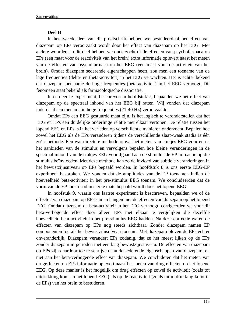### **Deel B**

In het tweede deel van dit proefschrift hebben we bestudeerd of het effect van diazepam op EPs veroorzaakt wordt door het effect van diazepam op het EEG. Met andere woorden: in dit deel hebben we onderzocht of de effecten van psychofarmaca op EPs (een maat voor de reactiviteit van het brein) extra informatie oplevert naast het meten van de effecten van psychofarmaca op het EEG (een maat voor de activiteit van het brein). Omdat diazepam sederende eigenschappen heeft, zou men een toename van de lage frequenties (delta- en theta-activiteit) in het EEG verwachten. Het is echter bekend dat diazepam met name de hoge frequenties (beta-activiteit) in het EEG verhoogt. Dit fenomeen staat bekend als farmacologische dissociatie.

In een eerste experiment, beschreven in hoofdstuk 7, bepaalden we het effect van diazepam op de spectraal inhoud van het EEG bij ratten. Wij vonden dat diazepam inderdaad een toename in hoge frequenties (21-40 Hz) veroorzaakte.

Omdat EPs een EEG gestuurde maat zijn, is het logisch te veronderstellen dat het EEG en EPs een duidelijke onderlinge relatie met elkaar vertonen. De relatie tussen het lopend EEG en EPs is in het verleden op verschillende manieren onderzocht. Bepalen hoe zowel het EEG als de EPs veranderen tijdens de verschillende slaap-waak stadia is één zo'n methode. Een wat directere methode omvat het meten van stukjes EEG voor en na het aanbieden van de stimulus en vervolgens bepalen hoe kleine veranderingen in de spectraal inhoud van de stukjes EEG voorafgaand aan de stimulus de EP in reactie op die stimulus beïnvloeden. Met deze methode kan zo de invloed van subtiele veranderingen in het bewustzijnsniveau op EPs bepaald worden. In hoofdstuk 8 is ons eerste EEG-EP experiment besproken. We vonden dat de amplitudes van de EP toenamen indien de hoeveelheid beta-activiteit in het pre-stimulus EEG toenam. We concludeerden dat de vorm van de EP inderdaad in sterke mate bepaald wordt door het lopend EEG.

In hoofstuk 9, waarin ons laatste experiment is beschreven, bepaalden we of de effecten van diazepam op EPs samen hangen met de effecten van diazepam op het lopend EEG. Omdat diazepam de beta-activiteit in het EEG verhoogt, corrigeerden we voor dit beta-verhogende effect door alleen EPs met elkaar te vergelijken die dezelfde hoeveelheid beta-activiteit in het pre-stimulus EEG hadden. Na deze correctie waren de effecten van diazepam op EPs nog steeds zichtbaar. Zonder diazepam namen EP componenten toe als het bewustzijnsniveau toenam. Met diazepam bleven de EPs echter onveranderlijk. Diazepam verandert EPs zodanig, dat ze het meest lijken op de EPs zonder diazepam in perioden met een laag bewustzijnsniveau. De effecten van diazepam op EPs zijn daardoor toe te schrijven aan de sederende eigenschappen van diazepam, en niet aan het beta-verhogende effect van diazepam. We concluderen dat het meten van drugeffecten op EPs informatie oplevert naast het meten van drug effecten op het lopend EEG. Op deze manier is het mogelijk om drug effecten op zowel de activiteit (zoals tot uitdrukking komt in het lopend EEG) als op de reactiviteit (zoals tot uitdrukking komt in de EPs) van het brein te bestuderen.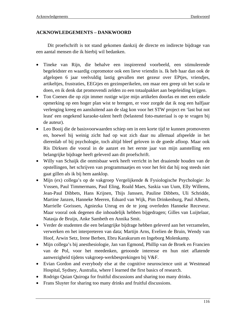# **ACKNOWLEDGEMENTS – DANKWOORD**

Dit proefschrift is tot stand gekomen dankzij de directe en indirecte bijdrage van een aantal mensen die ik hierbij wil bedanken.

- Tineke van Rijn, die behalve een inspirerend voorbeeld, een stimulerende begeleidster en waardig copromotor ook een lieve vriendin is. Ik heb haar dan ook de afgelopen 6 jaar veelvuldig lastig gevallen met gezeur over EPtjes, vriendjes, artikeltjes, frustraties, EEGtjes en gezinsperikelen, om maar een greep uit het scala te doen, en ik denk dat promovendi zelden zo een totaalpakket aan begeleiding krijgen.
- Ton Coenen die op zijn immer rustige wijze mijn artikelen doorlas en met een enkele opmerking op een hoger plan wist te brengen, er voor zorgde dat ik nog een halfjaar verlenging kreeg en aansluitend aan de slag kon voor het STW project en 'last but not least' een ongekend karaoke-talent heeft (belastend foto-materiaal is op te vragen bij de auteur).
- Leo Booij die de basisvoorwaarden schiep om in een korte tijd te kunnen promoveren en, hoewel hij weinig zicht had op wat zich daar nu allemaal afspeelde in het dierenlab of bij psychologie, toch altijd bleef geloven in de goede afloop. Maar ook Ris Dirksen die vooral in de aanzet en het eerste jaar van mijn aanstelling een belangrijke bijdrage heeft geleverd aan dit proefschrift.
- Willy van Schaijk die onmisbaar werk heeft verricht in het draaiende houden van de opstellingen, het schrijven van programmaatjes en voor het feit dat hij nog steeds niet gaat gillen als ik bij hem aanklop.
- Mijn (ex) collega's op de vakgroep Vergelijkende & Fysiologische Psychologie: Jo Vossen, Paul Timmermans, Paul Eling, Roald Maes, Saskia van Uum, Elly Willems, Jean-Paul Dibbets, Hans Krijnen, Thijs Janssen, Pauline Dibbets, Uli Schridde, Martine Janzen, Hanneke Meeren, Eduard van Wijk, Pim Drinkenburg, Paul Alberts, Marrielle Gorissen, Agniezka Unrug en de te jong overleden Hanneke Receveur. Maar vooral ook degenen die inhoudelijk hebben bijgedragen; Gilles van Luijtelaar, Natasja de Bruijn, Anke Sambeth en Annika Smit.
- Verder de studenten die een belangrijke bijdrage hebben geleverd aan het verzamelen, verwerken en het interpreteren van data; Martijn Arns, Evelien de Bruin, Wendy van Hoof, Arwin Setz, Irene Berben, Ebru Karakurum en Ingeborg Molenkamp.
- Mijn collega's bij anesthesiologie, Jan van Egmond, Phillip van de Broek en Francien van de Pol, voor het meedenken, getoonde interesse en hun niet aflatende aanwezigheid tijdens vakgroep-werkbesprekingen bij V&F.
- Evian Gordon and everybody else at the cognitive neuroscience unit at Westmead Hospital, Sydney, Australia, where I learned the first basics of research.
- Rodrigo Quian Quiroga for fruitful discussions and sharing too many drinks.
- Frans Sluyter for sharing too many drinks and fruitful discussions.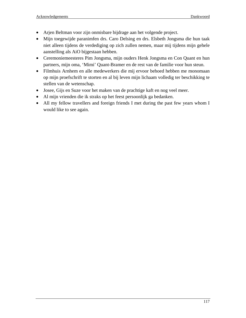- Arjen Beltman voor zijn onmisbare bijdrage aan het volgende project.
- Mijn toegewijde paranimfen drs. Caro Delsing en drs. Elsbeth Jongsma die hun taak niet alleen tijdens de verdediging op zich zullen nemen, maar mij tijdens mijn gehele aanstelling als AiO bijgestaan hebben.
- Ceremoniemeesteres Pim Jongsma, mijn ouders Henk Jongsma en Con Quant en hun partners, mijn oma, 'Mimi' Quant-Bramer en de rest van de familie voor hun steun.
- Filmhuis Arnhem en alle medewerkers die mij ervoor behoed hebben me monomaan op mijn proefschrift te storten en al bij leven mijn lichaam volledig ter beschikking te stellen van de wetenschap.
- Josee, Gijs en Suze voor het maken van de prachtige kaft en nog veel meer.
- Al mijn vrienden die ik straks op het feest persoonlijk ga bedanken.
- All my fellow travellers and foreign friends I met during the past few years whom I would like to see again.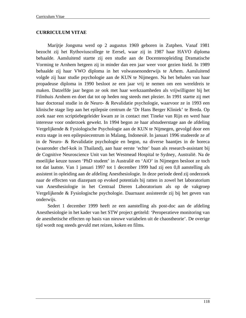### **CURRICULUM VITAE**

Marijtje Jongsma werd op 2 augustus 1969 geboren in Zutphen. Vanaf 1981 bezocht zij het Rythoviuscollege te Eersel, waar zij in 1987 haar HAVO diploma behaalde. Aansluitend startte zij een studie aan de Docentenopleiding Dramatische Vorming te Arnhem hetgeen zij in minder dan een jaar weer voor gezien hield. In 1989 behaalde zij haar VWO diploma in het volwassenonderwijs te Arhem. Aansluitend volgde zij haar studie psychologie aan de KUN te Nijmegen. Na het behalen van haar propadeuse diploma in 1990 besloot ze een jaar vrij te nemen om een wereldreis te maken. Datzelfde jaar begon ze ook met haar werkzaamheden als vrijwilligster bij het Filmhuis Arnhem en doet dat tot op heden nog steeds met plezier. In 1991 startte zij met haar doctoraal studie in de Neuro- & Revalidatie psychologie, waarvoor ze in 1993 een klinische stage liep aan het epilepsie centrum de 'Dr Hans Berger Kliniek' te Breda. Op zoek naar een scriptiebegeleider kwam ze in contact met Tineke van Rijn en werd haar interesse voor onderzoek gewekt. In 1994 begon ze haar afstudeerstage aan de afdeling Vergelijkende & Fysiologische Psychologie aan de KUN te Nijmegen, gevolgd door een extra stage in een epilepsiecentrum in Malang, Indonesië. In januari 1996 studeerde ze af in de Neuro- & Revalidatie psychologie en begon, na diverse baantjes in de horeca (waaronder chef-kok in Thailand), aan haar eerste 'echte' baan als research-assistant bij de Cognitive Neuroscience Unit van het Westmead Hospital te Sydney, Australië. Na de moeilijke keuze tussen 'PhD student' in Australië en 'AiO' in Nijmegen besloot ze toch tot dat laatste. Van 1 januari 1997 tot 1 december 1999 had zij een 0,8 aanstelling als assistent in opleiding aan de afdeling Anesthesiologie. In deze periode deed zij onderzoek naar de effecten van diazepam op evoked potentials bij ratten in zowel het laboratorium van Anesthesiologie in het Centraal Dieren Laboratorium als op de vakgroep Vergelijkende & Fysiologische psychologie. Daarnaast assisteerde zij bij het geven van onderwijs.

Sedert 1 december 1999 heeft ze een aanstelling als post-doc aan de afdeling Anesthesiologie in het kader van het STW project getiteld: 'Peroperatieve monitoring van de anesthetische effecten op basis van nieuwe variabelen uit de chaostheorie'. De overige tijd wordt nog steeds gevuld met reizen, koken en films.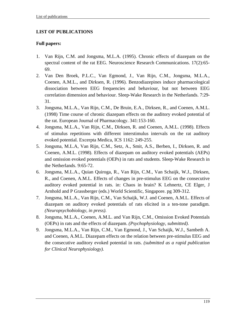# **LIST OF PUBLICATIONS**

## **Full papers:**

- 1. Van Rijn, C.M. and Jongsma, M.L.A. (1995). Chronic effects of diazepam on the spectral content of the rat EEG. Neuroscience Research Communications. 17(2):65- 69.
- 2. Van Den Broek, P.L.C., Van Egmond, J., Van Rijn, C.M., Jongsma, M.L.A., Coenen, A.M.L., and Dirksen, R. (1996). Benzodiazepines induce pharmacological dissociation between EEG frequencies and behaviour, but not between EEG correlation dimension and behaviour. Sleep-Wake Research in the Netherlands. 7:29- 31.
- 3. Jongsma, M.L.A., Van Rijn, C.M., De Bruin, E.A., Dirksen, R., and Coenen, A.M.L. (1998) Time course of chronic diazepam effects on the auditory evoked potential of the rat. European Journal of Pharmacology. 341:153-160.
- 4. Jongsma, M.L.A., Van Rijn, C.M., Dirksen, R. and Coenen, A.M.L. (1998). Effects of stimulus repetitions with different interstimulus intervals on the rat auditory evoked potential. Excerpta Medica, ICS 1162: 249-255.
- 5. Jongsma, M.L.A, Van Rijn, C.M., Setz, A., Smit, A.S., Berben, I., Dirksen, R. and Coenen, A.M.L. (1998). Effects of diazepam on auditory evoked potentials (AEPs) and omission evoked potentials (OEPs) in rats and students. Sleep-Wake Research in the Netherlands. 9:65-72.
- 6. Jongsma, M.L.A., Quian Quiroga, R., Van Rijn, C.M., Van Schaijk, W.J., Dirksen, R., and Coenen, A.M.L. Effects of changes in pre-stimulus EEG on the consecutive auditory evoked potential in rats. in: Chaos in brain? K Lehnertz, CE Elger, J Arnhold and P Grassberger (eds.) World Scientific, Singapore. pg 309-312.
- 7. Jongsma, M.L.A., Van Rijn, C.M., Van Schaijk, W.J. and Coenen, A.M.L. Effects of diazepam on auditory evoked potentials of rats elicited in a ten-tone paradigm. *(Neuropsychobiology, in press).*
- 8. Jongsma, M.L.A., Coenen, A.M.L. and Van Rijn, C.M., Omission Evoked Potentials (OEPs) in rats and the effects of diazepam. *(Psychophysiology, submitted).*
- 9. Jongsma, M.L.A., Van Rijn, C.M., Van Egmond, J., Van Schaijk, W.J., Sambeth A. and Coenen, A.M.L. Diazepam effects on the relation between pre-stimulus EEG and the consecutive auditory evoked potential in rats. *(submitted as a rapid publication for Clinical Neurophysiology).*